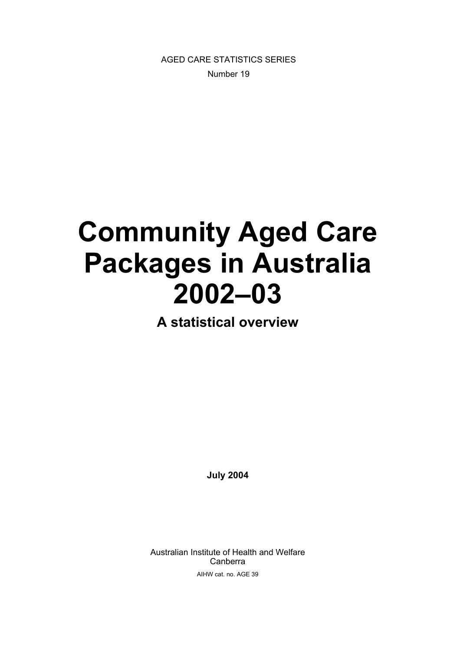AGED CARE STATISTICS SERIES Number 19

# **Community Aged Care Packages in Australia 2002–03**

**A statistical overview** 

**July 2004** 

Australian Institute of Health and Welfare Canberra AIHW cat. no. AGE 39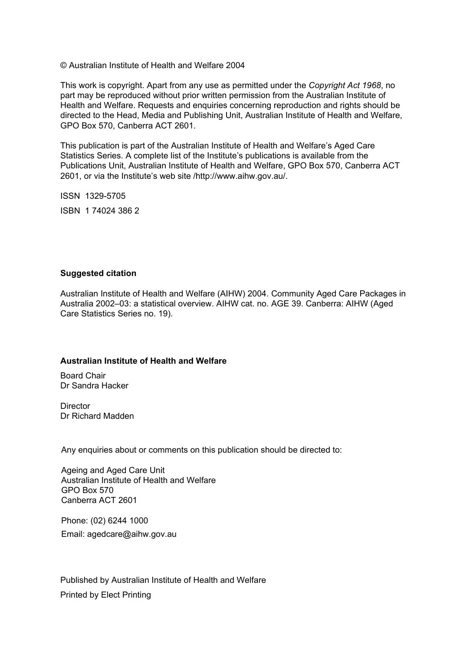© Australian Institute of Health and Welfare 2004

This work is copyright. Apart from any use as permitted under the *Copyright Act 1968*, no part may be reproduced without prior written permission from the Australian Institute of Health and Welfare. Requests and enquiries concerning reproduction and rights should be directed to the Head, Media and Publishing Unit, Australian Institute of Health and Welfare, GPO Box 570, Canberra ACT 2601.

This publication is part of the Australian Institute of Health and Welfare's Aged Care Statistics Series. A complete list of the Institute's publications is available from the Publications Unit, Australian Institute of Health and Welfare, GPO Box 570, Canberra ACT 2601, or via the Institute's web site /http://www.aihw.gov.au/.

ISSN 1329-5705

ISBN 1 74024 386 2

#### **Suggested citation**

Australian Institute of Health and Welfare (AIHW) 2004. Community Aged Care Packages in Australia 2002–03: a statistical overview. AIHW cat. no. AGE 39. Canberra: AIHW (Aged Care Statistics Series no. 19).

#### **Australian Institute of Health and Welfare**

Board Chair Dr Sandra Hacker

**Director** Dr Richard Madden

Any enquiries about or comments on this publication should be directed to:

Ageing and Aged Care Unit Australian Institute of Health and Welfare GPO Box 570 Canberra ACT 2601

Phone: (02) 6244 1000 Email: agedcare@aihw.gov.au

Published by Australian Institute of Health and Welfare Printed by Elect Printing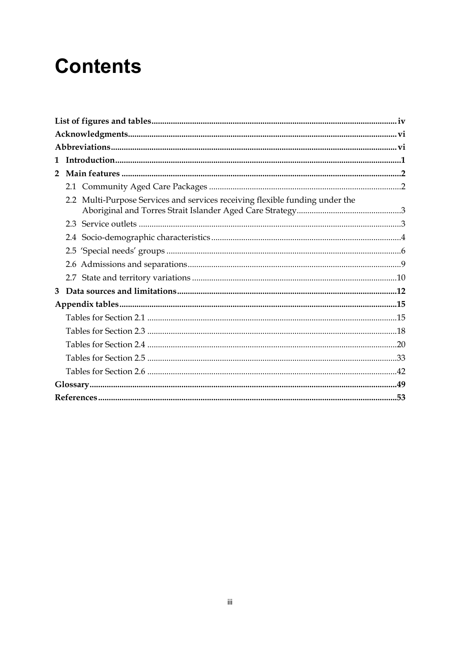## **Contents**

| $\mathbf 1$    |                                                                              |  |
|----------------|------------------------------------------------------------------------------|--|
| $\overline{2}$ |                                                                              |  |
|                |                                                                              |  |
|                | 2.2 Multi-Purpose Services and services receiving flexible funding under the |  |
|                |                                                                              |  |
|                |                                                                              |  |
|                |                                                                              |  |
|                |                                                                              |  |
|                |                                                                              |  |
| 3              |                                                                              |  |
|                |                                                                              |  |
|                |                                                                              |  |
|                |                                                                              |  |
|                |                                                                              |  |
|                |                                                                              |  |
|                |                                                                              |  |
|                |                                                                              |  |
|                |                                                                              |  |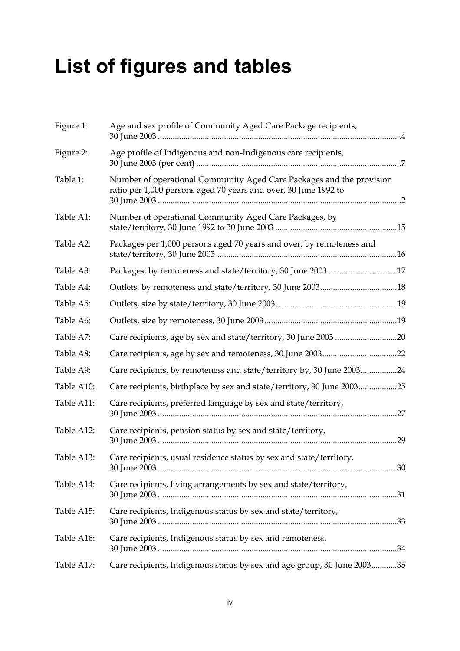## **List of figures and tables**

| Figure 1:  | Age and sex profile of Community Aged Care Package recipients,                                                                          |
|------------|-----------------------------------------------------------------------------------------------------------------------------------------|
| Figure 2:  | Age profile of Indigenous and non-Indigenous care recipients,                                                                           |
| Table 1:   | Number of operational Community Aged Care Packages and the provision<br>ratio per 1,000 persons aged 70 years and over, 30 June 1992 to |
| Table A1:  | Number of operational Community Aged Care Packages, by                                                                                  |
| Table A2:  | Packages per 1,000 persons aged 70 years and over, by remoteness and                                                                    |
| Table A3:  | Packages, by remoteness and state/territory, 30 June 2003 17                                                                            |
| Table A4:  |                                                                                                                                         |
| Table A5:  |                                                                                                                                         |
| Table A6:  |                                                                                                                                         |
| Table A7:  |                                                                                                                                         |
| Table A8:  |                                                                                                                                         |
| Table A9:  | Care recipients, by remoteness and state/territory by, 30 June 200324                                                                   |
| Table A10: | Care recipients, birthplace by sex and state/territory, 30 June 200325                                                                  |
| Table A11: | Care recipients, preferred language by sex and state/territory,                                                                         |
| Table A12: | Care recipients, pension status by sex and state/territory,<br>.29                                                                      |
| Table A13: | Care recipients, usual residence status by sex and state/territory,                                                                     |
| Table A14: | Care recipients, living arrangements by sex and state/territory,                                                                        |
| Table A15: | Care recipients, Indigenous status by sex and state/territory,                                                                          |
| Table A16: | Care recipients, Indigenous status by sex and remoteness,                                                                               |
| Table A17: | Care recipients, Indigenous status by sex and age group, 30 June 200335                                                                 |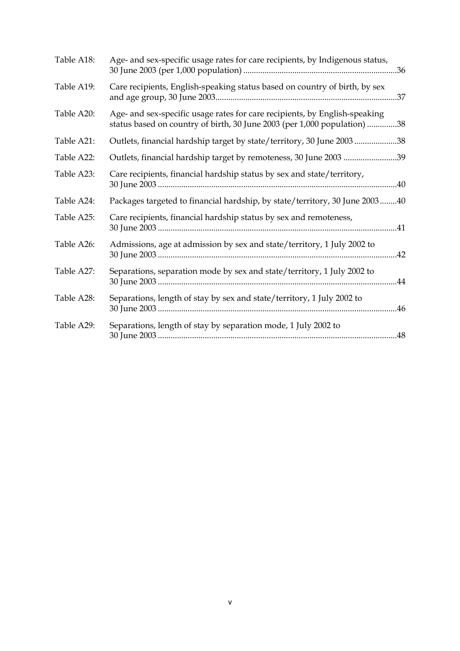| Table A18: | Age- and sex-specific usage rates for care recipients, by Indigenous status,                                                                           |
|------------|--------------------------------------------------------------------------------------------------------------------------------------------------------|
| Table A19: | Care recipients, English-speaking status based on country of birth, by sex                                                                             |
| Table A20: | Age- and sex-specific usage rates for care recipients, by English-speaking<br>status based on country of birth, 30 June 2003 (per 1,000 population) 38 |
| Table A21: | Outlets, financial hardship target by state/territory, 30 June 200338                                                                                  |
| Table A22: | Outlets, financial hardship target by remoteness, 30 June 2003 39                                                                                      |
| Table A23: | Care recipients, financial hardship status by sex and state/territory,                                                                                 |
| Table A24: | Packages targeted to financial hardship, by state/territory, 30 June 200340                                                                            |
| Table A25: | Care recipients, financial hardship status by sex and remoteness,                                                                                      |
| Table A26: | Admissions, age at admission by sex and state/territory, 1 July 2002 to<br>.42                                                                         |
| Table A27: | Separations, separation mode by sex and state/territory, 1 July 2002 to                                                                                |
| Table A28: | Separations, length of stay by sex and state/territory, 1 July 2002 to                                                                                 |
| Table A29: | Separations, length of stay by separation mode, 1 July 2002 to                                                                                         |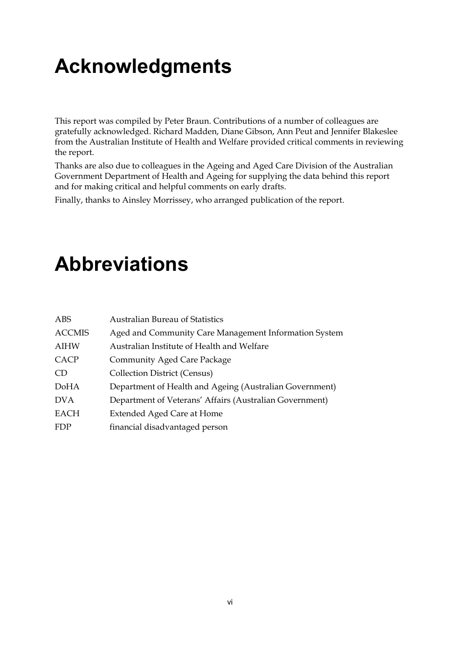## **Acknowledgments**

This report was compiled by Peter Braun. Contributions of a number of colleagues are gratefully acknowledged. Richard Madden, Diane Gibson, Ann Peut and Jennifer Blakeslee from the Australian Institute of Health and Welfare provided critical comments in reviewing the report.

Thanks are also due to colleagues in the Ageing and Aged Care Division of the Australian Government Department of Health and Ageing for supplying the data behind this report and for making critical and helpful comments on early drafts.

Finally, thanks to Ainsley Morrissey, who arranged publication of the report.

## **Abbreviations**

| ABS           | <b>Australian Bureau of Statistics</b>                  |
|---------------|---------------------------------------------------------|
| <b>ACCMIS</b> | Aged and Community Care Management Information System   |
| <b>AIHW</b>   | Australian Institute of Health and Welfare              |
| CACP          | Community Aged Care Package                             |
| CD.           | <b>Collection District (Census)</b>                     |
| DoHA          | Department of Health and Ageing (Australian Government) |
| <b>DVA</b>    | Department of Veterans' Affairs (Australian Government) |
| <b>EACH</b>   | Extended Aged Care at Home                              |
| <b>FDP</b>    | financial disadvantaged person                          |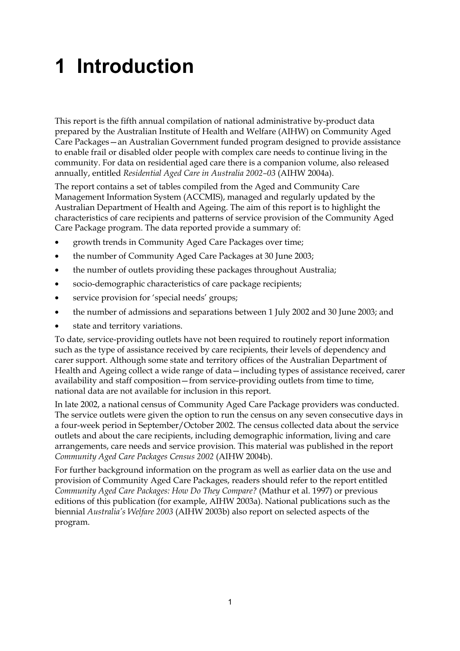## **1 Introduction**

This report is the fifth annual compilation of national administrative by-product data prepared by the Australian Institute of Health and Welfare (AIHW) on Community Aged Care Packages—an Australian Government funded program designed to provide assistance to enable frail or disabled older people with complex care needs to continue living in the community. For data on residential aged care there is a companion volume, also released annually, entitled *Residential Aged Care in Australia 2002–03* (AIHW 2004a).

The report contains a set of tables compiled from the Aged and Community Care Management Information System (ACCMIS), managed and regularly updated by the Australian Department of Health and Ageing. The aim of this report is to highlight the characteristics of care recipients and patterns of service provision of the Community Aged Care Package program. The data reported provide a summary of:

- growth trends in Community Aged Care Packages over time;
- the number of Community Aged Care Packages at 30 June 2003;
- the number of outlets providing these packages throughout Australia;
- socio-demographic characteristics of care package recipients;
- service provision for 'special needs' groups;
- the number of admissions and separations between 1 July 2002 and 30 June 2003; and
- state and territory variations.

To date, service-providing outlets have not been required to routinely report information such as the type of assistance received by care recipients, their levels of dependency and carer support. Although some state and territory offices of the Australian Department of Health and Ageing collect a wide range of data—including types of assistance received, carer availability and staff composition—from service-providing outlets from time to time, national data are not available for inclusion in this report.

In late 2002, a national census of Community Aged Care Package providers was conducted. The service outlets were given the option to run the census on any seven consecutive days in a four-week period in September/October 2002. The census collected data about the service outlets and about the care recipients, including demographic information, living and care arrangements, care needs and service provision. This material was published in the report *Community Aged Care Packages Census 2002* (AIHW 2004b).

For further background information on the program as well as earlier data on the use and provision of Community Aged Care Packages, readers should refer to the report entitled *Community Aged Care Packages: How Do They Compare?* (Mathur et al. 1997) or previous editions of this publication (for example, AIHW 2003a). National publications such as the biennial *Australia's Welfare 2003* (AIHW 2003b) also report on selected aspects of the program.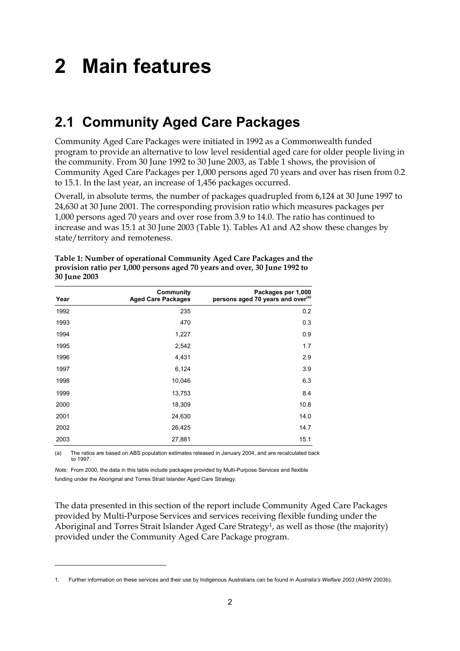## **2 Main features**

## **2.1 Community Aged Care Packages**

Community Aged Care Packages were initiated in 1992 as a Commonwealth funded program to provide an alternative to low level residential aged care for older people living in the community. From 30 June 1992 to 30 June 2003, as Table 1 shows, the provision of Community Aged Care Packages per 1,000 persons aged 70 years and over has risen from 0.2 to 15.1. In the last year, an increase of 1,456 packages occurred.

Overall, in absolute terms, the number of packages quadrupled from 6,124 at 30 June 1997 to 24,630 at 30 June 2001. The corresponding provision ratio which measures packages per 1,000 persons aged 70 years and over rose from 3.9 to 14.0. The ratio has continued to increase and was 15.1 at 30 June 2003 (Table 1). Tables A1 and A2 show these changes by state/territory and remoteness.

| Year | Community<br><b>Aged Care Packages</b> | Packages per 1,000<br>persons aged 70 years and over <sup>(a)</sup> |
|------|----------------------------------------|---------------------------------------------------------------------|
| 1992 | 235                                    | 0.2                                                                 |
| 1993 | 470                                    | 0.3                                                                 |
| 1994 | 1,227                                  | 0.9                                                                 |
| 1995 | 2,542                                  | 1.7                                                                 |
| 1996 | 4,431                                  | 2.9                                                                 |
| 1997 | 6,124                                  | 3.9                                                                 |
| 1998 | 10,046                                 | 6.3                                                                 |
| 1999 | 13,753                                 | 8.4                                                                 |
| 2000 | 18,309                                 | 10.8                                                                |
| 2001 | 24,630                                 | 14.0                                                                |
| 2002 | 26,425                                 | 14.7                                                                |
| 2003 | 27,881                                 | 15.1                                                                |

**Table 1: Number of operational Community Aged Care Packages and the provision ratio per 1,000 persons aged 70 years and over, 30 June 1992 to 30 June 2003**

(a) The ratios are based on ABS population estimates released in January 2004, and are recalculated back to 1997.

*Note:* From 2000, the data in this table include packages provided by Multi-Purpose Services and flexible funding under the Aboriginal and Torres Strait Islander Aged Care Strategy.

 $\overline{a}$ 

The data presented in this section of the report include Community Aged Care Packages provided by Multi-Purpose Services and services receiving flexible funding under the Aboriginal and Torres Strait Islander Aged Care Strategy1, as well as those (the majority) provided under the Community Aged Care Package program.

<sup>1.</sup> Further information on these services and their use by Indigenous Australians can be found in *Australia's Welfare 2003* (AIHW 2003b).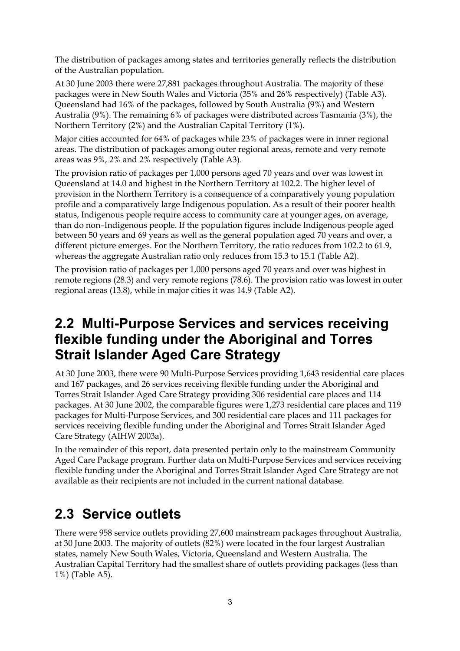The distribution of packages among states and territories generally reflects the distribution of the Australian population.

At 30 June 2003 there were 27,881 packages throughout Australia. The majority of these packages were in New South Wales and Victoria (35% and 26% respectively) (Table A3). Queensland had 16% of the packages, followed by South Australia (9%) and Western Australia (9%). The remaining 6% of packages were distributed across Tasmania (3%), the Northern Territory (2%) and the Australian Capital Territory (1%).

Major cities accounted for 64% of packages while 23% of packages were in inner regional areas. The distribution of packages among outer regional areas, remote and very remote areas was 9%, 2% and 2% respectively (Table A3).

The provision ratio of packages per 1,000 persons aged 70 years and over was lowest in Queensland at 14.0 and highest in the Northern Territory at 102.2. The higher level of provision in the Northern Territory is a consequence of a comparatively young population profile and a comparatively large Indigenous population. As a result of their poorer health status, Indigenous people require access to community care at younger ages, on average, than do non–Indigenous people. If the population figures include Indigenous people aged between 50 years and 69 years as well as the general population aged 70 years and over, a different picture emerges. For the Northern Territory, the ratio reduces from 102.2 to 61.9, whereas the aggregate Australian ratio only reduces from 15.3 to 15.1 (Table A2).

The provision ratio of packages per 1,000 persons aged 70 years and over was highest in remote regions (28.3) and very remote regions (78.6). The provision ratio was lowest in outer regional areas (13.8), while in major cities it was 14.9 (Table A2).

### **2.2 Multi-Purpose Services and services receiving flexible funding under the Aboriginal and Torres Strait Islander Aged Care Strategy**

At 30 June 2003, there were 90 Multi-Purpose Services providing 1,643 residential care places and 167 packages, and 26 services receiving flexible funding under the Aboriginal and Torres Strait Islander Aged Care Strategy providing 306 residential care places and 114 packages. At 30 June 2002, the comparable figures were 1,273 residential care places and 119 packages for Multi-Purpose Services, and 300 residential care places and 111 packages for services receiving flexible funding under the Aboriginal and Torres Strait Islander Aged Care Strategy (AIHW 2003a).

In the remainder of this report, data presented pertain only to the mainstream Community Aged Care Package program. Further data on Multi-Purpose Services and services receiving flexible funding under the Aboriginal and Torres Strait Islander Aged Care Strategy are not available as their recipients are not included in the current national database.

## **2.3 Service outlets**

There were 958 service outlets providing 27,600 mainstream packages throughout Australia, at 30 June 2003. The majority of outlets (82%) were located in the four largest Australian states, namely New South Wales, Victoria, Queensland and Western Australia. The Australian Capital Territory had the smallest share of outlets providing packages (less than 1%) (Table A5).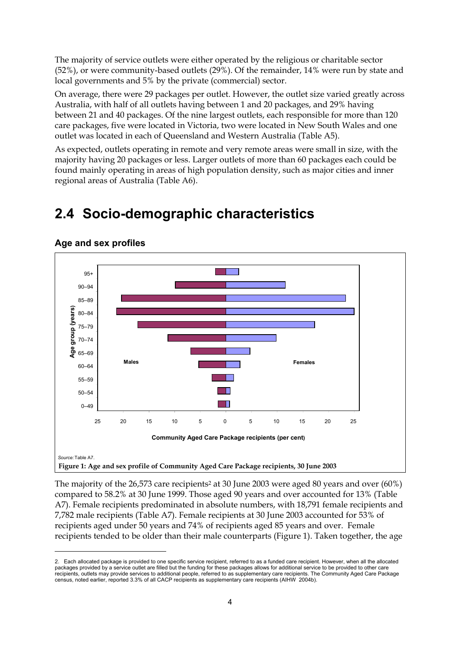The majority of service outlets were either operated by the religious or charitable sector (52%), or were community-based outlets (29%). Of the remainder, 14% were run by state and local governments and 5% by the private (commercial) sector.

On average, there were 29 packages per outlet. However, the outlet size varied greatly across Australia, with half of all outlets having between 1 and 20 packages, and 29% having between 21 and 40 packages. Of the nine largest outlets, each responsible for more than 120 care packages, five were located in Victoria, two were located in New South Wales and one outlet was located in each of Queensland and Western Australia (Table A5).

As expected, outlets operating in remote and very remote areas were small in size, with the majority having 20 packages or less. Larger outlets of more than 60 packages each could be found mainly operating in areas of high population density, such as major cities and inner regional areas of Australia (Table A6).

## **2.4 Socio-demographic characteristics**



**Age and sex profiles** 

 $\overline{a}$ 

The majority of the 26,573 care recipients<sup>2</sup> at 30 June 2003 were aged 80 years and over (60%) compared to 58.2% at 30 June 1999. Those aged 90 years and over accounted for 13% (Table A7). Female recipients predominated in absolute numbers, with 18,791 female recipients and 7,782 male recipients (Table A7). Female recipients at 30 June 2003 accounted for 53% of recipients aged under 50 years and 74% of recipients aged 85 years and over. Female recipients tended to be older than their male counterparts (Figure 1). Taken together, the age

<sup>2.</sup> Each allocated package is provided to one specific service recipient, referred to as a funded care recipient. However, when all the allocated packages provided by a service outlet are filled but the funding for these packages allows for additional service to be provided to other care recipients, outlets may provide services to additional people, referred to as supplementary care recipients. The Community Aged Care Package census, noted earlier, reported 3.3% of all CACP recipients as supplementary care recipients (AIHW 2004b).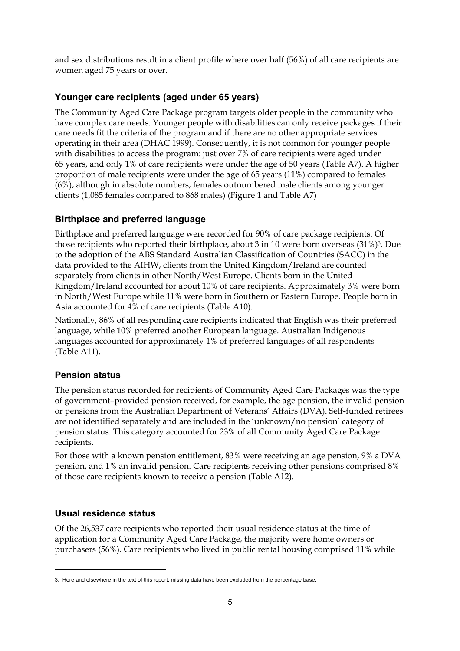and sex distributions result in a client profile where over half (56%) of all care recipients are women aged 75 years or over.

### **Younger care recipients (aged under 65 years)**

The Community Aged Care Package program targets older people in the community who have complex care needs. Younger people with disabilities can only receive packages if their care needs fit the criteria of the program and if there are no other appropriate services operating in their area (DHAC 1999). Consequently, it is not common for younger people with disabilities to access the program: just over 7% of care recipients were aged under 65 years, and only 1% of care recipients were under the age of 50 years (Table A7). A higher proportion of male recipients were under the age of 65 years (11%) compared to females (6%), although in absolute numbers, females outnumbered male clients among younger clients (1,085 females compared to 868 males) (Figure 1 and Table A7)

#### **Birthplace and preferred language**

Birthplace and preferred language were recorded for 90% of care package recipients. Of those recipients who reported their birthplace, about 3 in 10 were born overseas (31%)3. Due to the adoption of the ABS Standard Australian Classification of Countries (SACC) in the data provided to the AIHW, clients from the United Kingdom/Ireland are counted separately from clients in other North/West Europe. Clients born in the United Kingdom/Ireland accounted for about 10% of care recipients. Approximately 3% were born in North/West Europe while 11% were born in Southern or Eastern Europe. People born in Asia accounted for 4% of care recipients (Table A10).

Nationally, 86% of all responding care recipients indicated that English was their preferred language, while 10% preferred another European language. Australian Indigenous languages accounted for approximately 1% of preferred languages of all respondents (Table A11).

#### **Pension status**

The pension status recorded for recipients of Community Aged Care Packages was the type of government–provided pension received, for example, the age pension, the invalid pension or pensions from the Australian Department of Veterans' Affairs (DVA). Self-funded retirees are not identified separately and are included in the 'unknown/no pension' category of pension status. This category accounted for 23% of all Community Aged Care Package recipients.

For those with a known pension entitlement, 83% were receiving an age pension, 9% a DVA pension, and 1% an invalid pension. Care recipients receiving other pensions comprised 8% of those care recipients known to receive a pension (Table A12).

### **Usual residence status**

 $\overline{a}$ 

Of the 26,537 care recipients who reported their usual residence status at the time of application for a Community Aged Care Package, the majority were home owners or purchasers (56%). Care recipients who lived in public rental housing comprised 11% while

<sup>3.</sup> Here and elsewhere in the text of this report, missing data have been excluded from the percentage base.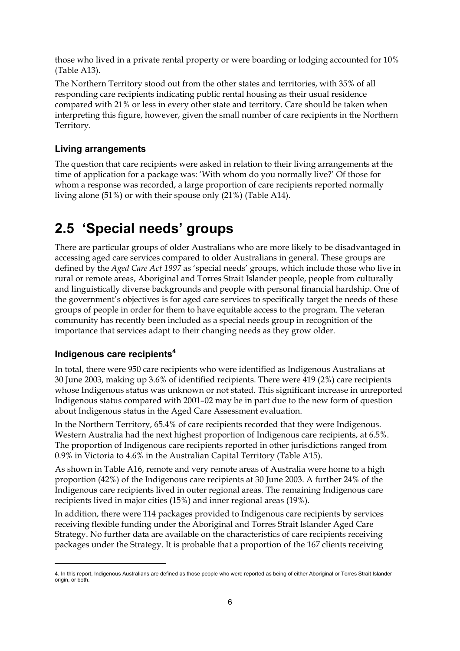those who lived in a private rental property or were boarding or lodging accounted for 10% (Table A13).

The Northern Territory stood out from the other states and territories, with 35% of all responding care recipients indicating public rental housing as their usual residence compared with 21% or less in every other state and territory. Care should be taken when interpreting this figure, however, given the small number of care recipients in the Northern Territory.

### **Living arrangements**

The question that care recipients were asked in relation to their living arrangements at the time of application for a package was: 'With whom do you normally live?' Of those for whom a response was recorded, a large proportion of care recipients reported normally living alone (51%) or with their spouse only (21%) (Table A14).

## **2.5 'Special needs' groups**

There are particular groups of older Australians who are more likely to be disadvantaged in accessing aged care services compared to older Australians in general. These groups are defined by the *Aged Care Act 1997* as 'special needs' groups, which include those who live in rural or remote areas, Aboriginal and Torres Strait Islander people, people from culturally and linguistically diverse backgrounds and people with personal financial hardship. One of the government's objectives is for aged care services to specifically target the needs of these groups of people in order for them to have equitable access to the program. The veteran community has recently been included as a special needs group in recognition of the importance that services adapt to their changing needs as they grow older.

### **Indigenous care recipients4**

 $\overline{a}$ 

In total, there were 950 care recipients who were identified as Indigenous Australians at 30 June 2003, making up 3.6% of identified recipients. There were 419 (2%) care recipients whose Indigenous status was unknown or not stated. This significant increase in unreported Indigenous status compared with 2001–02 may be in part due to the new form of question about Indigenous status in the Aged Care Assessment evaluation.

In the Northern Territory, 65.4% of care recipients recorded that they were Indigenous. Western Australia had the next highest proportion of Indigenous care recipients, at 6.5%. The proportion of Indigenous care recipients reported in other jurisdictions ranged from 0.9% in Victoria to 4.6% in the Australian Capital Territory (Table A15).

As shown in Table A16, remote and very remote areas of Australia were home to a high proportion (42%) of the Indigenous care recipients at 30 June 2003. A further 24% of the Indigenous care recipients lived in outer regional areas. The remaining Indigenous care recipients lived in major cities (15%) and inner regional areas (19%).

In addition, there were 114 packages provided to Indigenous care recipients by services receiving flexible funding under the Aboriginal and Torres Strait Islander Aged Care Strategy. No further data are available on the characteristics of care recipients receiving packages under the Strategy. It is probable that a proportion of the 167 clients receiving

<sup>4.</sup> In this report, Indigenous Australians are defined as those people who were reported as being of either Aboriginal or Torres Strait Islander origin, or both.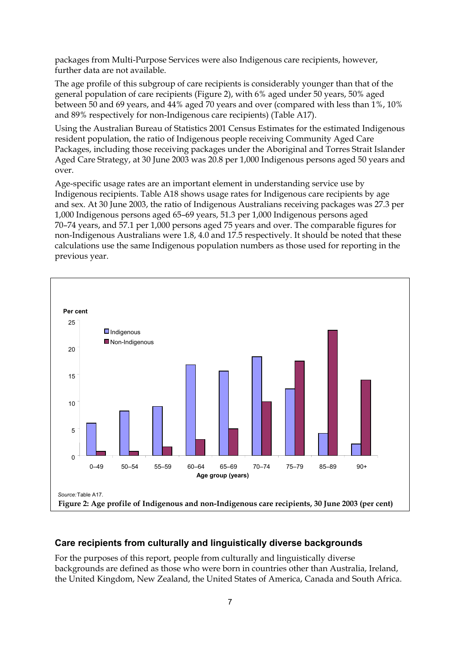packages from Multi-Purpose Services were also Indigenous care recipients, however, further data are not available.

The age profile of this subgroup of care recipients is considerably younger than that of the general population of care recipients (Figure 2), with 6% aged under 50 years, 50% aged between 50 and 69 years, and 44% aged 70 years and over (compared with less than 1%, 10% and 89% respectively for non-Indigenous care recipients) (Table A17).

Using the Australian Bureau of Statistics 2001 Census Estimates for the estimated Indigenous resident population, the ratio of Indigenous people receiving Community Aged Care Packages, including those receiving packages under the Aboriginal and Torres Strait Islander Aged Care Strategy, at 30 June 2003 was 20.8 per 1,000 Indigenous persons aged 50 years and over.

Age-specific usage rates are an important element in understanding service use by Indigenous recipients. Table A18 shows usage rates for Indigenous care recipients by age and sex. At 30 June 2003, the ratio of Indigenous Australians receiving packages was 27.3 per 1,000 Indigenous persons aged 65–69 years, 51.3 per 1,000 Indigenous persons aged 70–74 years, and 57.1 per 1,000 persons aged 75 years and over. The comparable figures for non-Indigenous Australians were 1.8, 4.0 and 17.5 respectively. It should be noted that these calculations use the same Indigenous population numbers as those used for reporting in the previous year.



#### **Care recipients from culturally and linguistically diverse backgrounds**

For the purposes of this report, people from culturally and linguistically diverse backgrounds are defined as those who were born in countries other than Australia, Ireland, the United Kingdom, New Zealand, the United States of America, Canada and South Africa.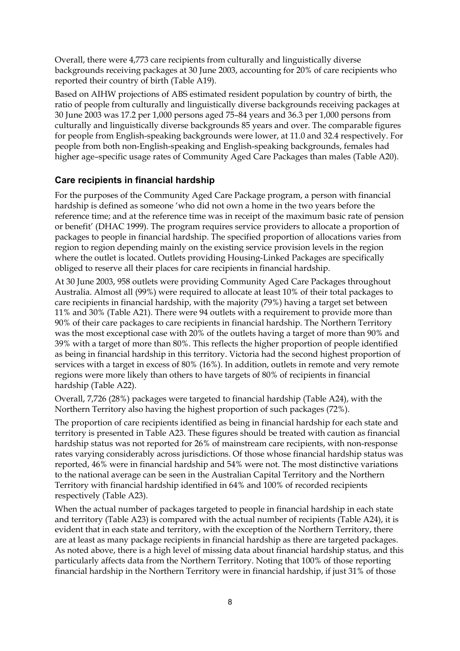Overall, there were 4,773 care recipients from culturally and linguistically diverse backgrounds receiving packages at 30 June 2003, accounting for 20% of care recipients who reported their country of birth (Table A19).

Based on AIHW projections of ABS estimated resident population by country of birth, the ratio of people from culturally and linguistically diverse backgrounds receiving packages at 30 June 2003 was 17.2 per 1,000 persons aged 75–84 years and 36.3 per 1,000 persons from culturally and linguistically diverse backgrounds 85 years and over. The comparable figures for people from English-speaking backgrounds were lower, at 11.0 and 32.4 respectively. For people from both non-English-speaking and English-speaking backgrounds, females had higher age–specific usage rates of Community Aged Care Packages than males (Table A20).

#### **Care recipients in financial hardship**

For the purposes of the Community Aged Care Package program, a person with financial hardship is defined as someone 'who did not own a home in the two years before the reference time; and at the reference time was in receipt of the maximum basic rate of pension or benefit' (DHAC 1999). The program requires service providers to allocate a proportion of packages to people in financial hardship. The specified proportion of allocations varies from region to region depending mainly on the existing service provision levels in the region where the outlet is located. Outlets providing Housing-Linked Packages are specifically obliged to reserve all their places for care recipients in financial hardship.

At 30 June 2003, 958 outlets were providing Community Aged Care Packages throughout Australia. Almost all (99%) were required to allocate at least 10% of their total packages to care recipients in financial hardship, with the majority (79%) having a target set between 11% and 30% (Table A21). There were 94 outlets with a requirement to provide more than 90% of their care packages to care recipients in financial hardship. The Northern Territory was the most exceptional case with 20% of the outlets having a target of more than 90% and 39% with a target of more than 80%. This reflects the higher proportion of people identified as being in financial hardship in this territory. Victoria had the second highest proportion of services with a target in excess of 80% (16%). In addition, outlets in remote and very remote regions were more likely than others to have targets of 80% of recipients in financial hardship (Table A22).

Overall, 7,726 (28%) packages were targeted to financial hardship (Table A24), with the Northern Territory also having the highest proportion of such packages (72%).

The proportion of care recipients identified as being in financial hardship for each state and territory is presented in Table A23. These figures should be treated with caution as financial hardship status was not reported for 26% of mainstream care recipients, with non-response rates varying considerably across jurisdictions. Of those whose financial hardship status was reported, 46% were in financial hardship and 54% were not. The most distinctive variations to the national average can be seen in the Australian Capital Territory and the Northern Territory with financial hardship identified in 64% and 100% of recorded recipients respectively (Table A23).

When the actual number of packages targeted to people in financial hardship in each state and territory (Table A23) is compared with the actual number of recipients (Table A24), it is evident that in each state and territory, with the exception of the Northern Territory, there are at least as many package recipients in financial hardship as there are targeted packages. As noted above, there is a high level of missing data about financial hardship status, and this particularly affects data from the Northern Territory. Noting that 100% of those reporting financial hardship in the Northern Territory were in financial hardship, if just 31% of those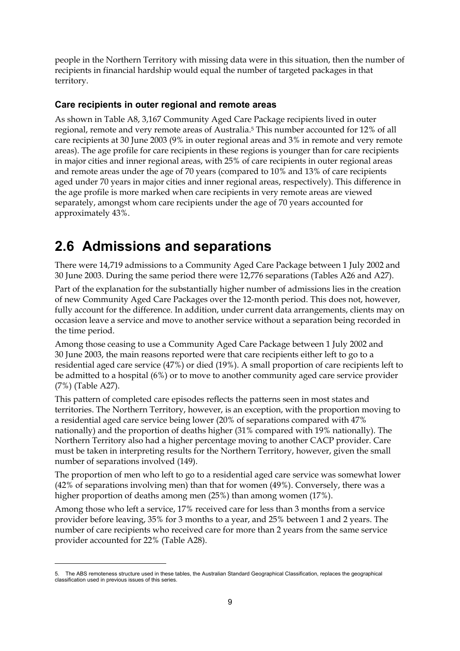people in the Northern Territory with missing data were in this situation, then the number of recipients in financial hardship would equal the number of targeted packages in that territory.

### **Care recipients in outer regional and remote areas**

As shown in Table A8, 3,167 Community Aged Care Package recipients lived in outer regional, remote and very remote areas of Australia.5 This number accounted for 12% of all care recipients at 30 June 2003 (9% in outer regional areas and 3% in remote and very remote areas). The age profile for care recipients in these regions is younger than for care recipients in major cities and inner regional areas, with 25% of care recipients in outer regional areas and remote areas under the age of 70 years (compared to 10% and 13% of care recipients aged under 70 years in major cities and inner regional areas, respectively). This difference in the age profile is more marked when care recipients in very remote areas are viewed separately, amongst whom care recipients under the age of 70 years accounted for approximately 43%.

## **2.6 Admissions and separations**

There were 14,719 admissions to a Community Aged Care Package between 1 July 2002 and 30 June 2003. During the same period there were 12,776 separations (Tables A26 and A27).

Part of the explanation for the substantially higher number of admissions lies in the creation of new Community Aged Care Packages over the 12-month period. This does not, however, fully account for the difference. In addition, under current data arrangements, clients may on occasion leave a service and move to another service without a separation being recorded in the time period.

Among those ceasing to use a Community Aged Care Package between 1 July 2002 and 30 June 2003, the main reasons reported were that care recipients either left to go to a residential aged care service (47%) or died (19%). A small proportion of care recipients left to be admitted to a hospital (6%) or to move to another community aged care service provider (7%) (Table A27).

This pattern of completed care episodes reflects the patterns seen in most states and territories. The Northern Territory, however, is an exception, with the proportion moving to a residential aged care service being lower (20% of separations compared with 47% nationally) and the proportion of deaths higher (31% compared with 19% nationally). The Northern Territory also had a higher percentage moving to another CACP provider. Care must be taken in interpreting results for the Northern Territory, however, given the small number of separations involved (149).

The proportion of men who left to go to a residential aged care service was somewhat lower (42% of separations involving men) than that for women (49%). Conversely, there was a higher proportion of deaths among men (25%) than among women (17%).

Among those who left a service, 17% received care for less than 3 months from a service provider before leaving, 35% for 3 months to a year, and 25% between 1 and 2 years. The number of care recipients who received care for more than 2 years from the same service provider accounted for 22% (Table A28).

 $\overline{a}$ 

<sup>5.</sup> The ABS remoteness structure used in these tables, the Australian Standard Geographical Classification, replaces the geographical classification used in previous issues of this series.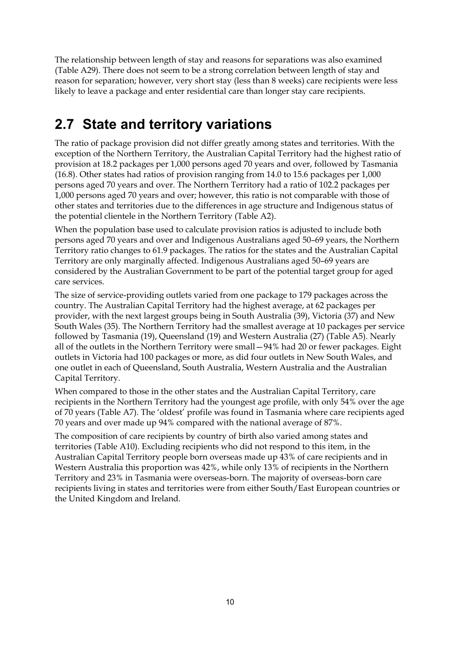The relationship between length of stay and reasons for separations was also examined (Table A29). There does not seem to be a strong correlation between length of stay and reason for separation; however, very short stay (less than 8 weeks) care recipients were less likely to leave a package and enter residential care than longer stay care recipients.

## **2.7 State and territory variations**

The ratio of package provision did not differ greatly among states and territories. With the exception of the Northern Territory, the Australian Capital Territory had the highest ratio of provision at 18.2 packages per 1,000 persons aged 70 years and over, followed by Tasmania (16.8). Other states had ratios of provision ranging from 14.0 to 15.6 packages per 1,000 persons aged 70 years and over. The Northern Territory had a ratio of 102.2 packages per 1,000 persons aged 70 years and over; however, this ratio is not comparable with those of other states and territories due to the differences in age structure and Indigenous status of the potential clientele in the Northern Territory (Table A2).

When the population base used to calculate provision ratios is adjusted to include both persons aged 70 years and over and Indigenous Australians aged 50–69 years, the Northern Territory ratio changes to 61.9 packages. The ratios for the states and the Australian Capital Territory are only marginally affected. Indigenous Australians aged 50–69 years are considered by the Australian Government to be part of the potential target group for aged care services.

The size of service-providing outlets varied from one package to 179 packages across the country. The Australian Capital Territory had the highest average, at 62 packages per provider, with the next largest groups being in South Australia (39), Victoria (37) and New South Wales (35). The Northern Territory had the smallest average at 10 packages per service followed by Tasmania (19), Queensland (19) and Western Australia (27) (Table A5). Nearly all of the outlets in the Northern Territory were small—94% had 20 or fewer packages. Eight outlets in Victoria had 100 packages or more, as did four outlets in New South Wales, and one outlet in each of Queensland, South Australia, Western Australia and the Australian Capital Territory.

When compared to those in the other states and the Australian Capital Territory, care recipients in the Northern Territory had the youngest age profile, with only 54% over the age of 70 years (Table A7). The 'oldest' profile was found in Tasmania where care recipients aged 70 years and over made up 94% compared with the national average of 87%.

The composition of care recipients by country of birth also varied among states and territories (Table A10). Excluding recipients who did not respond to this item, in the Australian Capital Territory people born overseas made up 43% of care recipients and in Western Australia this proportion was 42%, while only 13% of recipients in the Northern Territory and 23% in Tasmania were overseas-born. The majority of overseas-born care recipients living in states and territories were from either South/East European countries or the United Kingdom and Ireland.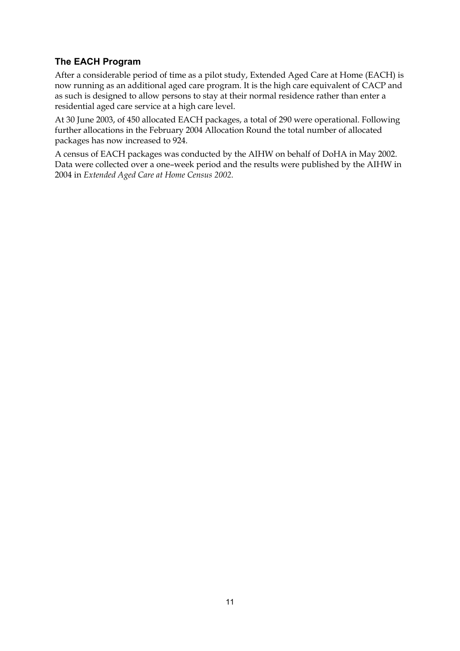### **The EACH Program**

After a considerable period of time as a pilot study, Extended Aged Care at Home (EACH) is now running as an additional aged care program. It is the high care equivalent of CACP and as such is designed to allow persons to stay at their normal residence rather than enter a residential aged care service at a high care level.

At 30 June 2003, of 450 allocated EACH packages, a total of 290 were operational. Following further allocations in the February 2004 Allocation Round the total number of allocated packages has now increased to 924.

A census of EACH packages was conducted by the AIHW on behalf of DoHA in May 2002. Data were collected over a one–week period and the results were published by the AIHW in 2004 in *Extended Aged Care at Home Census 2002.*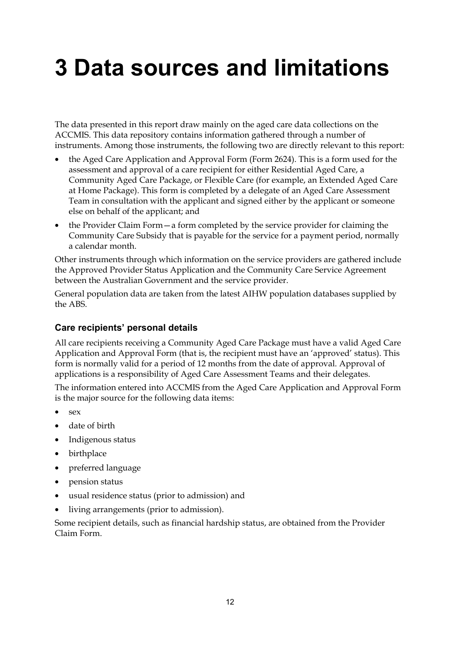## **3 Data sources and limitations**

The data presented in this report draw mainly on the aged care data collections on the ACCMIS. This data repository contains information gathered through a number of instruments. Among those instruments, the following two are directly relevant to this report:

- the Aged Care Application and Approval Form (Form 2624). This is a form used for the assessment and approval of a care recipient for either Residential Aged Care, a Community Aged Care Package, or Flexible Care (for example, an Extended Aged Care at Home Package). This form is completed by a delegate of an Aged Care Assessment Team in consultation with the applicant and signed either by the applicant or someone else on behalf of the applicant; and
- the Provider Claim Form a form completed by the service provider for claiming the Community Care Subsidy that is payable for the service for a payment period, normally a calendar month.

Other instruments through which information on the service providers are gathered include the Approved Provider Status Application and the Community Care Service Agreement between the Australian Government and the service provider.

General population data are taken from the latest AIHW population databases supplied by the ABS.

### **Care recipients' personal details**

All care recipients receiving a Community Aged Care Package must have a valid Aged Care Application and Approval Form (that is, the recipient must have an 'approved' status). This form is normally valid for a period of 12 months from the date of approval. Approval of applications is a responsibility of Aged Care Assessment Teams and their delegates.

The information entered into ACCMIS from the Aged Care Application and Approval Form is the major source for the following data items:

- sex
- date of birth
- Indigenous status
- birthplace
- preferred language
- pension status
- usual residence status (prior to admission) and
- living arrangements (prior to admission).

Some recipient details, such as financial hardship status, are obtained from the Provider Claim Form.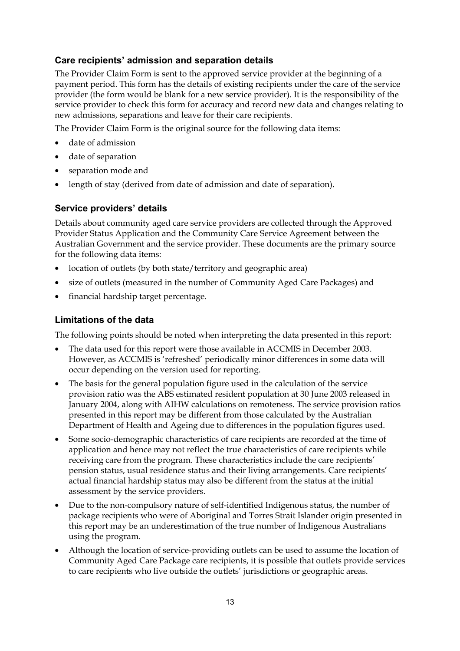### **Care recipients' admission and separation details**

The Provider Claim Form is sent to the approved service provider at the beginning of a payment period. This form has the details of existing recipients under the care of the service provider (the form would be blank for a new service provider). It is the responsibility of the service provider to check this form for accuracy and record new data and changes relating to new admissions, separations and leave for their care recipients.

The Provider Claim Form is the original source for the following data items:

- date of admission
- date of separation
- separation mode and
- length of stay (derived from date of admission and date of separation).

#### **Service providers' details**

Details about community aged care service providers are collected through the Approved Provider Status Application and the Community Care Service Agreement between the Australian Government and the service provider. These documents are the primary source for the following data items:

- location of outlets (by both state/territory and geographic area)
- size of outlets (measured in the number of Community Aged Care Packages) and
- financial hardship target percentage.

#### **Limitations of the data**

The following points should be noted when interpreting the data presented in this report:

- The data used for this report were those available in ACCMIS in December 2003. However, as ACCMIS is 'refreshed' periodically minor differences in some data will occur depending on the version used for reporting.
- The basis for the general population figure used in the calculation of the service provision ratio was the ABS estimated resident population at 30 June 2003 released in January 2004, along with AIHW calculations on remoteness. The service provision ratios presented in this report may be different from those calculated by the Australian Department of Health and Ageing due to differences in the population figures used.
- Some socio-demographic characteristics of care recipients are recorded at the time of application and hence may not reflect the true characteristics of care recipients while receiving care from the program. These characteristics include the care recipients' pension status, usual residence status and their living arrangements. Care recipients' actual financial hardship status may also be different from the status at the initial assessment by the service providers.
- Due to the non-compulsory nature of self-identified Indigenous status, the number of package recipients who were of Aboriginal and Torres Strait Islander origin presented in this report may be an underestimation of the true number of Indigenous Australians using the program.
- Although the location of service-providing outlets can be used to assume the location of Community Aged Care Package care recipients, it is possible that outlets provide services to care recipients who live outside the outlets' jurisdictions or geographic areas.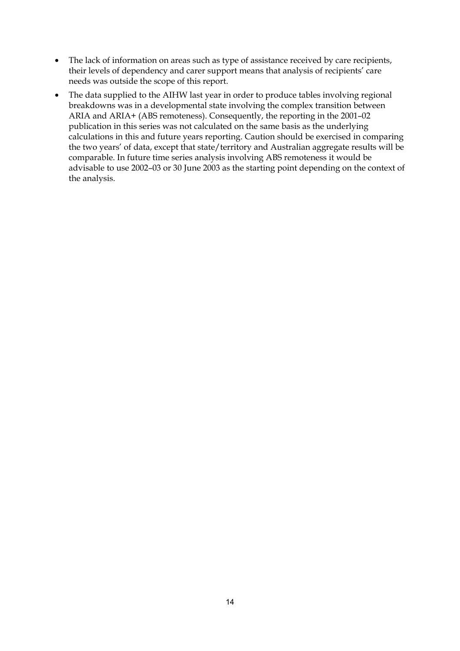- The lack of information on areas such as type of assistance received by care recipients, their levels of dependency and carer support means that analysis of recipients' care needs was outside the scope of this report.
- The data supplied to the AIHW last year in order to produce tables involving regional breakdowns was in a developmental state involving the complex transition between ARIA and ARIA+ (ABS remoteness). Consequently, the reporting in the 2001–02 publication in this series was not calculated on the same basis as the underlying calculations in this and future years reporting. Caution should be exercised in comparing the two years' of data, except that state/territory and Australian aggregate results will be comparable. In future time series analysis involving ABS remoteness it would be advisable to use 2002–03 or 30 June 2003 as the starting point depending on the context of the analysis.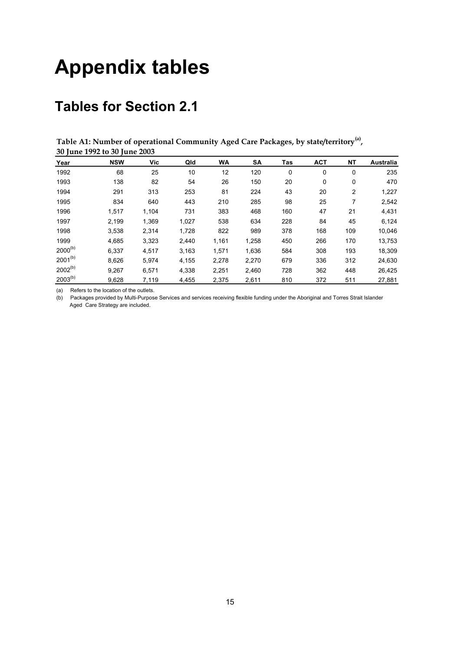## **Appendix tables**

## **Tables for Section 2.1**

**Table A1: Number of operational Community Aged Care Packages, by state/territory(a), 30 June 1992 to 30 June 2003**

| Year         | <b>NSW</b> | Vic   | Qld   | <b>WA</b> | SΑ    | Tas | <b>ACT</b> | <b>NT</b> | Australia |
|--------------|------------|-------|-------|-----------|-------|-----|------------|-----------|-----------|
| 1992         | 68         | 25    | 10    | 12        | 120   | 0   | 0          | 0         | 235       |
| 1993         | 138        | 82    | 54    | 26        | 150   | 20  | 0          | 0         | 470       |
| 1994         | 291        | 313   | 253   | 81        | 224   | 43  | 20         | 2         | 1,227     |
| 1995         | 834        | 640   | 443   | 210       | 285   | 98  | 25         | 7         | 2,542     |
| 1996         | 1,517      | 1.104 | 731   | 383       | 468   | 160 | 47         | 21        | 4,431     |
| 1997         | 2.199      | 1.369 | 1.027 | 538       | 634   | 228 | 84         | 45        | 6,124     |
| 1998         | 3,538      | 2.314 | 1.728 | 822       | 989   | 378 | 168        | 109       | 10,046    |
| 1999         | 4.685      | 3,323 | 2.440 | 1,161     | 1,258 | 450 | 266        | 170       | 13,753    |
| $2000^{(b)}$ | 6.337      | 4.517 | 3,163 | 1.571     | 1,636 | 584 | 308        | 193       | 18,309    |
| $2001^{(b)}$ | 8,626      | 5.974 | 4.155 | 2,278     | 2,270 | 679 | 336        | 312       | 24,630    |
| $2002^{(b)}$ | 9,267      | 6,571 | 4,338 | 2,251     | 2,460 | 728 | 362        | 448       | 26,425    |
| $2003^{(b)}$ | 9,628      | 7,119 | 4,455 | 2,375     | 2,611 | 810 | 372        | 511       | 27,881    |

(a) Refers to the location of the outlets.

(b) Packages provided by Multi-Purpose Services and services receiving flexible funding under the Aboriginal and Torres Strait Islander Aged Care Strategy are included.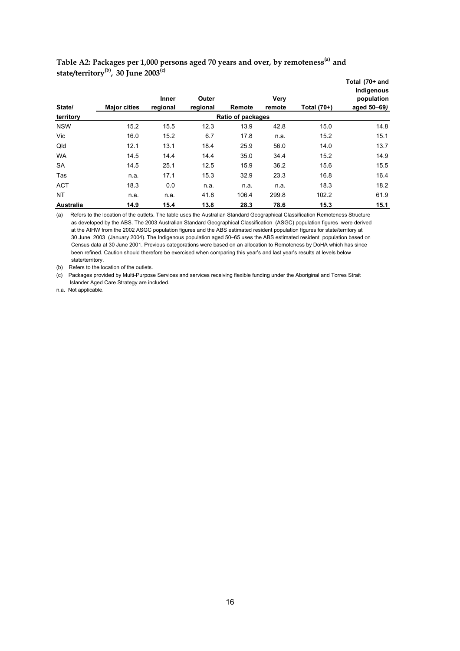| $stat$ $t$<br>State/ | $30 \mu$ ule $2003$<br><b>Major cities</b> | <b>Inner</b><br>regional | Outer<br>regional | Remote            | Very<br>remote | Total (70+) | Total (70+ and<br>Indigenous<br>population<br>aged 50-69) |
|----------------------|--------------------------------------------|--------------------------|-------------------|-------------------|----------------|-------------|-----------------------------------------------------------|
| territory            |                                            |                          |                   | Ratio of packages |                |             |                                                           |
| <b>NSW</b>           | 15.2                                       | 15.5                     | 12.3              | 13.9              | 42.8           | 15.0        | 14.8                                                      |
| Vic                  | 16.0                                       | 15.2                     | 6.7               | 17.8              | n.a.           | 15.2        | 15.1                                                      |
| Qld                  | 12.1                                       | 13.1                     | 18.4              | 25.9              | 56.0           | 14.0        | 13.7                                                      |
| <b>WA</b>            | 14.5                                       | 14.4                     | 14.4              | 35.0              | 34.4           | 15.2        | 14.9                                                      |
| <b>SA</b>            | 14.5                                       | 25.1                     | 12.5              | 15.9              | 36.2           | 15.6        | 15.5                                                      |
| Tas                  | n.a.                                       | 17.1                     | 15.3              | 32.9              | 23.3           | 16.8        | 16.4                                                      |
| <b>ACT</b>           | 18.3                                       | 0.0                      | n.a.              | n.a.              | n.a.           | 18.3        | 18.2                                                      |
| <b>NT</b>            | n.a.                                       | n.a.                     | 41.8              | 106.4             | 299.8          | 102.2       | 61.9                                                      |
| <b>Australia</b>     | 14.9                                       | 15.4                     | 13.8              | 28.3              | 78.6           | 15.3        | 15.1                                                      |

**Table A2: Packages per 1,000 persons aged 70 years and over, by remoteness(a) and state/territory(b), 30 June 2003(c)**

(a) Refers to the location of the outlets. The table uses the Australian Standard Geographical Classification Remoteness Structure as developed by the ABS. The 2003 Australian Standard Geographical Classification (ASGC) population figures were derived at the AIHW from the 2002 ASGC population figures and the ABS estimated resident population figures for state/territory at 30 June 2003 (January 2004). The Indigenous population aged 50–65 uses the ABS estimated resident population based on Census data at 30 June 2001. Previous categorations were based on an allocation to Remoteness by DoHA which has since been refined. Caution should therefore be exercised when comparing this year's and last year's results at levels below state/territory.

(b) Refers to the location of the outlets.

(c) Packages provided by Multi-Purpose Services and services receiving flexible funding under the Aboriginal and Torres Strait Islander Aged Care Strategy are included.

n.a. Not applicable.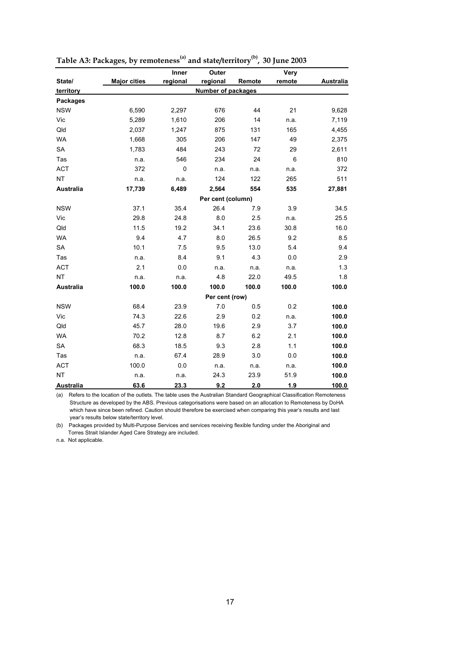|                  |                     | Inner    | Outer                     |        | Very   |                  |
|------------------|---------------------|----------|---------------------------|--------|--------|------------------|
| State/           | <b>Major cities</b> | regional | regional                  | Remote | remote | <b>Australia</b> |
| territory        |                     |          | <b>Number of packages</b> |        |        |                  |
| <b>Packages</b>  |                     |          |                           |        |        |                  |
| <b>NSW</b>       | 6,590               | 2,297    | 676                       | 44     | 21     | 9,628            |
| Vic              | 5,289               | 1,610    | 206                       | 14     | n.a.   | 7,119            |
| Qld              | 2,037               | 1,247    | 875                       | 131    | 165    | 4,455            |
| <b>WA</b>        | 1,668               | 305      | 206                       | 147    | 49     | 2,375            |
| SA               | 1,783               | 484      | 243                       | 72     | 29     | 2,611            |
| Tas              | n.a.                | 546      | 234                       | 24     | 6      | 810              |
| <b>ACT</b>       | 372                 | 0        | n.a.                      | n.a.   | n.a.   | 372              |
| <b>NT</b>        | n.a.                | n.a.     | 124                       | 122    | 265    | 511              |
| <b>Australia</b> | 17,739              | 6,489    | 2,564                     | 554    | 535    | 27,881           |
|                  |                     |          |                           |        |        |                  |
| <b>NSW</b>       | 37.1                | 35.4     | 26.4                      | 7.9    | 3.9    | 34.5             |
| Vic              | 29.8                | 24.8     | 8.0                       | 2.5    | n.a.   | 25.5             |
| Qld              | 11.5                | 19.2     | 34.1                      | 23.6   | 30.8   | 16.0             |
| <b>WA</b>        | 9.4                 | 4.7      | 8.0                       | 26.5   | 9.2    | 8.5              |
| <b>SA</b>        | 10.1                | 7.5      | 9.5                       | 13.0   | 5.4    | 9.4              |
| Tas              | n.a.                | 8.4      | 9.1                       | 4.3    | 0.0    | 2.9              |
| <b>ACT</b>       | 2.1                 | 0.0      | n.a.                      | n.a.   | n.a.   | 1.3              |
| <b>NT</b>        | n.a.                | n.a.     | 4.8                       | 22.0   | 49.5   | 1.8              |
| <b>Australia</b> | 100.0               | 100.0    | 100.0                     | 100.0  | 100.0  | 100.0            |
|                  |                     |          |                           |        |        |                  |
| <b>NSW</b>       | 68.4                | 23.9     | 7.0                       | 0.5    | 0.2    | 100.0            |
| Vic              | 74.3                | 22.6     | 2.9                       | 0.2    | n.a.   | 100.0            |
| Qld              | 45.7                | 28.0     | 19.6                      | 2.9    | 3.7    | 100.0            |
| <b>WA</b>        | 70.2                | 12.8     | 8.7                       | 6.2    | 2.1    | 100.0            |
| SA               | 68.3                | 18.5     | 9.3                       | 2.8    | 1.1    | 100.0            |
| Tas              | n.a.                | 67.4     | 28.9                      | 3.0    | 0.0    | 100.0            |
| <b>ACT</b>       | 100.0               | 0.0      | n.a.                      | n.a.   | n.a.   | 100.0            |
| <b>NT</b>        | n.a.                | n.a.     | 24.3                      | 23.9   | 51.9   | 100.0            |
| <b>Australia</b> | 63.6                | 23.3     | 9.2                       | 2.0    | 1.9    | 100.0            |

|  | Table A3: Packages, by remoteness <sup>(a)</sup> and state/territory <sup>(b)</sup> , 30 June 2003 |  |
|--|----------------------------------------------------------------------------------------------------|--|
|--|----------------------------------------------------------------------------------------------------|--|

(a) Refers to the location of the outlets. The table uses the Australian Standard Geographical Classification Remoteness Structure as developed by the ABS. Previous categorisations were based on an allocation to Remoteness by DoHA which have since been refined. Caution should therefore be exercised when comparing this year's results and last year's results below state/territory level.

(b) Packages provided by Multi-Purpose Services and services receiving flexible funding under the Aboriginal and Torres Strait Islander Aged Care Strategy are included.

n.a. Not applicable.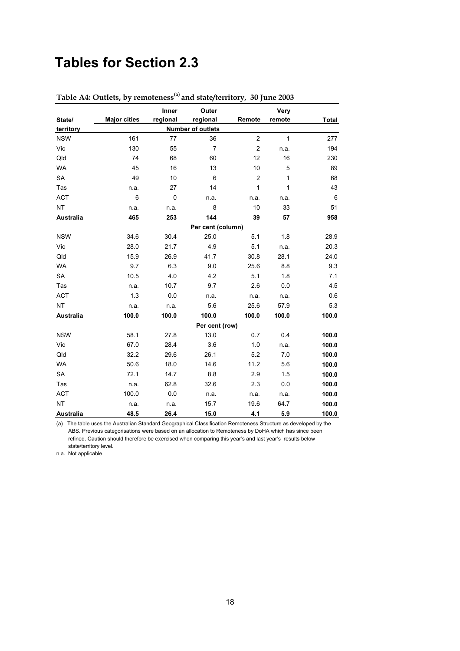## **Tables for Section 2.3**

|                                       |                     | Inner    | Outer             |                | Very   |                 |  |  |
|---------------------------------------|---------------------|----------|-------------------|----------------|--------|-----------------|--|--|
| State/                                | <b>Major cities</b> | regional | regional          | Remote         | remote | Total           |  |  |
| <b>Number of outlets</b><br>territory |                     |          |                   |                |        |                 |  |  |
| <b>NSW</b>                            | 161                 | 77       | 36                | $\overline{c}$ | 1      | 277             |  |  |
| Vic                                   | 130                 | 55       | $\overline{7}$    | $\overline{c}$ | n.a.   | 194             |  |  |
| Qld                                   | 74                  | 68       | 60                | 12             | 16     | 230             |  |  |
| <b>WA</b>                             | 45                  | 16       | 13                | 10             | 5      | 89              |  |  |
| <b>SA</b>                             | 49                  | 10       | 6                 | $\overline{c}$ | 1      | 68              |  |  |
| Tas                                   | n.a.                | 27       | 14                | 1              | 1      | 43              |  |  |
| <b>ACT</b>                            | 6                   | 0        | n.a.              | n.a.           | n.a.   | $6\phantom{1}6$ |  |  |
| <b>NT</b>                             | n.a.                | n.a.     | 8                 | 10             | 33     | 51              |  |  |
| <b>Australia</b>                      | 465                 | 253      | 144               | 39             | 57     | 958             |  |  |
|                                       |                     |          | Per cent (column) |                |        |                 |  |  |
| <b>NSW</b>                            | 34.6                | 30.4     | 25.0              | 5.1            | 1.8    | 28.9            |  |  |
| Vic                                   | 28.0                | 21.7     | 4.9               | 5.1            | n.a.   | 20.3            |  |  |
| Qld                                   | 15.9                | 26.9     | 41.7              | 30.8           | 28.1   | 24.0            |  |  |
| <b>WA</b>                             | 9.7                 | 6.3      | 9.0               | 25.6           | 8.8    | 9.3             |  |  |
| <b>SA</b>                             | 10.5                | 4.0      | 4.2               | 5.1            | 1.8    | 7.1             |  |  |
| Tas                                   | n.a.                | 10.7     | 9.7               | 2.6            | 0.0    | 4.5             |  |  |
| <b>ACT</b>                            | 1.3                 | 0.0      | n.a.              | n.a.           | n.a.   | 0.6             |  |  |
| <b>NT</b>                             | n.a.                | n.a.     | 5.6               | 25.6           | 57.9   | 5.3             |  |  |
| <b>Australia</b>                      | 100.0               | 100.0    | 100.0             | 100.0          | 100.0  | 100.0           |  |  |
|                                       |                     |          | Per cent (row)    |                |        |                 |  |  |
| <b>NSW</b>                            | 58.1                | 27.8     | 13.0              | 0.7            | 0.4    | 100.0           |  |  |
| Vic                                   | 67.0                | 28.4     | 3.6               | 1.0            | n.a.   | 100.0           |  |  |
| Qld                                   | 32.2                | 29.6     | 26.1              | 5.2            | 7.0    | 100.0           |  |  |
| <b>WA</b>                             | 50.6                | 18.0     | 14.6              | 11.2           | 5.6    | 100.0           |  |  |
| SA                                    | 72.1                | 14.7     | 8.8               | 2.9            | 1.5    | 100.0           |  |  |
| Tas                                   | n.a.                | 62.8     | 32.6              | 2.3            | 0.0    | 100.0           |  |  |
| <b>ACT</b>                            | 100.0               | 0.0      | n.a.              | n.a.           | n a    | 100.0           |  |  |
| <b>NT</b>                             | n.a.                | n.a.     | 15.7              | 19.6           | 64.7   | 100.0           |  |  |
| Australia                             | 48.5                | 26.4     | 15.0              | 4.1            | 5.9    | 100.0           |  |  |

**Table A4: Outlets, by remoteness(a) and state/territory, 30 June 2003**

(a) The table uses the Australian Standard Geographical Classification Remoteness Structure as developed by the ABS. Previous categorisations were based on an allocation to Remoteness by DoHA which has since been refined. Caution should therefore be exercised when comparing this year's and last year's results below state/territory level.

n.a. Not applicable.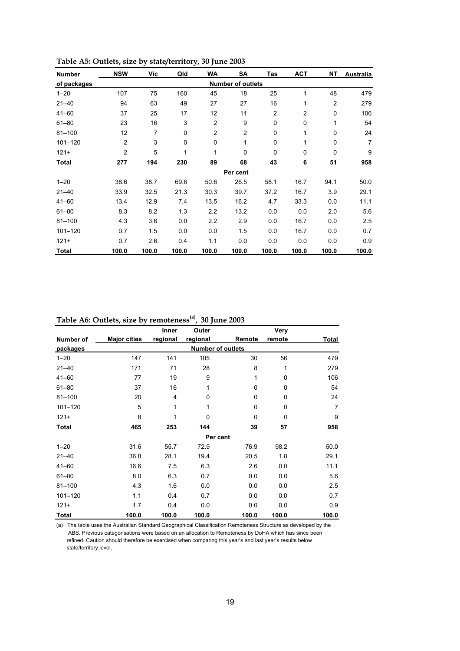| <b>Number</b> | <b>NSW</b>               | Vic   | Qld         | <b>WA</b>      | SA             | <b>Tas</b>     | <b>ACT</b>     | <b>NT</b>      | Australia      |  |  |
|---------------|--------------------------|-------|-------------|----------------|----------------|----------------|----------------|----------------|----------------|--|--|
| of packages   | <b>Number of outlets</b> |       |             |                |                |                |                |                |                |  |  |
| $1 - 20$      | 107                      | 75    | 160         | 45             | 18             | 25             | 1              | 48             | 479            |  |  |
| $21 - 40$     | 94                       | 63    | 49          | 27             | 27             | 16             | 1              | $\overline{c}$ | 279            |  |  |
| $41 - 60$     | 37                       | 25    | 17          | 12             | 11             | $\overline{c}$ | $\overline{2}$ | 0              | 106            |  |  |
| $61 - 80$     | 23                       | 16    | 3           | $\overline{2}$ | 9              | 0              | 0              | 1              | 54             |  |  |
| $81 - 100$    | 12                       | 7     | $\mathbf 0$ | $\overline{2}$ | $\overline{2}$ | 0              | 1              | 0              | 24             |  |  |
| $101 - 120$   | $\overline{c}$           | 3     | $\mathbf 0$ | $\mathbf 0$    | 1              | 0              | $\mathbf{1}$   | 0              | $\overline{7}$ |  |  |
| $121+$        | $\overline{2}$           | 5     | 1           | 1              | 0              | 0              | 0              | $\mathbf 0$    | 9              |  |  |
| Total         | 277                      | 194   | 230         | 89             | 68             | 43             | 6              | 51             | 958            |  |  |
|               |                          |       |             |                | Per cent       |                |                |                |                |  |  |
| $1 - 20$      | 38.6                     | 38.7  | 69.6        | 50.6           | 26.5           | 58.1           | 16.7           | 94.1           | 50.0           |  |  |
| $21 - 40$     | 33.9                     | 32.5  | 21.3        | 30.3           | 39.7           | 37.2           | 16.7           | 3.9            | 29.1           |  |  |
| $41 - 60$     | 13.4                     | 12.9  | 7.4         | 13.5           | 16.2           | 4.7            | 33.3           | 0.0            | 11.1           |  |  |
| $61 - 80$     | 8.3                      | 8.2   | 1.3         | 2.2            | 13.2           | 0.0            | 0.0            | 2.0            | 5.6            |  |  |
| $81 - 100$    | 4.3                      | 3.6   | 0.0         | 2.2            | 2.9            | 0.0            | 16.7           | 0.0            | 2.5            |  |  |
| $101 - 120$   | 0.7                      | 1.5   | 0.0         | 0.0            | 1.5            | 0.0            | 16.7           | 0.0            | 0.7            |  |  |
| $121 +$       | 0.7                      | 2.6   | 0.4         | 1.1            | 0.0            | 0.0            | 0.0            | 0.0            | 0.9            |  |  |
| <b>Total</b>  | 100.0                    | 100.0 | 100.0       | 100.0          | 100.0          | 100.0          | 100.0          | 100.0          | 100.0          |  |  |

**Table A5: Outlets, size by state/territory, 30 June 2003**

**Table A6: Outlets, size by remoteness(a), 30 June 2003**

|              |                     | Inner          | Outer    |                          | Very   |                |
|--------------|---------------------|----------------|----------|--------------------------|--------|----------------|
| Number of    | <b>Major cities</b> | regional       | regional | Remote                   | remote | Total          |
| packages     |                     |                |          | <b>Number of outlets</b> |        |                |
| $1 - 20$     | 147                 | 141            | 105      | 30                       | 56     | 479            |
| $21 - 40$    | 171                 | 71             | 28       | 8                        | 1      | 279            |
| $41 - 60$    | 77                  | 19             | 9        | 1                        | 0      | 106            |
| $61 - 80$    | 37                  | 16             | 1        | $\mathbf 0$              | 0      | 54             |
| $81 - 100$   | 20                  | $\overline{4}$ | 0        | 0                        | 0      | 24             |
| $101 - 120$  | 5                   | 1              | 1        | $\mathbf 0$              | 0      | $\overline{7}$ |
| $121 +$      | 8                   | 1              | 0        | $\mathbf 0$              | 0      | 9              |
| <b>Total</b> | 465                 | 253            | 144      | 39                       | 57     | 958            |
|              |                     |                |          | Per cent                 |        |                |
| $1 - 20$     | 31.6                | 55.7           | 72.9     | 76.9                     | 98.2   | 50.0           |
| $21 - 40$    | 36.8                | 28.1           | 19.4     | 20.5                     | 1.8    | 29.1           |
| $41 - 60$    | 16.6                | 7.5            | 6.3      | 2.6                      | 0.0    | 11.1           |
| $61 - 80$    | 8.0                 | 6.3            | 0.7      | 0.0                      | 0.0    | 5.6            |
| $81 - 100$   | 4.3                 | 1.6            | 0.0      | 0.0                      | 0.0    | 2.5            |
| $101 - 120$  | 1.1                 | 0.4            | 0.7      | 0.0                      | 0.0    | 0.7            |
| $121 +$      | 1.7                 | 0.4            | 0.0      | 0.0                      | 0.0    | 0.9            |
| <b>Total</b> | 100.0               | 100.0          | 100.0    | 100.0                    | 100.0  | 100.0          |

(a) The table uses the Australian Standard Geographical Classification Remoteness Structure as developed by the ABS. Previous categorisations were based on an allocation to Remoteness by DoHA which has since been refined. Caution should therefore be exercised when comparing this year's and last year's results below state/territory level.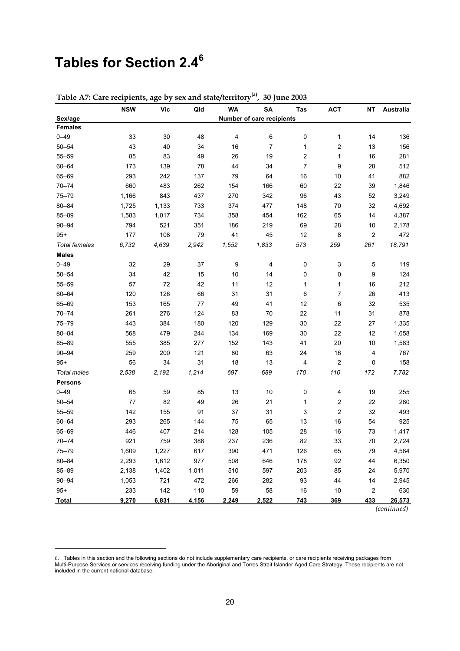## **Tables for Section 2.46**

 $\overline{a}$ 

|                      | <b>NSW</b> | <b>Vic</b> | Qld   | <b>WA</b>               | <b>SA</b>                 | <b>Tas</b>               | <b>ACT</b>              | <b>NT</b>               | <b>Australia</b> |
|----------------------|------------|------------|-------|-------------------------|---------------------------|--------------------------|-------------------------|-------------------------|------------------|
| Sex/age              |            |            |       |                         | Number of care recipients |                          |                         |                         |                  |
| <b>Females</b>       |            |            |       |                         |                           |                          |                         |                         |                  |
| $0 - 49$             | 33         | 30         | 48    | $\overline{\mathbf{4}}$ | 6                         | 0                        | 1                       | 14                      | 136              |
| $50 - 54$            | 43         | 40         | 34    | 16                      | 7                         | 1                        | 2                       | 13                      | 156              |
| $55 - 59$            | 85         | 83         | 49    | 26                      | 19                        | 2                        | 1                       | 16                      | 281              |
| $60 - 64$            | 173        | 139        | 78    | 44                      | 34                        | $\overline{\mathcal{I}}$ | 9                       | 28                      | 512              |
| 65-69                | 293        | 242        | 137   | 79                      | 64                        | 16                       | 10                      | 41                      | 882              |
| $70 - 74$            | 660        | 483        | 262   | 154                     | 166                       | 60                       | 22                      | 39                      | 1,846            |
| $75 - 79$            | 1,166      | 843        | 437   | 270                     | 342                       | 96                       | 43                      | 52                      | 3,249            |
| $80 - 84$            | 1,725      | 1,133      | 733   | 374                     | 477                       | 148                      | 70                      | 32                      | 4,692            |
| 85-89                | 1,583      | 1,017      | 734   | 358                     | 454                       | 162                      | 65                      | 14                      | 4,387            |
| $90 - 94$            | 794        | 521        | 351   | 186                     | 219                       | 69                       | 28                      | 10                      | 2,178            |
| $95 +$               | 177        | 108        | 79    | 41                      | 45                        | 12                       | 8                       | $\overline{\mathbf{c}}$ | 472              |
| <b>Total females</b> | 6,732      | 4,639      | 2,942 | 1,552                   | 1,833                     | 573                      | 259                     | 261                     | 18,791           |
| <b>Males</b>         |            |            |       |                         |                           |                          |                         |                         |                  |
| $0 - 49$             | 32         | 29         | 37    | 9                       | 4                         | 0                        | 3                       | 5                       | 119              |
| $50 - 54$            | 34         | 42         | 15    | 10                      | 14                        | 0                        | 0                       | 9                       | 124              |
| $55 - 59$            | 57         | 72         | 42    | 11                      | 12                        | 1                        | 1                       | 16                      | 212              |
| $60 - 64$            | 120        | 126        | 66    | 31                      | 31                        | 6                        | 7                       | 26                      | 413              |
| 65-69                | 153        | 165        | 77    | 49                      | 41                        | 12                       | 6                       | 32                      | 535              |
| $70 - 74$            | 261        | 276        | 124   | 83                      | 70                        | 22                       | 11                      | 31                      | 878              |
| $75 - 79$            | 443        | 384        | 180   | 120                     | 129                       | 30                       | 22                      | 27                      | 1,335            |
| $80 - 84$            | 568        | 479        | 244   | 134                     | 169                       | 30                       | 22                      | 12                      | 1,658            |
| 85-89                | 555        | 385        | 277   | 152                     | 143                       | 41                       | 20                      | 10                      | 1,583            |
| $90 - 94$            | 259        | 200        | 121   | 80                      | 63                        | 24                       | $16\,$                  | 4                       | 767              |
| $95 +$               | 56         | 34         | 31    | 18                      | 13                        | 4                        | $\overline{\mathbf{c}}$ | 0                       | 158              |
| <b>Total males</b>   | 2,538      | 2,192      | 1,214 | 697                     | 689                       | 170                      | 110                     | 172                     | 7,782            |
| <b>Persons</b>       |            |            |       |                         |                           |                          |                         |                         |                  |
| $0 - 49$             | 65         | 59         | 85    | 13                      | 10                        | 0                        | 4                       | 19                      | 255              |
| $50 - 54$            | 77         | 82         | 49    | 26                      | 21                        | 1                        | $\mathbf 2$             | 22                      | 280              |
| $55 - 59$            | 142        | 155        | 91    | 37                      | 31                        | 3                        | $\mathbf 2$             | 32                      | 493              |
| $60 - 64$            | 293        | 265        | 144   | ${\bf 75}$              | 65                        | 13                       | 16                      | 54                      | 925              |
| 65-69                | 446        | 407        | 214   | 128                     | 105                       | 28                       | 16                      | 73                      | 1,417            |
| $70 - 74$            | 921        | 759        | 386   | 237                     | 236                       | 82                       | 33                      | 70                      | 2,724            |
| $75 - 79$            | 1,609      | 1,227      | 617   | 390                     | 471                       | 126                      | 65                      | 79                      | 4,584            |
| $80 - 84$            | 2,293      | 1,612      | 977   | 508                     | 646                       | 178                      | 92                      | 44                      | 6,350            |
| 85-89                | 2,138      | 1,402      | 1,011 | 510                     | 597                       | 203                      | 85                      | 24                      | 5,970            |
| $90 - 94$            | 1,053      | 721        | 472   | 266                     | 282                       | 93                       | 44                      | 14                      | 2,945            |
| $95+$                | 233        | 142        | 110   | 59                      | 58                        | $16\,$                   | 10                      | $\boldsymbol{2}$        | 630              |
| <b>Total</b>         | 9,270      | 6,831      | 4,156 | 2,249                   | 2,522                     | $743$                    | 369                     | 433                     | 26,573           |

**Table A7: Care recipients, age by sex and state/territory(a), 30 June 2003**

*(continued)*

<sup>6.</sup> Tables in this section and the following sections do not include supplementary care recipients, or care recipients receiving packages from<br>Multi-Purpose Services or services receiving funding under the Aboriginal and included in the current national database.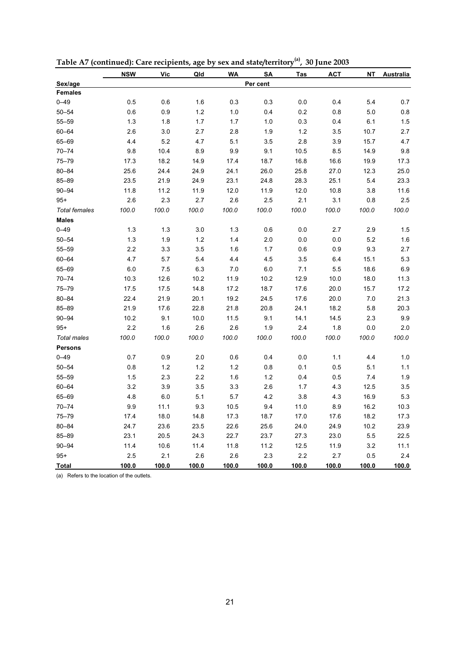|                      | <b>NSW</b> | Vic   | Qld   | <b>WA</b> | SA       | Tas   | <b>ACT</b> | <b>NT</b> | Australia |
|----------------------|------------|-------|-------|-----------|----------|-------|------------|-----------|-----------|
| Sex/age              |            |       |       |           | Per cent |       |            |           |           |
| <b>Females</b>       |            |       |       |           |          |       |            |           |           |
| $0 - 49$             | 0.5        | 0.6   | 1.6   | 0.3       | 0.3      | 0.0   | 0.4        | 5.4       | 0.7       |
| $50 - 54$            | 0.6        | 0.9   | 1.2   | 1.0       | 0.4      | 0.2   | 0.8        | 5.0       | 0.8       |
| $55 - 59$            | 1.3        | 1.8   | 1.7   | 1.7       | 1.0      | 0.3   | 0.4        | 6.1       | 1.5       |
| $60 - 64$            | 2.6        | 3.0   | 2.7   | 2.8       | 1.9      | 1.2   | 3.5        | 10.7      | 2.7       |
| 65-69                | 4.4        | 5.2   | 4.7   | 5.1       | 3.5      | 2.8   | 3.9        | 15.7      | 4.7       |
| $70 - 74$            | 9.8        | 10.4  | 8.9   | 9.9       | 9.1      | 10.5  | 8.5        | 14.9      | 9.8       |
| $75 - 79$            | 17.3       | 18.2  | 14.9  | 17.4      | 18.7     | 16.8  | 16.6       | 19.9      | 17.3      |
| $80 - 84$            | 25.6       | 24.4  | 24.9  | 24.1      | 26.0     | 25.8  | 27.0       | 12.3      | 25.0      |
| $85 - 89$            | 23.5       | 21.9  | 24.9  | 23.1      | 24.8     | 28.3  | 25.1       | 5.4       | 23.3      |
| $90 - 94$            | 11.8       | 11.2  | 11.9  | 12.0      | 11.9     | 12.0  | 10.8       | 3.8       | 11.6      |
| $95+$                | 2.6        | 2.3   | 2.7   | 2.6       | 2.5      | 2.1   | 3.1        | 0.8       | 2.5       |
| <b>Total females</b> | 100.0      | 100.0 | 100.0 | 100.0     | 100.0    | 100.0 | 100.0      | 100.0     | 100.0     |
| <b>Males</b>         |            |       |       |           |          |       |            |           |           |
| $0 - 49$             | 1.3        | 1.3   | 3.0   | 1.3       | 0.6      | 0.0   | 2.7        | 2.9       | 1.5       |
| $50 - 54$            | 1.3        | 1.9   | 1.2   | 1.4       | 2.0      | 0.0   | 0.0        | 5.2       | 1.6       |
| $55 - 59$            | 2.2        | 3.3   | 3.5   | 1.6       | 1.7      | 0.6   | 0.9        | 9.3       | 2.7       |
| $60 - 64$            | 4.7        | 5.7   | 5.4   | 4.4       | 4.5      | 3.5   | 6.4        | 15.1      | 5.3       |
| 65-69                | 6.0        | 7.5   | 6.3   | 7.0       | 6.0      | 7.1   | 5.5        | 18.6      | 6.9       |
| $70 - 74$            | 10.3       | 12.6  | 10.2  | 11.9      | 10.2     | 12.9  | 10.0       | 18.0      | 11.3      |
| $75 - 79$            | 17.5       | 17.5  | 14.8  | 17.2      | 18.7     | 17.6  | 20.0       | 15.7      | 17.2      |
| $80 - 84$            | 22.4       | 21.9  | 20.1  | 19.2      | 24.5     | 17.6  | 20.0       | 7.0       | 21.3      |
| 85-89                | 21.9       | 17.6  | 22.8  | 21.8      | 20.8     | 24.1  | 18.2       | 5.8       | 20.3      |
| $90 - 94$            | 10.2       | 9.1   | 10.0  | 11.5      | 9.1      | 14.1  | 14.5       | 2.3       | 9.9       |
| $95 +$               | 2.2        | 1.6   | 2.6   | 2.6       | 1.9      | 2.4   | 1.8        | 0.0       | 2.0       |
| <b>Total males</b>   | 100.0      | 100.0 | 100.0 | 100.0     | 100.0    | 100.0 | 100.0      | 100.0     | 100.0     |
| <b>Persons</b>       |            |       |       |           |          |       |            |           |           |
| $0 - 49$             | 0.7        | 0.9   | 2.0   | 0.6       | 0.4      | 0.0   | 1.1        | 4.4       | 1.0       |
| $50 - 54$            | 0.8        | 1.2   | 1.2   | 1.2       | 0.8      | 0.1   | 0.5        | 5.1       | 1.1       |
| $55 - 59$            | 1.5        | 2.3   | 2.2   | 1.6       | 1.2      | 0.4   | 0.5        | 7.4       | 1.9       |
| $60 - 64$            | 3.2        | 3.9   | 3.5   | 3.3       | 2.6      | 1.7   | 4.3        | 12.5      | 3.5       |
| 65-69                | 4.8        | 6.0   | 5.1   | 5.7       | 4.2      | 3.8   | 4.3        | 16.9      | 5.3       |
| $70 - 74$            | 9.9        | 11.1  | 9.3   | 10.5      | 9.4      | 11.0  | 8.9        | 16.2      | 10.3      |
| 75-79                | 17.4       | 18.0  | 14.8  | 17.3      | 18.7     | 17.0  | 17.6       | 18.2      | 17.3      |
| $80 - 84$            | 24.7       | 23.6  | 23.5  | 22.6      | 25.6     | 24.0  | 24.9       | 10.2      | 23.9      |
| 85-89                | 23.1       | 20.5  | 24.3  | 22.7      | 23.7     | 27.3  | 23.0       | 5.5       | 22.5      |
| $90 - 94$            | 11.4       | 10.6  | 11.4  | 11.8      | 11.2     | 12.5  | 11.9       | 3.2       | 11.1      |
| $95+$                | 2.5        | 2.1   | 2.6   | 2.6       | 2.3      | 2.2   | 2.7        | 0.5       | 2.4       |
| <b>Total</b>         | 100.0      | 100.0 | 100.0 | 100.0     | 100.0    | 100.0 | 100.0      | 100.0     | 100.0     |

**Table A7 (continued): Care recipients, age by sex and state/territory(a), 30 June 2003**

(a) Refers to the location of the outlets.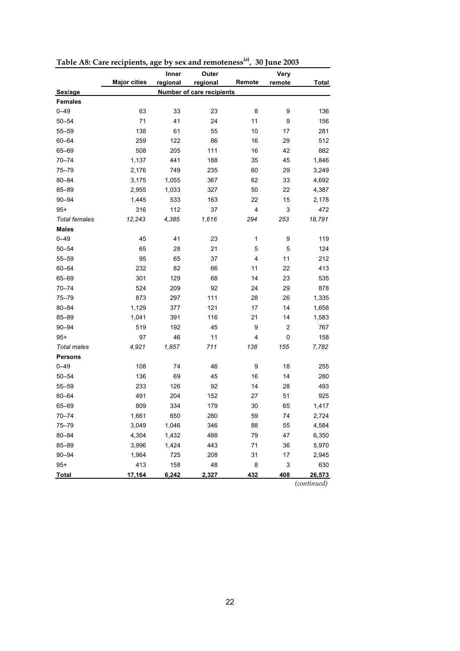|                      |                     | Inner    | Outer                            |        | <b>Very</b>             |              |
|----------------------|---------------------|----------|----------------------------------|--------|-------------------------|--------------|
|                      | <b>Major cities</b> | regional | regional                         | Remote | remote                  | <b>Total</b> |
| Sex/age              |                     |          | <b>Number of care recipients</b> |        |                         |              |
| <b>Females</b>       |                     |          |                                  |        |                         |              |
| $0 - 49$             | 63                  | 33       | 23                               | 8      | 9                       | 136          |
| $50 - 54$            | 71                  | 41       | 24                               | 11     | 9                       | 156          |
| $55 - 59$            | 138                 | 61       | 55                               | 10     | 17                      | 281          |
| $60 - 64$            | 259                 | 122      | 86                               | 16     | 29                      | 512          |
| 65-69                | 508                 | 205      | 111                              | 16     | 42                      | 882          |
| $70 - 74$            | 1,137               | 441      | 188                              | 35     | 45                      | 1,846        |
| $75 - 79$            | 2,176               | 749      | 235                              | 60     | 29                      | 3,249        |
| $80 - 84$            | 3,175               | 1,055    | 367                              | 62     | 33                      | 4,692        |
| $85 - 89$            | 2,955               | 1,033    | 327                              | 50     | 22                      | 4,387        |
| $90 - 94$            | 1,445               | 533      | 163                              | 22     | 15                      | 2,178        |
| $95+$                | 316                 | 112      | 37                               | 4      | 3                       | 472          |
| <b>Total females</b> | 12,243              | 4,385    | 1,616                            | 294    | 253                     | 18,791       |
| <b>Males</b>         |                     |          |                                  |        |                         |              |
| $0 - 49$             | 45                  | 41       | 23                               | 1      | 9                       | 119          |
| $50 - 54$            | 65                  | 28       | 21                               | 5      | 5                       | 124          |
| $55 - 59$            | 95                  | 65       | 37                               | 4      | 11                      | 212          |
| $60 - 64$            | 232                 | 82       | 66                               | 11     | 22                      | 413          |
| 65-69                | 301                 | 129      | 68                               | 14     | 23                      | 535          |
| $70 - 74$            | 524                 | 209      | 92                               | 24     | 29                      | 878          |
| $75 - 79$            | 873                 | 297      | 111                              | 28     | 26                      | 1,335        |
| $80 - 84$            | 1,129               | 377      | 121                              | 17     | 14                      | 1,658        |
| $85 - 89$            | 1,041               | 391      | 116                              | 21     | 14                      | 1,583        |
| $90 - 94$            | 519                 | 192      | 45                               | 9      | $\overline{\mathbf{c}}$ | 767          |
| $95+$                | 97                  | 46       | 11                               | 4      | 0                       | 158          |
| <b>Total males</b>   | 4,921               | 1,857    | 711                              | 138    | 155                     | 7,782        |
| <b>Persons</b>       |                     |          |                                  |        |                         |              |
| $0 - 49$             | 108                 | 74       | 46                               | 9      | 18                      | 255          |
| $50 - 54$            | 136                 | 69       | 45                               | 16     | 14                      | 280          |
| $55 - 59$            | 233                 | 126      | 92                               | 14     | 28                      | 493          |
| $60 - 64$            | 491                 | 204      | 152                              | 27     | 51                      | 925          |
| 65-69                | 809                 | 334      | 179                              | 30     | 65                      | 1,417        |
| $70 - 74$            | 1,661               | 650      | 280                              | 59     | 74                      | 2,724        |
| $75 - 79$            | 3,049               | 1,046    | 346                              | 88     | 55                      | 4,584        |
| $80 - 84$            | 4,304               | 1,432    | 488                              | 79     | 47                      | 6,350        |
| 85-89                | 3,996               | 1,424    | 443                              | 71     | 36                      | 5,970        |
| $90 - 94$            | 1,964               | 725      | 208                              | 31     | 17                      | 2,945        |
| $95+$                | 413                 | 158      | 48                               | 8      | 3                       | 630          |
| <b>Total</b>         | 17,164              | 6,242    | 2,327                            | 432    | 408                     | 26,573       |
|                      |                     |          |                                  |        |                         | (continued)  |

**Table A8: Care recipients, age by sex and remoteness(a), 30 June 2003**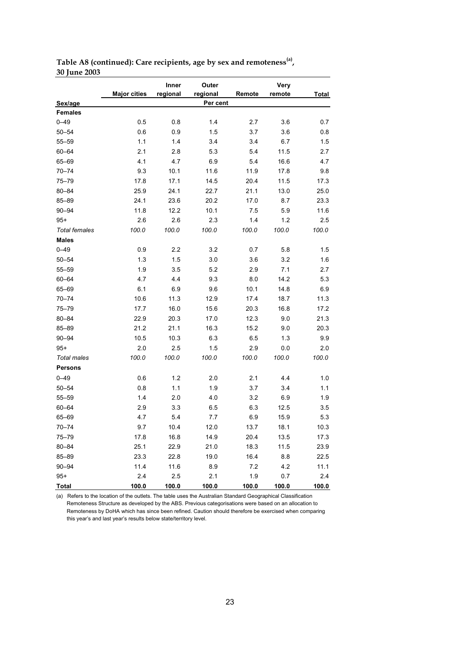|                      |                     | Inner    | Outer    |        | Very   |              |
|----------------------|---------------------|----------|----------|--------|--------|--------------|
|                      | <b>Major cities</b> | regional | regional | Remote | remote | <b>Total</b> |
| Sex/age              |                     |          | Per cent |        |        |              |
| <b>Females</b>       |                     |          |          |        |        |              |
| $0 - 49$             | 0.5                 | 0.8      | 1.4      | 2.7    | 3.6    | 0.7          |
| $50 - 54$            | 0.6                 | 0.9      | 1.5      | 3.7    | 3.6    | 0.8          |
| $55 - 59$            | 1.1                 | 1.4      | 3.4      | 3.4    | 6.7    | 1.5          |
| $60 - 64$            | 2.1                 | 2.8      | 5.3      | 5.4    | 11.5   | 2.7          |
| 65-69                | 4.1                 | 4.7      | 6.9      | 5.4    | 16.6   | 4.7          |
| $70 - 74$            | 9.3                 | 10.1     | 11.6     | 11.9   | 17.8   | 9.8          |
| $75 - 79$            | 17.8                | 17.1     | 14.5     | 20.4   | 11.5   | 17.3         |
| $80 - 84$            | 25.9                | 24.1     | 22.7     | 21.1   | 13.0   | 25.0         |
| 85-89                | 24.1                | 23.6     | 20.2     | 17.0   | 8.7    | 23.3         |
| $90 - 94$            | 11.8                | 12.2     | 10.1     | 7.5    | 5.9    | 11.6         |
| $95+$                | 2.6                 | 2.6      | 2.3      | 1.4    | 1.2    | 2.5          |
| <b>Total females</b> | 100.0               | 100.0    | 100.0    | 100.0  | 100.0  | 100.0        |
| <b>Males</b>         |                     |          |          |        |        |              |
| $0 - 49$             | 0.9                 | 2.2      | 3.2      | 0.7    | 5.8    | 1.5          |
| $50 - 54$            | 1.3                 | 1.5      | 3.0      | 3.6    | 3.2    | 1.6          |
| $55 - 59$            | 1.9                 | 3.5      | 5.2      | 2.9    | 7.1    | 2.7          |
| $60 - 64$            | 4.7                 | 4.4      | 9.3      | 8.0    | 14.2   | 5.3          |
| 65-69                | 6.1                 | 6.9      | 9.6      | 10.1   | 14.8   | 6.9          |
| $70 - 74$            | 10.6                | 11.3     | 12.9     | 17.4   | 18.7   | 11.3         |
| $75 - 79$            | 17.7                | 16.0     | 15.6     | 20.3   | 16.8   | 17.2         |
| $80 - 84$            | 22.9                | 20.3     | 17.0     | 12.3   | 9.0    | 21.3         |
| 85-89                | 21.2                | 21.1     | 16.3     | 15.2   | 9.0    | 20.3         |
| $90 - 94$            | 10.5                | 10.3     | 6.3      | 6.5    | 1.3    | 9.9          |
| $95+$                | 2.0                 | 2.5      | 1.5      | 2.9    | 0.0    | 2.0          |
| <b>Total males</b>   | 100.0               | 100.0    | 100.0    | 100.0  | 100.0  | 100.0        |
| <b>Persons</b>       |                     |          |          |        |        |              |
| $0 - 49$             | 0.6                 | 1.2      | 2.0      | 2.1    | 4.4    | 1.0          |
| $50 - 54$            | 0.8                 | 1.1      | 1.9      | 3.7    | 3.4    | 1.1          |
| $55 - 59$            | 1.4                 | 2.0      | 4.0      | 3.2    | 6.9    | 1.9          |
| $60 - 64$            | 2.9                 | 3.3      | 6.5      | 6.3    | 12.5   | 3.5          |
| 65-69                | 4.7                 | 5.4      | 7.7      | 6.9    | 15.9   | 5.3          |
| $70 - 74$            | 9.7                 | 10.4     | 12.0     | 13.7   | 18.1   | 10.3         |
| 75-79                | 17.8                | 16.8     | 14.9     | 20.4   | 13.5   | 17.3         |
| $80 - 84$            | 25.1                | 22.9     | 21.0     | 18.3   | 11.5   | 23.9         |
| 85-89                | 23.3                | 22.8     | 19.0     | 16.4   | 8.8    | 22.5         |
| $90 - 94$            | 11.4                | 11.6     | 8.9      | 7.2    | 4.2    | 11.1         |
| $95+$                | 2.4                 | 2.5      | 2.1      | 1.9    | 0.7    | 2.4          |
| <b>Total</b>         | 100.0               | 100.0    | 100.0    | 100.0  | 100.0  | 100.0        |

Table A8 (continued): Care recipients, age by sex and remoteness<sup>(a)</sup>, **30 June 2003**

(a) Refers to the location of the outlets. The table uses the Australian Standard Geographical Classification Remoteness Structure as developed by the ABS. Previous categorisations were based on an allocation to Remoteness by DoHA which has since been refined. Caution should therefore be exercised when comparing this year's and last year's results below state/territory level.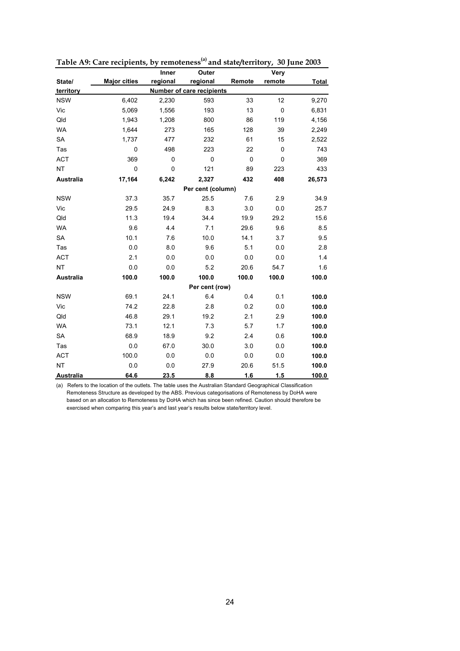|                  |                     | <b>Inner</b> | Outer                            |           | Very        |              |
|------------------|---------------------|--------------|----------------------------------|-----------|-------------|--------------|
| State/           | <b>Major cities</b> | regional     | regional                         | Remote    | remote      | <b>Total</b> |
| territory        |                     |              | <b>Number of care recipients</b> |           |             |              |
| <b>NSW</b>       | 6,402               | 2,230        | 593                              | 33        | 12          | 9,270        |
| Vic              | 5,069               | 1,556        | 193                              | 13        | $\mathbf 0$ | 6,831        |
| Qld              | 1,943               | 1,208        | 800                              | 86        | 119         | 4,156        |
| <b>WA</b>        | 1,644               | 273          | 165                              | 128       | 39          | 2,249        |
| SA               | 1,737               | 477          | 232                              | 61        | 15          | 2,522        |
| Tas              | 0                   | 498          | 223                              | 22        | $\mathbf 0$ | 743          |
| <b>ACT</b>       | 369                 | 0            | 0                                | $\pmb{0}$ | $\mathbf 0$ | 369          |
| <b>NT</b>        | 0                   | 0            | 121                              | 89        | 223         | 433          |
| <b>Australia</b> | 17,164              | 6,242        | 2,327                            | 432       | 408         | 26,573       |
|                  |                     |              | Per cent (column)                |           |             |              |
| <b>NSW</b>       | 37.3                | 35.7         | 25.5                             | 7.6       | 2.9         | 34.9         |
| Vic              | 29.5                | 24.9         | 8.3                              | 3.0       | 0.0         | 25.7         |
| Qld              | 11.3                | 19.4         | 34.4                             | 19.9      | 29.2        | 15.6         |
| <b>WA</b>        | 9.6                 | 4.4          | 7.1                              | 29.6      | 9.6         | 8.5          |
| <b>SA</b>        | 10.1                | 7.6          | 10.0                             | 14.1      | 3.7         | 9.5          |
| Tas              | 0.0                 | 8.0          | 9.6                              | 5.1       | 0.0         | 2.8          |
| <b>ACT</b>       | 2.1                 | 0.0          | 0.0                              | 0.0       | 0.0         | 1.4          |
| NT               | 0.0                 | 0.0          | 5.2                              | 20.6      | 54.7        | 1.6          |
| <b>Australia</b> | 100.0               | 100.0        | 100.0                            | 100.0     | 100.0       | 100.0        |
|                  |                     |              | Per cent (row)                   |           |             |              |
| <b>NSW</b>       | 69.1                | 24.1         | 6.4                              | 0.4       | 0.1         | 100.0        |
| Vic              | 74.2                | 22.8         | 2.8                              | 0.2       | 0.0         | 100.0        |
| Qld              | 46.8                | 29.1         | 19.2                             | 2.1       | 2.9         | 100.0        |
| <b>WA</b>        | 73.1                | 12.1         | 7.3                              | 5.7       | 1.7         | 100.0        |
| SA               | 68.9                | 18.9         | 9.2                              | 2.4       | 0.6         | 100.0        |
| Tas              | 0.0                 | 67.0         | 30.0                             | 3.0       | 0.0         | 100.0        |
| <b>ACT</b>       | 100.0               | 0.0          | 0.0                              | 0.0       | 0.0         | 100.0        |
| <b>NT</b>        | 0.0                 | 0.0          | 27.9                             | 20.6      | 51.5        | 100.0        |
| Australia        | 64.6                | 23.5         | 8.8                              | 1.6       | 1.5         | 100.0        |

**Table A9: Care recipients, by remoteness(a) and state/territory, 30 June 2003**

(a) Refers to the location of the outlets. The table uses the Australian Standard Geographical Classification Remoteness Structure as developed by the ABS. Previous categorisations of Remoteness by DoHA were based on an allocation to Remoteness by DoHA which has since been refined. Caution should therefore be exercised when comparing this year's and last year's results below state/territory level.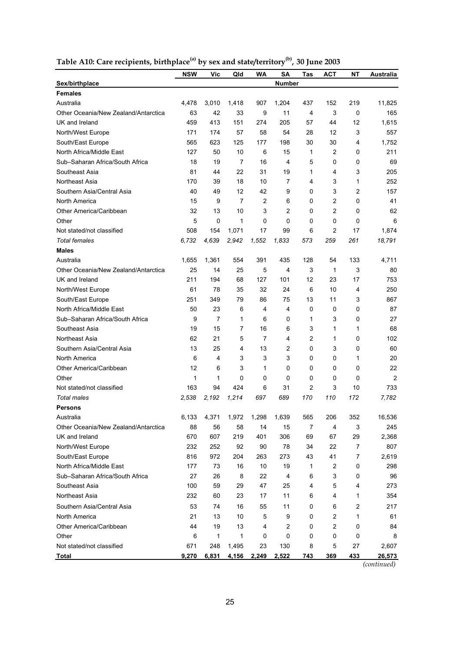|                                      | <b>NSW</b> | Vic            | Qld   | WA             | SΑ             | Tas | ACT            | NΤ             | Australia |
|--------------------------------------|------------|----------------|-------|----------------|----------------|-----|----------------|----------------|-----------|
| Sex/birthplace                       |            |                |       |                | <b>Number</b>  |     |                |                |           |
| <b>Females</b>                       |            |                |       |                |                |     |                |                |           |
| Australia                            | 4,478      | 3,010          | 1,418 | 907            | 1,204          | 437 | 152            | 219            | 11,825    |
| Other Oceania/New Zealand/Antarctica | 63         | 42             | 33    | 9              | 11             | 4   | 3              | 0              | 165       |
| UK and Ireland                       | 459        | 413            | 151   | 274            | 205            | 57  | 44             | 12             | 1,615     |
| North/West Europe                    | 171        | 174            | 57    | 58             | 54             | 28  | 12             | 3              | 557       |
| South/East Europe                    | 565        | 623            | 125   | 177            | 198            | 30  | 30             | 4              | 1,752     |
| North Africa/Middle East             | 127        | 50             | 10    | 6              | 15             | 1   | 2              | 0              | 211       |
| Sub-Saharan Africa/South Africa      | 18         | 19             | 7     | 16             | 4              | 5   | 0              | 0              | 69        |
| Southeast Asia                       | 81         | 44             | 22    | 31             | 19             | 1   | 4              | 3              | 205       |
| Northeast Asia                       | 170        | 39             | 18    | 10             | 7              | 4   | 3              | 1              | 252       |
| Southern Asia/Central Asia           | 40         | 49             | 12    | 42             | 9              | 0   | 3              | $\overline{2}$ | 157       |
| North America                        | 15         | 9              | 7     | $\overline{c}$ | 6              | 0   | $\overline{2}$ | 0              | 41        |
| Other America/Caribbean              | 32         | 13             | 10    | 3              | $\overline{2}$ | 0   | $\overline{2}$ | 0              | 62        |
| Other                                | 5          | 0              | 1     | 0              | 0              | 0   | 0              | $\Omega$       | 6         |
| Not stated/not classified            | 508        | 154            | 1.071 | 17             | 99             | 6   | $\overline{2}$ | 17             | 1,874     |
| <b>Total females</b>                 | 6,732      | 4,639          | 2,942 | 1,552          | 1,833          | 573 | 259            | 261            | 18,791    |
| <b>Males</b>                         |            |                |       |                |                |     |                |                |           |
| Australia                            | 1.655      | 1,361          | 554   | 391            | 435            | 128 | 54             | 133            | 4,711     |
| Other Oceania/New Zealand/Antarctica | 25         | 14             | 25    | 5              | 4              | 3   | $\mathbf{1}$   | 3              | 80        |
| UK and Ireland                       | 211        | 194            | 68    | 127            | 101            | 12  | 23             | 17             | 753       |
| North/West Europe                    | 61         | 78             | 35    | 32             | 24             | 6   | 10             | 4              | 250       |
| South/East Europe                    | 251        | 349            | 79    | 86             | 75             | 13  | 11             | 3              | 867       |
| North Africa/Middle East             | 50         | 23             | 6     | 4              | 4              | 0   | 0              | 0              | 87        |
| Sub-Saharan Africa/South Africa      | 9          | $\overline{7}$ | 1     | 6              | 0              | 1   | 3              | 0              | 27        |
| Southeast Asia                       | 19         | 15             | 7     | 16             | 6              | 3   | 1              | 1              | 68        |
| Northeast Asia                       | 62         | 21             | 5     | $\overline{7}$ | 4              | 2   | 1              | 0              | 102       |
| Southern Asia/Central Asia           | 13         | 25             | 4     | 13             | 2              | 0   | 3              | 0              | 60        |
| North America                        | 6          | 4              | 3     | 3              | 3              | 0   | 0              | 1              | 20        |
| Other America/Caribbean              | 12         | 6              | 3     | 1              | 0              | 0   | 0              | 0              | 22        |
| Other                                | 1          | 1              | 0     | 0              | 0              | 0   | 0              | $\Omega$       | 2         |
| Not stated/not classified            | 163        | 94             | 424   | 6              | 31             | 2   | 3              | 10             | 733       |
| <b>Total males</b>                   | 2,538      | 2,192          | 1,214 | 697            | 689            | 170 | 110            | 172            | 7,782     |
| <b>Persons</b>                       |            |                |       |                |                |     |                |                |           |
| Australia                            | 6,133      | 4,371          | 1,972 | 1,298          | 1,639          | 565 | 206            | 352            | 16,536    |
| Other Oceania/New Zealand/Antarctica | 88         | 56             | 58    | 14             | 15             | 7   | 4              | 3              | 245       |
| UK and Ireland                       | 670        | 607            | 219   | 401            | 306            | 69  | 67             | 29             | 2,368     |
| North/West Europe                    | 232        | 252            | 92    | 90             | 78             | 34  | 22             | 7              | 807       |
| South/East Europe                    | 816        | 972            | 204   | 263            | 273            | 43  | 41             | 7              | 2,619     |
| North Africa/Middle East             | 177        | 73             | 16    | 10             | 19             | 1   | 2              | 0              | 298       |
| Sub-Saharan Africa/South Africa      | 27         | 26             | 8     | 22             | 4              | 6   | 3              | 0              | 96        |
| Southeast Asia                       | 100        | 59             | 29    | 47             | 25             | 4   | 5              | 4              | 273       |
| Northeast Asia                       | 232        | 60             | 23    | 17             | 11             | 6   | 4              | 1              | 354       |
| Southern Asia/Central Asia           | 53         | 74             | 16    | 55             | 11             | 0   | 6              | $\overline{c}$ | 217       |
| North America                        | 21         | 13             | 10    | 5              | 9              | 0   | $\overline{c}$ | 1              | 61        |
| Other America/Caribbean              | 44         | 19             | 13    | 4              | 2              | 0   | $\overline{c}$ | 0              | 84        |
| Other                                | 6          | 1              | 1     | 0              | 0              | 0   | 0              | 0              | 8         |
| Not stated/not classified            | 671        | 248            | 1,495 | 23             | 130            | 8   | 5              | 27             | 2,607     |
| <b>Total</b>                         | 9,270      | 6,831          | 4,156 | 2,249          | 2,522          | 743 | 369            | 433            | 26,573    |

|  | Table A10: Care recipients, birthplace <sup>(a)</sup> by sex and state/territory <sup>(b)</sup> , 30 June 2003 |
|--|----------------------------------------------------------------------------------------------------------------|
|--|----------------------------------------------------------------------------------------------------------------|

*(continued)*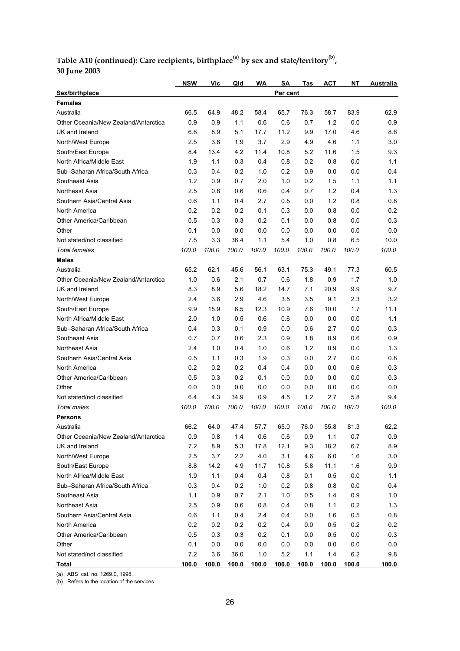#### **Table A10 (continued): Care recipients, birthplace(a) by sex and state/territory(b), 30 June 2003**

|                                      | <b>NSW</b>   | Vic   | Qld          | WA    | <b>SA</b> | Tas   | <b>ACT</b>   | NΤ      | Australia |
|--------------------------------------|--------------|-------|--------------|-------|-----------|-------|--------------|---------|-----------|
| Sex/birthplace                       |              |       |              |       | Per cent  |       |              |         |           |
| <b>Females</b>                       |              |       |              |       |           |       |              |         |           |
| Australia                            | 66.5         | 64.9  | 48.2         | 58.4  | 65.7      | 76.3  | 58.7         | 83.9    | 62.9      |
| Other Oceania/New Zealand/Antarctica | 0.9          | 0.9   | 1.1          | 0.6   | 0.6       | 0.7   | 1.2          | 0.0     | 0.9       |
| UK and Ireland                       | 6.8          | 8.9   | 5.1          | 17.7  | 11.2      | 9.9   | 17.0         | 4.6     | 8.6       |
| North/West Europe                    | 2.5          | 3.8   | 1.9          | 3.7   | 2.9       | 4.9   | 4.6          | 1.1     | 3.0       |
| South/East Europe                    | 8.4          | 13.4  | 4.2          | 11.4  | 10.8      | 5.2   | 11.6         | 1.5     | 9.3       |
| North Africa/Middle East             | 1.9          | 1.1   | 0.3          | 0.4   | 0.8       | 0.2   | 0.8          | 0.0     | 1.1       |
| Sub-Saharan Africa/South Africa      | 0.3          | 0.4   | 0.2          | 1.0   | 0.2       | 0.9   | 0.0          | 0.0     | 0.4       |
| Southeast Asia                       | 1.2          | 0.9   | 0.7          | 2.0   | 1.0       | 0.2   | 1.5          | 1.1     | 1.1       |
| Northeast Asia                       | 2.5          | 0.8   | 0.6          | 0.6   | 0.4       | 0.7   | 1.2          | 0.4     | 1.3       |
| Southern Asia/Central Asia           | 0.6          | 1.1   | 0.4          | 2.7   | 0.5       | 0.0   | 1.2          | 0.8     | 0.8       |
| North America                        | 0.2          | 0.2   | 0.2          | 0.1   | 0.3       | 0.0   | 0.8          | 0.0     | 0.2       |
| Other America/Caribbean              | 0.5          | 0.3   | 0.3          | 0.2   | 0.1       | 0.0   | 0.8          | 0.0     | 0.3       |
| Other                                | 0.1          | 0.0   | 0.0          | 0.0   | 0.0       | 0.0   | 0.0          | 0.0     | 0.0       |
| Not stated/not classified            | 7.5          | 3.3   | 36.4         | 1.1   | 5.4       | 1.0   | 0.8          | 6.5     | 10.0      |
| <b>Total females</b>                 | 100.0        | 100.0 | 100.0        | 100.0 | 100.0     | 100.0 | 100.0        | 100.0   | 100.0     |
| <b>Males</b>                         |              |       |              |       |           |       |              |         |           |
| Australia                            | 65.2         | 62.1  | 45.6         | 56.1  | 63.1      | 75.3  | 49.1         | 77.3    | 60.5      |
| Other Oceania/New Zealand/Antarctica | 1.0          | 0.6   | 2.1          | 0.7   | 0.6       | 1.8   | 0.9          | 1.7     | 1.0       |
| UK and Ireland                       | 8.3          | 8.9   | 5.6          | 18.2  | 14.7      | 7.1   | 20.9         | 9.9     | 9.7       |
| North/West Europe                    | 2.4          | 3.6   | 2.9          | 4.6   | 3.5       | 3.5   | 9.1          | 2.3     | 3.2       |
| South/East Europe                    | 9.9          | 15.9  | 6.5          | 12.3  | 10.9      | 7.6   | 10.0         | 1.7     | 11.1      |
| North Africa/Middle East             | 2.0          | 1.0   | 0.5          | 0.6   | 0.6       | 0.0   | 0.0          | 0.0     | 1.1       |
| Sub-Saharan Africa/South Africa      | 0.4          | 0.3   | 0.1          | 0.9   | 0.0       | 0.6   | 2.7          | 0.0     | 0.3       |
| Southeast Asia                       | 0.7          | 0.7   | 0.6          | 2.3   | 0.9       | 1.8   | 0.9          | 0.6     | 0.9       |
| Northeast Asia                       | 2.4          | 1.0   | 0.4          | 1.0   | 0.6       | 1.2   | 0.9          | 0.0     | 1.3       |
| Southern Asia/Central Asia           | 0.5          | 1.1   | 0.3          | 1.9   | 0.3       | 0.0   | 2.7          | 0.0     | 0.8       |
| North America                        | 0.2          | 0.2   | 0.2          | 0.4   | 0.4       | 0.0   | 0.0          | 0.6     | 0.3       |
| Other America/Caribbean              | 0.5          | 0.3   | 0.2          | 0.1   | 0.0       | 0.0   | 0.0          | 0.0     | 0.3       |
| Other                                | 0.0          | 0.0   | 0.0          | 0.0   | 0.0       | 0.0   | 0.0          | 0.0     | 0.0       |
| Not stated/not classified            | 6.4          | 4.3   | 34.9         | 0.9   | 4.5       | 1.2   | 2.7          | 5.8     | 9.4       |
| Total males                          | 100.0        | 100.0 | 100.0        | 100.0 | 100.0     | 100.0 | 100.0        | 100.0   | 100.0     |
| <b>Persons</b>                       |              |       |              |       |           |       |              |         |           |
| Australia                            | 66.2         | 64.0  | 47.4         | 57.7  | 65.0      | 76.0  | 55.8         | 81.3    | 62.2      |
| Other Oceania/New Zealand/Antarctica | 0.9          | 0.8   | 1.4          | 0.6   | 0.6       | 0.9   | 1.1          | 0.7     | 0.9       |
| UK and Ireland                       | 7.2          | 8.9   | 5.3          | 17.8  | 12.1      | 9.3   | 18.2         | 6.7     | 8.9       |
| North/West Europe                    | 2.5          | 3.7   | $2.2\,$      | 4.0   | 3.1       | 4.6   | $6.0\,$      | 1.6     | $3.0\,$   |
| South/East Europe                    | 8.8          | 14.2  | 4.9          | 11.7  | 10.8      | 5.8   | 11.1         | 1.6     | 9.9       |
| North Africa/Middle East             | 1.9          | 1.1   | 0.4          | 0.4   | 0.8       | 0.1   | 0.5          | 0.0     | 1.1       |
| Sub-Saharan Africa/South Africa      | 0.3          | 0.4   | 0.2          | 1.0   | 0.2       | 0.8   | 0.8          | 0.0     | 0.4       |
| Southeast Asia                       | 1.1          | 0.9   | 0.7          | 2.1   | 1.0       | 0.5   | 1.4          | 0.9     | 1.0       |
| Northeast Asia                       | 2.5          | 0.9   | 0.6          | 0.8   | 0.4       | 0.8   | 1.1          | 0.2     | 1.3       |
| Southern Asia/Central Asia           | 0.6          | 1.1   | 0.4          | 2.4   | 0.4       | 0.0   | 1.6          | 0.5     | 0.8       |
| North America                        | 0.2          | 0.2   | 0.2          | 0.2   | 0.4       | 0.0   | 0.5          | 0.2     | 0.2       |
| Other America/Caribbean              | 0.5          | 0.3   | 0.3          | 0.2   | 0.1       | 0.0   | 0.5          | $0.0\,$ | 0.3       |
| Other                                | 0.1          | 0.0   | 0.0          | 0.0   | 0.0       | 0.0   | 0.0          | 0.0     | 0.0       |
| Not stated/not classified            | $7.2\,$      | 3.6   | 36.0         | 1.0   | 5.2       | 1.1   | 1.4          | 6.2     | 9.8       |
| <b>Total</b>                         | <u>100.0</u> | 100.0 | <u>100.0</u> | 100.0 | 100.0     | 100.0 | <u>100.0</u> | 100.0   | 100.0     |

(a) ABS cat. no. 1269.0, 1998.

(b) Refers to the location of the services.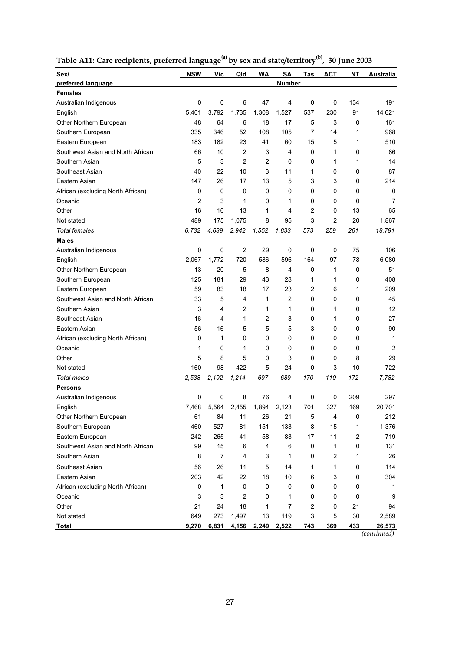| Sex/                              | <b>NSW</b>     | Vic            | Qld            | WA                      | <b>SA</b>      | Tas | АСТ | ΝT             | Australia                          |
|-----------------------------------|----------------|----------------|----------------|-------------------------|----------------|-----|-----|----------------|------------------------------------|
| preferred language                |                |                |                |                         | <b>Number</b>  |     |     |                |                                    |
| <b>Females</b>                    |                |                |                |                         |                |     |     |                |                                    |
| Australian Indigenous             | 0              | 0              | 6              | 47                      | 4              | 0   | 0   | 134            | 191                                |
| English                           | 5,401          | 3,792          | 1,735          | 1,308                   | 1,527          | 537 | 230 | 91             | 14,621                             |
| Other Northern European           | 48             | 64             | 6              | 18                      | 17             | 5   | 3   | 0              | 161                                |
| Southern European                 | 335            | 346            | 52             | 108                     | 105            | 7   | 14  | 1              | 968                                |
| Eastern European                  | 183            | 182            | 23             | 41                      | 60             | 15  | 5   | 1              | 510                                |
| Southwest Asian and North African | 66             | 10             | 2              | 3                       | 4              | 0   | 1   | 0              | 86                                 |
| Southern Asian                    | 5              | 3              | $\overline{2}$ | 2                       | 0              | 0   | 1   | 1              | 14                                 |
| Southeast Asian                   | 40             | 22             | 10             | 3                       | 11             | 1   | 0   | 0              | 87                                 |
| Eastern Asian                     | 147            | 26             | 17             | 13                      | 5              | 3   | 3   | 0              | 214                                |
| African (excluding North African) | 0              | 0              | 0              | 0                       | 0              | 0   | 0   | 0              | 0                                  |
| Oceanic                           | $\overline{c}$ | 3              | 1              | 0                       | 1              | 0   | 0   | 0              | 7                                  |
| Other                             | 16             | 16             | 13             | 1                       | 4              | 2   | 0   | 13             | 65                                 |
| Not stated                        | 489            | 175            | 1,075          | 8                       | 95             | 3   | 2   | 20             | 1,867                              |
| <b>Total females</b>              | 6,732          | 4,639          | 2,942          | 1,552                   | 1,833          | 573 | 259 | 261            | 18,791                             |
| <b>Males</b>                      |                |                |                |                         |                |     |     |                |                                    |
| Australian Indigenous             | 0              | 0              | $\overline{2}$ | 29                      | 0              | 0   | 0   | 75             | 106                                |
| English                           | 2,067          | 1,772          | 720            | 586                     | 596            | 164 | 97  | 78             | 6,080                              |
| Other Northern European           | 13             | 20             | 5              | 8                       | 4              | 0   | 1   | 0              | 51                                 |
| Southern European                 | 125            | 181            | 29             | 43                      | 28             | 1   | 1   | 0              | 408                                |
| Eastern European                  | 59             | 83             | 18             | 17                      | 23             | 2   | 6   | 1              | 209                                |
| Southwest Asian and North African | 33             | 5              | 4              | 1                       | 2              | 0   | 0   | 0              | 45                                 |
| Southern Asian                    | 3              | 4              | 2              | 1                       | 1              | 0   | 1   | 0              | 12                                 |
| Southeast Asian                   | 16             | 4              | 1              | $\overline{c}$          | 3              | 0   | 1   | 0              | 27                                 |
| Eastern Asian                     | 56             | 16             | 5              | 5                       | 5              | 3   | 0   | 0              | 90                                 |
| African (excluding North African) | 0              | 1              | 0              | 0                       | 0              | 0   | 0   | 0              | 1                                  |
| Oceanic                           | 1              | 0              | 1              | 0                       | 0              | 0   | 0   | 0              | 2                                  |
| Other                             | 5              | 8              | 5              | 0                       | 3              | 0   | 0   | 8              | 29                                 |
| Not stated                        | 160            | 98             | 422            | 5                       | 24             | 0   | 3   | 10             | 722                                |
| <b>Total males</b>                | 2,538          | 2,192          | 1,214          | 697                     | 689            | 170 | 110 | 172            | 7,782                              |
| <b>Persons</b>                    |                |                |                |                         |                |     |     |                |                                    |
| Australian Indigenous             | 0              | 0              | 8              | 76                      | 4              | 0   | 0   | 209            | 297                                |
| English                           | 7,468          | 5,564          | 2,455          | 1,894                   | 2,123          | 701 | 327 | 169            | 20,701                             |
| Other Northern European           | 61             | 84             | 11             | 26                      | 21             | 5   | 4   | 0              | 212                                |
| Southern European                 | 460            | 527            | 81             | 151                     | 133            | 8   | 15  | 1              | 1,376                              |
| Eastern European                  | 242            | 265            | 41             | 58                      | 83             | 17  | 11  | $\overline{c}$ | 719                                |
| Southwest Asian and North African | 99             | 15             | 6              | $\overline{\mathbf{4}}$ | 6              | 0   | 1   | 0              | 131                                |
| Southern Asian                    | 8              | $\overline{7}$ | 4              | 3                       | 1              | 0   | 2   | 1              | 26                                 |
|                                   |                |                |                |                         |                |     |     |                |                                    |
| Southeast Asian                   | 56             | 26             | 11             | 5                       | 14             | 1   | 1   | 0              | 114                                |
| Eastern Asian                     | 203            | 42             | 22             | 18                      | 10             | 6   | 3   | 0              | 304                                |
| African (excluding North African) | 0              | 1              | 0              | 0                       | 0              | 0   | 0   | 0              | 1                                  |
| Oceanic                           | 3              | 3              | $\overline{c}$ | 0                       | 1              | 0   | 0   | 0              | 9                                  |
| Other                             | 21             | 24             | 18             | 1                       | $\overline{7}$ | 2   | 0   | 21             | 94                                 |
| Not stated                        | 649            | 273            | 1,497          | 13                      | 119            | 3   | 5   | 30             | 2,589                              |
| <b>Total</b>                      | 9,270          | 6,831          | 4,156          | 2,249                   | 2,522          | 743 | 369 | 433            | 26,573<br>$\overline{(continued)}$ |

**Table A11: Care recipients, preferred language(a) by sex and state/territory(b), 30 June 2003**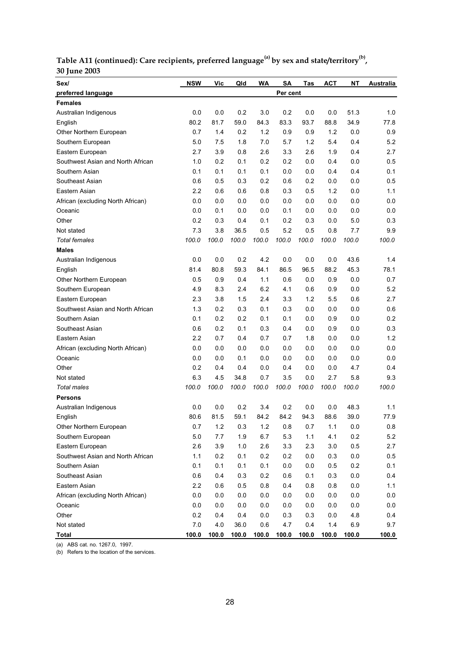| Table A11 (continued): Care recipients, preferred language <sup>(a)</sup> by sex and state/territory <sup>(b)</sup> , |  |
|-----------------------------------------------------------------------------------------------------------------------|--|
| <b>30 June 2003</b>                                                                                                   |  |

| Sex/                              | <b>NSW</b> | Vic   | Qld   | WA    | SA       | Tas     | <b>ACT</b> | <b>NT</b> | Australia |
|-----------------------------------|------------|-------|-------|-------|----------|---------|------------|-----------|-----------|
| preferred language                |            |       |       |       | Per cent |         |            |           |           |
| <b>Females</b>                    |            |       |       |       |          |         |            |           |           |
| Australian Indigenous             | 0.0        | 0.0   | 0.2   | 3.0   | 0.2      | 0.0     | 0.0        | 51.3      | 1.0       |
| English                           | 80.2       | 81.7  | 59.0  | 84.3  | 83.3     | 93.7    | 88.8       | 34.9      | 77.8      |
| Other Northern European           | 0.7        | 1.4   | 0.2   | 1.2   | 0.9      | 0.9     | 1.2        | 0.0       | 0.9       |
| Southern European                 | 5.0        | 7.5   | 1.8   | 7.0   | 5.7      | 1.2     | 5.4        | 0.4       | 5.2       |
| Eastern European                  | 2.7        | 3.9   | 0.8   | 2.6   | 3.3      | 2.6     | 1.9        | 0.4       | 2.7       |
| Southwest Asian and North African | 1.0        | 0.2   | 0.1   | 0.2   | 0.2      | 0.0     | 0.4        | 0.0       | 0.5       |
| Southern Asian                    | 0.1        | 0.1   | 0.1   | 0.1   | 0.0      | 0.0     | 0.4        | 0.4       | 0.1       |
| Southeast Asian                   | 0.6        | 0.5   | 0.3   | 0.2   | 0.6      | 0.2     | 0.0        | 0.0       | 0.5       |
| Eastern Asian                     | 2.2        | 0.6   | 0.6   | 0.8   | 0.3      | 0.5     | 1.2        | 0.0       | 1.1       |
| African (excluding North African) | 0.0        | 0.0   | 0.0   | 0.0   | 0.0      | 0.0     | 0.0        | 0.0       | 0.0       |
| Oceanic                           | 0.0        | 0.1   | 0.0   | 0.0   | 0.1      | 0.0     | 0.0        | 0.0       | 0.0       |
| Other                             | 0.2        | 0.3   | 0.4   | 0.1   | 0.2      | 0.3     | 0.0        | 5.0       | 0.3       |
| Not stated                        | 7.3        | 3.8   | 36.5  | 0.5   | 5.2      | 0.5     | 0.8        | 7.7       | 9.9       |
| <b>Total females</b>              | 100.0      | 100.0 | 100.0 | 100.0 | 100.0    | 100.0   | 100.0      | 100.0     | 100.0     |
| <b>Males</b>                      |            |       |       |       |          |         |            |           |           |
| Australian Indigenous             | 0.0        | 0.0   | 0.2   | 4.2   | 0.0      | 0.0     | 0.0        | 43.6      | 1.4       |
| English                           | 81.4       | 80.8  | 59.3  | 84.1  | 86.5     | 96.5    | 88.2       | 45.3      | 78.1      |
| Other Northern European           | 0.5        | 0.9   | 0.4   | 1.1   | 0.6      | 0.0     | 0.9        | 0.0       | 0.7       |
| Southern European                 | 4.9        | 8.3   | 2.4   | 6.2   | 4.1      | 0.6     | 0.9        | 0.0       | 5.2       |
| Eastern European                  | 2.3        | 3.8   | 1.5   | 2.4   | 3.3      | 1.2     | 5.5        | 0.6       | 2.7       |
| Southwest Asian and North African | 1.3        | 0.2   | 0.3   | 0.1   | 0.3      | 0.0     | 0.0        | 0.0       | 0.6       |
| Southern Asian                    | 0.1        | 0.2   | 0.2   | 0.1   | 0.1      | 0.0     | 0.9        | 0.0       | 0.2       |
| Southeast Asian                   | 0.6        | 0.2   | 0.1   | 0.3   | 0.4      | 0.0     | 0.9        | 0.0       | 0.3       |
| Eastern Asian                     | 2.2        | 0.7   | 0.4   | 0.7   | 0.7      | 1.8     | 0.0        | 0.0       | 1.2       |
| African (excluding North African) | 0.0        | 0.0   | 0.0   | 0.0   | 0.0      | 0.0     | 0.0        | 0.0       | 0.0       |
| Oceanic                           | 0.0        | 0.0   | 0.1   | 0.0   | 0.0      | 0.0     | 0.0        | 0.0       | 0.0       |
| Other                             | 0.2        | 0.4   | 0.4   | 0.0   | 0.4      | 0.0     | 0.0        | 4.7       | 0.4       |
| Not stated                        | 6.3        | 4.5   | 34.8  | 0.7   | 3.5      | 0.0     | 2.7        | 5.8       | 9.3       |
| <b>Total males</b>                | 100.0      | 100.0 | 100.0 | 100.0 | 100.0    | 100.0   | 100.0      | 100.0     | 100.0     |
| <b>Persons</b>                    |            |       |       |       |          |         |            |           |           |
| Australian Indigenous             | 0.0        | 0.0   | 0.2   | 3.4   | 0.2      | 0.0     | 0.0        | 48.3      | 1.1       |
| English                           | 80.6       | 81.5  | 59.1  | 84.2  | 84.2     | 94.3    | 88.6       | 39.0      | 77.9      |
| Other Northern European           | 0.7        | $1.2$ | 0.3   | $1.2$ | 0.8      | $0.7\,$ | 1.1        | 0.0       | 0.8       |
| Southern European                 | 5.0        | 7.7   | 1.9   | 6.7   | 5.3      | 1.1     | 4.1        | 0.2       | 5.2       |
| Eastern European                  | 2.6        | 3.9   | $1.0$ | 2.6   | 3.3      | 2.3     | 3.0        | 0.5       | 2.7       |
| Southwest Asian and North African | 1.1        | 0.2   | 0.1   | 0.2   | 0.2      | 0.0     | 0.3        | 0.0       | 0.5       |
| Southern Asian                    | 0.1        | 0.1   | 0.1   | 0.1   | 0.0      | 0.0     | 0.5        | 0.2       | 0.1       |
| Southeast Asian                   | 0.6        | 0.4   | 0.3   | 0.2   | 0.6      | 0.1     | 0.3        | $0.0\,$   | 0.4       |
| Eastern Asian                     | 2.2        | 0.6   | 0.5   | 0.8   | 0.4      | 0.8     | 0.8        | $0.0\,$   | 1.1       |
| African (excluding North African) | 0.0        | 0.0   | 0.0   | 0.0   | 0.0      | 0.0     | 0.0        | $0.0\,$   | $0.0\,$   |
| Oceanic                           | 0.0        | 0.0   | 0.0   | 0.0   | 0.0      | 0.0     | 0.0        | 0.0       | 0.0       |
| Other                             | 0.2        | 0.4   | 0.4   | 0.0   | 0.3      | 0.3     | 0.0        | 4.8       | 0.4       |
| Not stated                        | 7.0        | 4.0   | 36.0  | 0.6   | 4.7      | 0.4     | 1.4        | 6.9       | 9.7       |
| <b>Total</b>                      | 100.0      | 100.0 | 100.0 | 100.0 | 100.0    | 100.0   | 100.0      | 100.0     | 100.0     |

(a) ABS cat. no. 1267.0, 1997.

(b) Refers to the location of the services.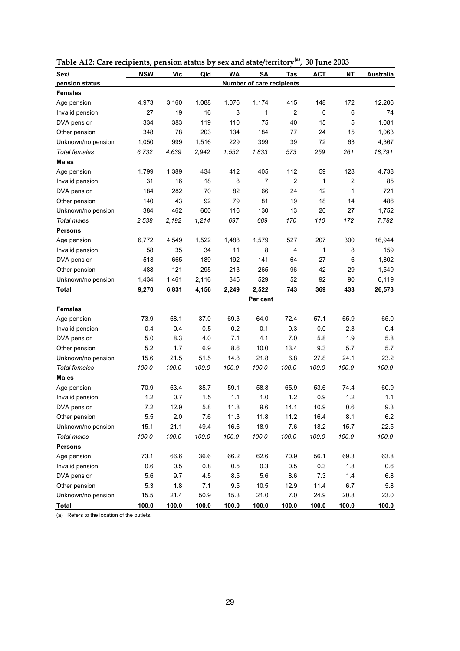| Sex/                 | <b>NSW</b> | Vic   | Qld   | <b>WA</b> | SΑ                               | Tas            | <b>ACT</b>   | ΝT    | Australia |
|----------------------|------------|-------|-------|-----------|----------------------------------|----------------|--------------|-------|-----------|
| pension status       |            |       |       |           | <b>Number of care recipients</b> |                |              |       |           |
| <b>Females</b>       |            |       |       |           |                                  |                |              |       |           |
| Age pension          | 4,973      | 3,160 | 1,088 | 1,076     | 1,174                            | 415            | 148          | 172   | 12,206    |
| Invalid pension      | 27         | 19    | 16    | 3         | 1                                | $\overline{c}$ | 0            | 6     | 74        |
| DVA pension          | 334        | 383   | 119   | 110       | 75                               | 40             | 15           | 5     | 1,081     |
| Other pension        | 348        | 78    | 203   | 134       | 184                              | 77             | 24           | 15    | 1,063     |
| Unknown/no pension   | 1,050      | 999   | 1,516 | 229       | 399                              | 39             | 72           | 63    | 4,367     |
| <b>Total females</b> | 6,732      | 4,639 | 2,942 | 1,552     | 1,833                            | 573            | 259          | 261   | 18,791    |
| <b>Males</b>         |            |       |       |           |                                  |                |              |       |           |
| Age pension          | 1,799      | 1,389 | 434   | 412       | 405                              | 112            | 59           | 128   | 4,738     |
| Invalid pension      | 31         | 16    | 18    | 8         | 7                                | $\overline{2}$ | $\mathbf{1}$ | 2     | 85        |
| DVA pension          | 184        | 282   | 70    | 82        | 66                               | 24             | 12           | 1     | 721       |
| Other pension        | 140        | 43    | 92    | 79        | 81                               | 19             | 18           | 14    | 486       |
| Unknown/no pension   | 384        | 462   | 600   | 116       | 130                              | 13             | 20           | 27    | 1,752     |
| <b>Total males</b>   | 2,538      | 2,192 | 1,214 | 697       | 689                              | 170            | 110          | 172   | 7,782     |
| <b>Persons</b>       |            |       |       |           |                                  |                |              |       |           |
| Age pension          | 6,772      | 4,549 | 1,522 | 1,488     | 1,579                            | 527            | 207          | 300   | 16,944    |
| Invalid pension      | 58         | 35    | 34    | 11        | 8                                | 4              | $\mathbf{1}$ | 8     | 159       |
| DVA pension          | 518        | 665   | 189   | 192       | 141                              | 64             | 27           | 6     | 1,802     |
| Other pension        | 488        | 121   | 295   | 213       | 265                              | 96             | 42           | 29    | 1,549     |
| Unknown/no pension   | 1,434      | 1,461 | 2,116 | 345       | 529                              | 52             | 92           | 90    | 6,119     |
| Total                | 9,270      | 6,831 | 4,156 | 2,249     | 2,522                            | 743            | 369          | 433   | 26,573    |
|                      |            |       |       |           | Per cent                         |                |              |       |           |
| <b>Females</b>       |            |       |       |           |                                  |                |              |       |           |
| Age pension          | 73.9       | 68.1  | 37.0  | 69.3      | 64.0                             | 72.4           | 57.1         | 65.9  | 65.0      |
| Invalid pension      | 0.4        | 0.4   | 0.5   | 0.2       | 0.1                              | 0.3            | 0.0          | 2.3   | 0.4       |
| DVA pension          | 5.0        | 8.3   | 4.0   | 7.1       | 4.1                              | 7.0            | 5.8          | 1.9   | 5.8       |
| Other pension        | 5.2        | 1.7   | 6.9   | 8.6       | 10.0                             | 13.4           | 9.3          | 5.7   | 5.7       |
| Unknown/no pension   | 15.6       | 21.5  | 51.5  | 14.8      | 21.8                             | 6.8            | 27.8         | 24.1  | 23.2      |
| <b>Total females</b> | 100.0      | 100.0 | 100.0 | 100.0     | 100.0                            | 100.0          | 100.0        | 100.0 | 100.0     |
| <b>Males</b>         |            |       |       |           |                                  |                |              |       |           |
| Age pension          | 70.9       | 63.4  | 35.7  | 59.1      | 58.8                             | 65.9           | 53.6         | 74.4  | 60.9      |
| Invalid pension      | 1.2        | 0.7   | 1.5   | 1.1       | 1.0                              | 1.2            | 0.9          | 1.2   | 1.1       |
| DVA pension          | 7.2        | 12.9  | 5.8   | 11.8      | 9.6                              | 14.1           | 10.9         | 0.6   | 9.3       |
| Other pension        | 5.5        | 2.0   | 7.6   | 11.3      | 11.8                             | 11.2           | 16.4         | 8.1   | $6.2\,$   |
| Unknown/no pension   | 15.1       | 21.1  | 49.4  | 16.6      | 18.9                             | 7.6            | 18.2         | 15.7  | 22.5      |
| Total males          | 100.0      | 100.0 | 100.0 | 100.0     | 100.0                            | 100.0          | 100.0        | 100.0 | 100.0     |
| <b>Persons</b>       |            |       |       |           |                                  |                |              |       |           |
| Age pension          | 73.1       | 66.6  | 36.6  | 66.2      | 62.6                             | 70.9           | 56.1         | 69.3  | 63.8      |
| Invalid pension      | 0.6        | 0.5   | 0.8   | 0.5       | 0.3                              | 0.5            | 0.3          | 1.8   | 0.6       |
| DVA pension          | 5.6        | 9.7   | 4.5   | 8.5       | 5.6                              | 8.6            | 7.3          | 1.4   | 6.8       |
| Other pension        | 5.3        | 1.8   | 7.1   | 9.5       | 10.5                             | 12.9           | 11.4         | 6.7   | 5.8       |
| Unknown/no pension   | 15.5       | 21.4  | 50.9  | 15.3      | 21.0                             | $7.0\,$        | 24.9         | 20.8  | 23.0      |
| <b>Total</b>         | 100.0      | 100.0 | 100.0 | 100.0     | 100.0                            | 100.0          | 100.0        | 100.0 | 100.0     |

**Table A12: Care recipients, pension status by sex and state/territory(a), 30 June 2003**

(a) Refers to the location of the outlets.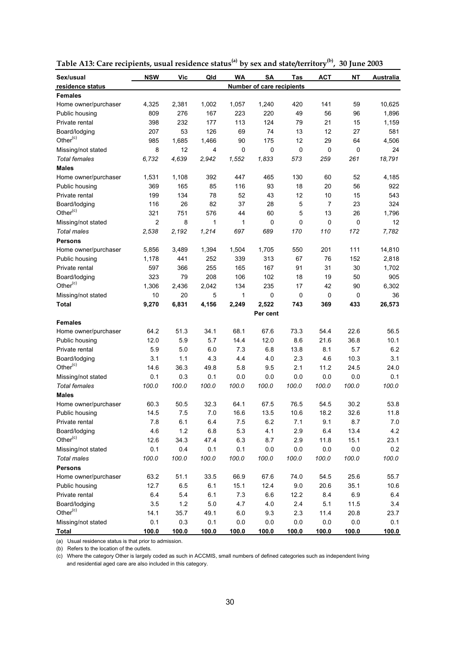| Sex/usual            | <b>NSW</b>     | Vic   | Qld   | WA      | SΑ                        | Tas   | <b>ACT</b>     | NΤ      | Australia |
|----------------------|----------------|-------|-------|---------|---------------------------|-------|----------------|---------|-----------|
| residence status     |                |       |       |         | Number of care recipients |       |                |         |           |
| <b>Females</b>       |                |       |       |         |                           |       |                |         |           |
| Home owner/purchaser | 4,325          | 2,381 | 1,002 | 1,057   | 1,240                     | 420   | 141            | 59      | 10,625    |
| Public housing       | 809            | 276   | 167   | 223     | 220                       | 49    | 56             | 96      | 1,896     |
| Private rental       | 398            | 232   | 177   | 113     | 124                       | 79    | 21             | 15      | 1,159     |
| Board/lodging        | 207            | 53    | 126   | 69      | 74                        | 13    | 12             | 27      | 581       |
| Other <sup>(c)</sup> | 985            | 1,685 | 1,466 | 90      | 175                       | 12    | 29             | 64      | 4,506     |
| Missing/not stated   | 8              | 12    | 4     | 0       | 0                         | 0     | 0              | 0       | 24        |
| <b>Total females</b> | 6,732          | 4,639 | 2,942 | 1,552   | 1,833                     | 573   | 259            | 261     | 18,791    |
| <b>Males</b>         |                |       |       |         |                           |       |                |         |           |
| Home owner/purchaser | 1,531          | 1,108 | 392   | 447     | 465                       | 130   | 60             | 52      | 4,185     |
| Public housing       | 369            | 165   | 85    | 116     | 93                        | 18    | 20             | 56      | 922       |
| Private rental       | 199            | 134   | 78    | 52      | 43                        | 12    | 10             | 15      | 543       |
| Board/lodging        | 116            | 26    | 82    | 37      | 28                        | 5     | $\overline{7}$ | 23      | 324       |
| Other <sup>(c)</sup> | 321            | 751   | 576   | 44      | 60                        | 5     | 13             | 26      | 1,796     |
| Missing/not stated   | $\overline{2}$ | 8     | 1     | 1       | 0                         | 0     | 0              | 0       | 12        |
| <b>Total males</b>   | 2,538          | 2,192 | 1,214 | 697     | 689                       | 170   | 110            | 172     | 7,782     |
| <b>Persons</b>       |                |       |       |         |                           |       |                |         |           |
| Home owner/purchaser | 5,856          | 3,489 | 1,394 | 1,504   | 1,705                     | 550   | 201            | 111     | 14,810    |
| Public housing       | 1,178          | 441   | 252   | 339     | 313                       | 67    | 76             | 152     | 2,818     |
| Private rental       | 597            | 366   | 255   | 165     | 167                       | 91    | 31             | 30      | 1,702     |
| Board/lodging        | 323            | 79    | 208   | 106     | 102                       | 18    | 19             | 50      | 905       |
| Other $(c)$          | 1,306          | 2,436 | 2,042 | 134     | 235                       | 17    | 42             | 90      | 6,302     |
| Missing/not stated   | 10             | 20    | 5     | 1       | 0                         | 0     | 0              | 0       | 36        |
| <b>Total</b>         | 9,270          | 6,831 | 4,156 | 2,249   | 2,522                     | 743   | 369            | 433     | 26,573    |
|                      |                |       |       |         | Per cent                  |       |                |         |           |
| <b>Females</b>       |                |       |       |         |                           |       |                |         |           |
| Home owner/purchaser | 64.2           | 51.3  | 34.1  | 68.1    | 67.6                      | 73.3  | 54.4           | 22.6    | 56.5      |
| Public housing       | 12.0           | 5.9   | 5.7   | 14.4    | 12.0                      | 8.6   | 21.6           | 36.8    | 10.1      |
| Private rental       | 5.9            | 5.0   | 6.0   | 7.3     | 6.8                       | 13.8  | 8.1            | 5.7     | 6.2       |
| Board/lodging        | 3.1            | 1.1   | 4.3   | 4.4     | 4.0                       | 2.3   | 4.6            | 10.3    | 3.1       |
| Other <sup>(c)</sup> | 14.6           | 36.3  | 49.8  | 5.8     | 9.5                       | 2.1   | 11.2           | 24.5    | 24.0      |
| Missing/not stated   | 0.1            | 0.3   | 0.1   | 0.0     | 0.0                       | 0.0   | 0.0            | 0.0     | 0.1       |
| <b>Total females</b> | 100.0          | 100.0 | 100.0 | 100.0   | 100.0                     | 100.0 | 100.0          | 100.0   | 100.0     |
| <b>Males</b>         |                |       |       |         |                           |       |                |         |           |
| Home owner/purchaser | 60.3           | 50.5  | 32.3  | 64.1    | 67.5                      | 76.5  | 54.5           | 30.2    | 53.8      |
| Public housing       | 14.5           | 7.5   | 7.0   | 16.6    | 13.5                      | 10.6  | 18.2           | 32.6    | 11.8      |
| Private rental       | 7.8            | 6.1   | 6.4   | 7.5     | 6.2                       | 7.1   | 9.1            | 8.7     | $7.0\,$   |
| Board/lodging        | 4.6            | $1.2$ | 6.8   | 5.3     | 4.1                       | 2.9   | 6.4            | 13.4    | 4.2       |
| Other <sup>(c)</sup> | 12.6           | 34.3  | 47.4  | 6.3     | 8.7                       | 2.9   | 11.8           | 15.1    | 23.1      |
| Missing/not stated   | 0.1            | 0.4   | 0.1   | $0.1\,$ | $0.0\,$                   | 0.0   | 0.0            | 0.0     | 0.2       |
| <b>Total males</b>   | 100.0          | 100.0 | 100.0 | 100.0   | 100.0                     | 100.0 | 100.0          | 100.0   | 100.0     |
| <b>Persons</b>       |                |       |       |         |                           |       |                |         |           |
| Home owner/purchaser | 63.2           | 51.1  | 33.5  | 66.9    | 67.6                      | 74.0  | 54.5           | 25.6    | 55.7      |
| Public housing       | 12.7           | 6.5   | 6.1   | 15.1    | 12.4                      | 9.0   | 20.6           | 35.1    | 10.6      |
| Private rental       | 6.4            | 5.4   | 6.1   | 7.3     | $6.6\,$                   | 12.2  | 8.4            | 6.9     | 6.4       |
| Board/lodging        | 3.5            | 1.2   | 5.0   | 4.7     | 4.0                       | 2.4   | 5.1            | 11.5    | 3.4       |
| Other <sup>(c)</sup> | 14.1           | 35.7  | 49.1  | 6.0     | 9.3                       | 2.3   | 11.4           | 20.8    | 23.7      |
| Missing/not stated   | 0.1            | 0.3   | 0.1   | $0.0\,$ | $0.0\,$                   | 0.0   | 0.0            | $0.0\,$ | 0.1       |
| <b>Total</b>         | 100.0          | 100.0 | 100.0 | 100.0   | 100.0                     | 100.0 | 100.0          | 100.0   | 100.0     |

**Table A13: Care recipients, usual residence status(a) by sex and state/territory(b), 30 June 2003**

(a) Usual residence status is that prior to admission.

(b) Refers to the location of the outlets.

(c) Where the category Other is largely coded as such in ACCMIS, small numbers of defined categories such as independent living and residential aged care are also included in this category.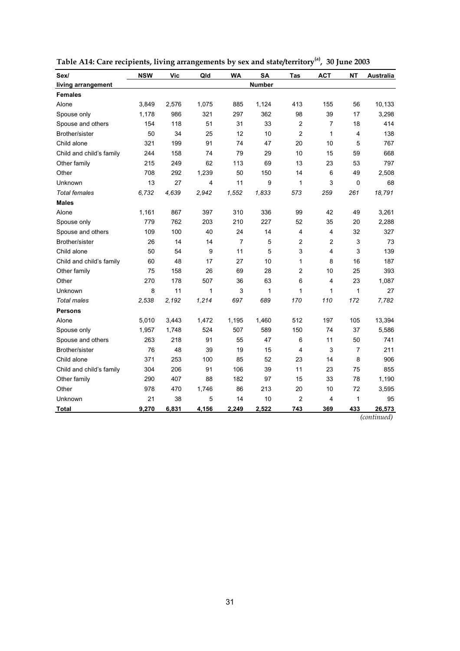| Sex/                     | <b>NSW</b> | <b>Vic</b> | Qld          | <b>WA</b> | <b>SA</b>     | Tas            | <b>ACT</b>     | <b>NT</b> | <b>Australia</b> |
|--------------------------|------------|------------|--------------|-----------|---------------|----------------|----------------|-----------|------------------|
| living arrangement       |            |            |              |           | <b>Number</b> |                |                |           |                  |
| <b>Females</b>           |            |            |              |           |               |                |                |           |                  |
| Alone                    | 3,849      | 2,576      | 1,075        | 885       | 1,124         | 413            | 155            | 56        | 10,133           |
| Spouse only              | 1,178      | 986        | 321          | 297       | 362           | 98             | 39             | 17        | 3,298            |
| Spouse and others        | 154        | 118        | 51           | 31        | 33            | $\overline{c}$ | $\overline{7}$ | 18        | 414              |
| Brother/sister           | 50         | 34         | 25           | 12        | 10            | $\overline{2}$ | $\mathbf{1}$   | 4         | 138              |
| Child alone              | 321        | 199        | 91           | 74        | 47            | 20             | 10             | 5         | 767              |
| Child and child's family | 244        | 158        | 74           | 79        | 29            | 10             | 15             | 59        | 668              |
| Other family             | 215        | 249        | 62           | 113       | 69            | 13             | 23             | 53        | 797              |
| Other                    | 708        | 292        | 1,239        | 50        | 150           | 14             | 6              | 49        | 2,508            |
| Unknown                  | 13         | 27         | 4            | 11        | 9             | $\mathbf{1}$   | 3              | 0         | 68               |
| <b>Total females</b>     | 6,732      | 4,639      | 2,942        | 1,552     | 1,833         | 573            | 259            | 261       | 18,791           |
| <b>Males</b>             |            |            |              |           |               |                |                |           |                  |
| Alone                    | 1,161      | 867        | 397          | 310       | 336           | 99             | 42             | 49        | 3,261            |
| Spouse only              | 779        | 762        | 203          | 210       | 227           | 52             | 35             | 20        | 2,288            |
| Spouse and others        | 109        | 100        | 40           | 24        | 14            | $\overline{4}$ | $\overline{4}$ | 32        | 327              |
| Brother/sister           | 26         | 14         | 14           | 7         | 5             | $\overline{c}$ | $\overline{2}$ | 3         | 73               |
| Child alone              | 50         | 54         | 9            | 11        | 5             | 3              | 4              | 3         | 139              |
| Child and child's family | 60         | 48         | 17           | 27        | 10            | $\mathbf{1}$   | 8              | 16        | 187              |
| Other family             | 75         | 158        | 26           | 69        | 28            | $\overline{c}$ | 10             | 25        | 393              |
| Other                    | 270        | 178        | 507          | 36        | 63            | 6              | 4              | 23        | 1,087            |
| Unknown                  | 8          | 11         | $\mathbf{1}$ | 3         | 1             | $\mathbf{1}$   | $\mathbf{1}$   | 1         | 27               |
| <b>Total males</b>       | 2,538      | 2,192      | 1,214        | 697       | 689           | 170            | 110            | 172       | 7,782            |
| <b>Persons</b>           |            |            |              |           |               |                |                |           |                  |
| Alone                    | 5,010      | 3,443      | 1,472        | 1,195     | 1,460         | 512            | 197            | 105       | 13,394           |
| Spouse only              | 1,957      | 1,748      | 524          | 507       | 589           | 150            | 74             | 37        | 5,586            |
| Spouse and others        | 263        | 218        | 91           | 55        | 47            | 6              | 11             | 50        | 741              |
| Brother/sister           | 76         | 48         | 39           | 19        | 15            | $\overline{4}$ | 3              | 7         | 211              |
| Child alone              | 371        | 253        | 100          | 85        | 52            | 23             | 14             | 8         | 906              |
| Child and child's family | 304        | 206        | 91           | 106       | 39            | 11             | 23             | 75        | 855              |
| Other family             | 290        | 407        | 88           | 182       | 97            | 15             | 33             | 78        | 1,190            |
| Other                    | 978        | 470        | 1,746        | 86        | 213           | 20             | 10             | 72        | 3,595            |
| Unknown                  | 21         | 38         | 5            | 14        | 10            | $\overline{2}$ | 4              | 1         | 95               |
| Total                    | 9,270      | 6,831      | 4,156        | 2,249     | 2,522         | 743            | 369            | 433       | 26,573           |

| Table A14: Care recipients, living arrangements by sex and state/territory <sup>(a)</sup> , 30 June 2003 |  |  |  |
|----------------------------------------------------------------------------------------------------------|--|--|--|
|----------------------------------------------------------------------------------------------------------|--|--|--|

*(continued)*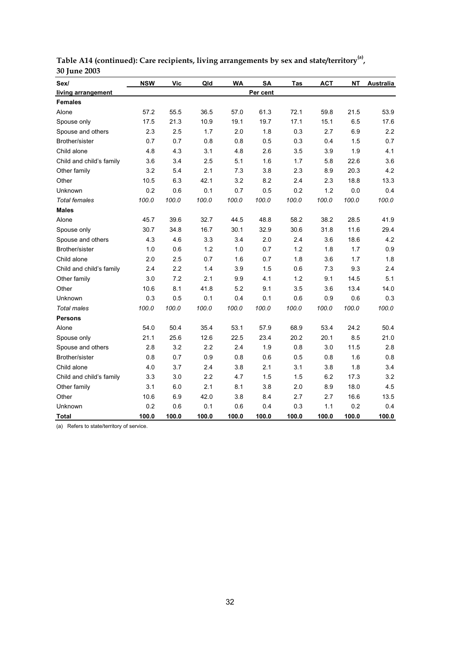| Sex/                     | <b>NSW</b> | <b>Vic</b> | Qld   | <b>WA</b> | <b>SA</b> | Tas   | <b>ACT</b> | <b>NT</b> | Australia |
|--------------------------|------------|------------|-------|-----------|-----------|-------|------------|-----------|-----------|
| living arrangement       |            |            |       |           | Per cent  |       |            |           |           |
| <b>Females</b>           |            |            |       |           |           |       |            |           |           |
| Alone                    | 57.2       | 55.5       | 36.5  | 57.0      | 61.3      | 72.1  | 59.8       | 21.5      | 53.9      |
| Spouse only              | 17.5       | 21.3       | 10.9  | 19.1      | 19.7      | 17.1  | 15.1       | 6.5       | 17.6      |
| Spouse and others        | 2.3        | 2.5        | 1.7   | 2.0       | 1.8       | 0.3   | 2.7        | 6.9       | 2.2       |
| Brother/sister           | 0.7        | 0.7        | 0.8   | 0.8       | 0.5       | 0.3   | 0.4        | 1.5       | 0.7       |
| Child alone              | 4.8        | 4.3        | 3.1   | 4.8       | 2.6       | 3.5   | 3.9        | 1.9       | 4.1       |
| Child and child's family | 3.6        | 3.4        | 2.5   | 5.1       | 1.6       | 1.7   | 5.8        | 22.6      | 3.6       |
| Other family             | 3.2        | 5.4        | 2.1   | 7.3       | 3.8       | 2.3   | 8.9        | 20.3      | 4.2       |
| Other                    | 10.5       | 6.3        | 42.1  | 3.2       | 8.2       | 2.4   | 2.3        | 18.8      | 13.3      |
| Unknown                  | 0.2        | 0.6        | 0.1   | 0.7       | 0.5       | 0.2   | 1.2        | 0.0       | 0.4       |
| <b>Total females</b>     | 100.0      | 100.0      | 100.0 | 100.0     | 100.0     | 100.0 | 100.0      | 100.0     | 100.0     |
| <b>Males</b>             |            |            |       |           |           |       |            |           |           |
| Alone                    | 45.7       | 39.6       | 32.7  | 44.5      | 48.8      | 58.2  | 38.2       | 28.5      | 41.9      |
| Spouse only              | 30.7       | 34.8       | 16.7  | 30.1      | 32.9      | 30.6  | 31.8       | 11.6      | 29.4      |
| Spouse and others        | 4.3        | 4.6        | 3.3   | 3.4       | 2.0       | 2.4   | 3.6        | 18.6      | 4.2       |
| Brother/sister           | 1.0        | 0.6        | 1.2   | 1.0       | 0.7       | 1.2   | 1.8        | 1.7       | 0.9       |
| Child alone              | 2.0        | 2.5        | 0.7   | 1.6       | 0.7       | 1.8   | 3.6        | 1.7       | 1.8       |
| Child and child's family | 2.4        | 2.2        | 1.4   | 3.9       | 1.5       | 0.6   | 7.3        | 9.3       | 2.4       |
| Other family             | 3.0        | 7.2        | 2.1   | 9.9       | 4.1       | 1.2   | 9.1        | 14.5      | 5.1       |
| Other                    | 10.6       | 8.1        | 41.8  | 5.2       | 9.1       | 3.5   | 3.6        | 13.4      | 14.0      |
| Unknown                  | 0.3        | 0.5        | 0.1   | 0.4       | 0.1       | 0.6   | 0.9        | 0.6       | 0.3       |
| <b>Total males</b>       | 100.0      | 100.0      | 100.0 | 100.0     | 100.0     | 100.0 | 100.0      | 100.0     | 100.0     |
| <b>Persons</b>           |            |            |       |           |           |       |            |           |           |
| Alone                    | 54.0       | 50.4       | 35.4  | 53.1      | 57.9      | 68.9  | 53.4       | 24.2      | 50.4      |
| Spouse only              | 21.1       | 25.6       | 12.6  | 22.5      | 23.4      | 20.2  | 20.1       | 8.5       | 21.0      |
| Spouse and others        | 2.8        | 3.2        | 2.2   | 2.4       | 1.9       | 0.8   | 3.0        | 11.5      | 2.8       |
| Brother/sister           | 0.8        | 0.7        | 0.9   | 0.8       | 0.6       | 0.5   | 0.8        | 1.6       | 0.8       |
| Child alone              | 4.0        | 3.7        | 2.4   | 3.8       | 2.1       | 3.1   | 3.8        | 1.8       | 3.4       |
| Child and child's family | 3.3        | 3.0        | 2.2   | 4.7       | 1.5       | 1.5   | 6.2        | 17.3      | 3.2       |
| Other family             | 3.1        | 6.0        | 2.1   | 8.1       | 3.8       | 2.0   | 8.9        | 18.0      | 4.5       |
| Other                    | 10.6       | 6.9        | 42.0  | 3.8       | 8.4       | 2.7   | 2.7        | 16.6      | 13.5      |
| Unknown                  | 0.2        | 0.6        | 0.1   | 0.6       | 0.4       | 0.3   | 1.1        | 0.2       | 0.4       |
| Total                    | 100.0      | 100.0      | 100.0 | 100.0     | 100.0     | 100.0 | 100.0      | 100.0     | 100.0     |

**Table A14 (continued): Care recipients, living arrangements by sex and state/territory(a) , 30 June 2003**

(a) Refers to state/territory of service.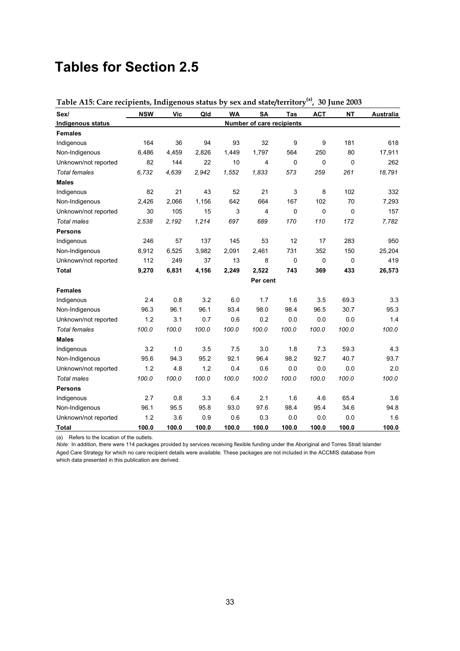## **Tables for Section 2.5**

| radic mo. care recipients, margenous status by<br>Sex/ | <b>NSW</b> | Vic   | Qld   | <b>WA</b> | <b>SA</b>                 | Tas         | <b>ACT</b> | <b>NT</b>   | Australia |
|--------------------------------------------------------|------------|-------|-------|-----------|---------------------------|-------------|------------|-------------|-----------|
| Indigenous status                                      |            |       |       |           | Number of care recipients |             |            |             |           |
| <b>Females</b>                                         |            |       |       |           |                           |             |            |             |           |
| Indigenous                                             | 164        | 36    | 94    | 93        | 32                        | 9           | 9          | 181         | 618       |
| Non-Indigenous                                         | 6,486      | 4,459 | 2,826 | 1,449     | 1,797                     | 564         | 250        | 80          | 17,911    |
| Unknown/not reported                                   | 82         | 144   | 22    | 10        | 4                         | $\mathbf 0$ | 0          | $\mathbf 0$ | 262       |
| <b>Total females</b>                                   | 6,732      | 4,639 | 2,942 | 1,552     | 1,833                     | 573         | 259        | 261         | 18,791    |
| <b>Males</b>                                           |            |       |       |           |                           |             |            |             |           |
| Indigenous                                             | 82         | 21    | 43    | 52        | 21                        | 3           | 8          | 102         | 332       |
| Non-Indigenous                                         | 2,426      | 2,066 | 1,156 | 642       | 664                       | 167         | 102        | 70          | 7,293     |
| Unknown/not reported                                   | 30         | 105   | 15    | 3         | 4                         | $\mathbf 0$ | 0          | 0           | 157       |
| <b>Total males</b>                                     | 2,538      | 2,192 | 1,214 | 697       | 689                       | 170         | 110        | 172         | 7,782     |
| <b>Persons</b>                                         |            |       |       |           |                           |             |            |             |           |
| Indigenous                                             | 246        | 57    | 137   | 145       | 53                        | 12          | 17         | 283         | 950       |
| Non-Indigenous                                         | 8,912      | 6,525 | 3,982 | 2,091     | 2,461                     | 731         | 352        | 150         | 25,204    |
| Unknown/not reported                                   | 112        | 249   | 37    | 13        | 8                         | $\mathbf 0$ | 0          | 0           | 419       |
| <b>Total</b>                                           | 9,270      | 6,831 | 4,156 | 2,249     | 2,522                     | 743         | 369        | 433         | 26,573    |
|                                                        |            |       |       |           | Per cent                  |             |            |             |           |
| <b>Females</b>                                         |            |       |       |           |                           |             |            |             |           |
| Indigenous                                             | 2.4        | 0.8   | 3.2   | 6.0       | 1.7                       | 1.6         | 3.5        | 69.3        | 3.3       |
| Non-Indigenous                                         | 96.3       | 96.1  | 96.1  | 93.4      | 98.0                      | 98.4        | 96.5       | 30.7        | 95.3      |
| Unknown/not reported                                   | 1.2        | 3.1   | 0.7   | 0.6       | 0.2                       | 0.0         | 0.0        | 0.0         | 1.4       |
| <b>Total females</b>                                   | 100.0      | 100.0 | 100.0 | 100.0     | 100.0                     | 100.0       | 100.0      | 100.0       | 100.0     |
| <b>Males</b>                                           |            |       |       |           |                           |             |            |             |           |
| Indigenous                                             | 3.2        | 1.0   | 3.5   | 7.5       | 3.0                       | 1.8         | 7.3        | 59.3        | 4.3       |
| Non-Indigenous                                         | 95.6       | 94.3  | 95.2  | 92.1      | 96.4                      | 98.2        | 92.7       | 40.7        | 93.7      |
| Unknown/not reported                                   | 1.2        | 4.8   | 1.2   | 0.4       | 0.6                       | 0.0         | 0.0        | 0.0         | 2.0       |
| <b>Total males</b>                                     | 100.0      | 100.0 | 100.0 | 100.0     | 100.0                     | 100.0       | 100.0      | 100.0       | 100.0     |
| <b>Persons</b>                                         |            |       |       |           |                           |             |            |             |           |
| Indigenous                                             | 2.7        | 0.8   | 3.3   | 6.4       | 2.1                       | 1.6         | 4.6        | 65.4        | 3.6       |
| Non-Indigenous                                         | 96.1       | 95.5  | 95.8  | 93.0      | 97.6                      | 98.4        | 95.4       | 34.6        | 94.8      |
| Unknown/not reported                                   | 1.2        | 3.6   | 0.9   | 0.6       | 0.3                       | 0.0         | 0.0        | 0.0         | 1.6       |
| Total                                                  | 100.0      | 100.0 | 100.0 | 100.0     | 100.0                     | 100.0       | 100.0      | 100.0       | 100.0     |

**Table A15: Care recipients, Indigenous status by sex and state/territory(a), 30 June 2003**

(a) Refers to the location of the outlets.

*Note:* In addition, there were 114 packages provided by services receiving flexible funding under the Aboriginal and Torres Strait Islander Aged Care Strategy for which no care recipient details were available. These packages are not included in the ACCMIS database from which data presented in this publication are derived.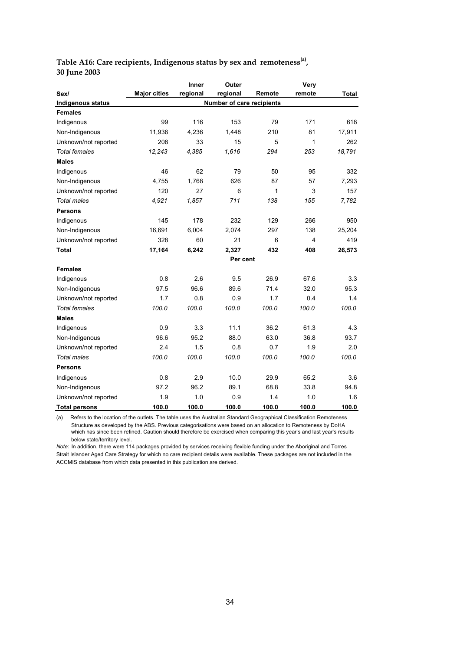| Table A16: Care recipients, Indigenous status by sex and remoteness <sup>(a)</sup> , |  |  |  |
|--------------------------------------------------------------------------------------|--|--|--|
| 30 June 2003                                                                         |  |  |  |

|                      |                     | Inner    | Outer                     |        | Very   |        |
|----------------------|---------------------|----------|---------------------------|--------|--------|--------|
| Sex/                 | <b>Major cities</b> | regional | regional                  | Remote | remote | Total  |
| Indigenous status    |                     |          | Number of care recipients |        |        |        |
| <b>Females</b>       |                     |          |                           |        |        |        |
| Indigenous           | 99                  | 116      | 153                       | 79     | 171    | 618    |
| Non-Indigenous       | 11,936              | 4,236    | 1,448                     | 210    | 81     | 17,911 |
| Unknown/not reported | 208                 | 33       | 15                        | 5      | 1      | 262    |
| <b>Total females</b> | 12,243              | 4,385    | 1,616                     | 294    | 253    | 18,791 |
| <b>Males</b>         |                     |          |                           |        |        |        |
| Indigenous           | 46                  | 62       | 79                        | 50     | 95     | 332    |
| Non-Indigenous       | 4.755               | 1.768    | 626                       | 87     | 57     | 7.293  |
| Unknown/not reported | 120                 | 27       | 6                         | 1      | 3      | 157    |
| Total males          | 4,921               | 1,857    | 711                       | 138    | 155    | 7,782  |
| Persons              |                     |          |                           |        |        |        |
| Indigenous           | 145                 | 178      | 232                       | 129    | 266    | 950    |
| Non-Indigenous       | 16,691              | 6,004    | 2,074                     | 297    | 138    | 25,204 |
| Unknown/not reported | 328                 | 60       | 21                        | 6      | 4      | 419    |
| Total                | 17,164              | 6,242    | 2,327                     | 432    | 408    | 26,573 |
|                      |                     |          | Per cent                  |        |        |        |
| <b>Females</b>       |                     |          |                           |        |        |        |
| Indigenous           | 0.8                 | 2.6      | 9.5                       | 26.9   | 67.6   | 3.3    |
| Non-Indigenous       | 97.5                | 96.6     | 89.6                      | 71.4   | 32.0   | 95.3   |
| Unknown/not reported | 1.7                 | 0.8      | 0.9                       | 1.7    | 0.4    | 1.4    |
| <b>Total females</b> | 100.0               | 100.0    | 100.0                     | 100.0  | 100.0  | 100.0  |
| <b>Males</b>         |                     |          |                           |        |        |        |
| Indigenous           | 0.9                 | 3.3      | 11.1                      | 36.2   | 61.3   | 4.3    |
| Non-Indigenous       | 96.6                | 95.2     | 88.0                      | 63.0   | 36.8   | 93.7   |
| Unknown/not reported | 2.4                 | 1.5      | 0.8                       | 0.7    | 1.9    | 2.0    |
| <b>Total males</b>   | 100.0               | 100.0    | 100.0                     | 100.0  | 100.0  | 100.0  |
| Persons              |                     |          |                           |        |        |        |
| Indigenous           | 0.8                 | 2.9      | 10.0                      | 29.9   | 65.2   | 3.6    |
| Non-Indigenous       | 97.2                | 96.2     | 89.1                      | 68.8   | 33.8   | 94.8   |
| Unknown/not reported | 1.9                 | 1.0      | 0.9                       | 1.4    | 1.0    | 1.6    |
| <b>Total persons</b> | 100.0               | 100.0    | 100.0                     | 100.0  | 100.0  | 100.0  |

(a) Refers to the location of the outlets. The table uses the Australian Standard Geographical Classification Remoteness Structure as developed by the ABS. Previous categorisations were based on an allocation to Remoteness by DoHA which has since been refined. Caution should therefore be exercised when comparing this year's and last year's results below state/territory level.

*Note:* In addition, there were 114 packages provided by services receiving flexible funding under the Aboriginal and Torres Strait Islander Aged Care Strategy for which no care recipient details were available. These packages are not included in the ACCMIS database from which data presented in this publication are derived.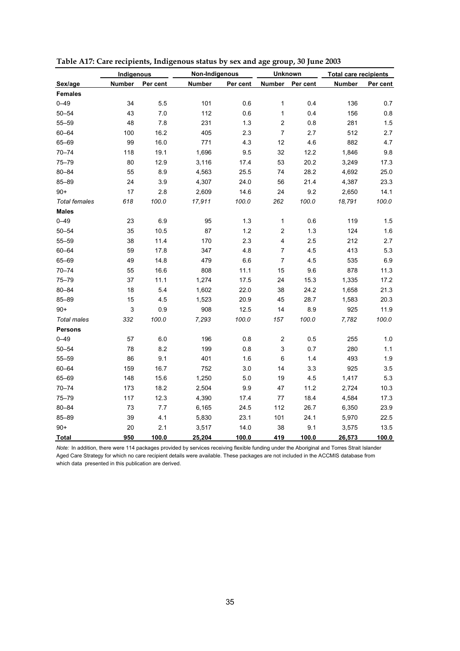|                      | Indigenous    |          | Non-Indigenous |          | <b>Unknown</b>            |          | <b>Total care recipients</b> |          |
|----------------------|---------------|----------|----------------|----------|---------------------------|----------|------------------------------|----------|
| Sex/age              | <b>Number</b> | Per cent | <b>Number</b>  | Per cent | Number                    | Per cent | <b>Number</b>                | Per cent |
| <b>Females</b>       |               |          |                |          |                           |          |                              |          |
| $0 - 49$             | 34            | 5.5      | 101            | 0.6      | $\mathbf{1}$              | 0.4      | 136                          | 0.7      |
| $50 - 54$            | 43            | 7.0      | 112            | 0.6      | 1                         | 0.4      | 156                          | 0.8      |
| $55 - 59$            | 48            | 7.8      | 231            | 1.3      | $\mathbf 2$               | 0.8      | 281                          | 1.5      |
| $60 - 64$            | 100           | 16.2     | 405            | 2.3      | $\boldsymbol{7}$          | 2.7      | 512                          | 2.7      |
| 65-69                | 99            | 16.0     | 771            | 4.3      | 12                        | 4.6      | 882                          | 4.7      |
| $70 - 74$            | 118           | 19.1     | 1,696          | 9.5      | 32                        | 12.2     | 1,846                        | 9.8      |
| 75-79                | 80            | 12.9     | 3,116          | 17.4     | 53                        | 20.2     | 3,249                        | 17.3     |
| $80 - 84$            | 55            | 8.9      | 4,563          | 25.5     | 74                        | 28.2     | 4,692                        | 25.0     |
| 85-89                | 24            | 3.9      | 4,307          | 24.0     | 56                        | 21.4     | 4,387                        | 23.3     |
| $90+$                | 17            | 2.8      | 2,609          | 14.6     | 24                        | 9.2      | 2,650                        | 14.1     |
| <b>Total females</b> | 618           | 100.0    | 17,911         | 100.0    | 262                       | 100.0    | 18,791                       | 100.0    |
| <b>Males</b>         |               |          |                |          |                           |          |                              |          |
| $0 - 49$             | 23            | 6.9      | 95             | 1.3      | 1                         | 0.6      | 119                          | 1.5      |
| $50 - 54$            | 35            | 10.5     | 87             | 1.2      | $\boldsymbol{2}$          | 1.3      | 124                          | 1.6      |
| $55 - 59$            | 38            | 11.4     | 170            | 2.3      | $\overline{\mathbf{4}}$   | 2.5      | 212                          | $2.7\,$  |
| $60 - 64$            | 59            | 17.8     | 347            | 4.8      | $\boldsymbol{7}$          | 4.5      | 413                          | 5.3      |
| 65-69                | 49            | 14.8     | 479            | 6.6      | $\boldsymbol{7}$          | 4.5      | 535                          | 6.9      |
| $70 - 74$            | 55            | 16.6     | 808            | 11.1     | 15                        | 9.6      | 878                          | 11.3     |
| 75-79                | 37            | 11.1     | 1,274          | 17.5     | 24                        | 15.3     | 1,335                        | 17.2     |
| $80 - 84$            | 18            | 5.4      | 1,602          | 22.0     | 38                        | 24.2     | 1,658                        | 21.3     |
| 85-89                | 15            | 4.5      | 1,523          | 20.9     | 45                        | 28.7     | 1,583                        | 20.3     |
| $90+$                | 3             | 0.9      | 908            | 12.5     | 14                        | 8.9      | 925                          | 11.9     |
| <b>Total males</b>   | 332           | 100.0    | 7,293          | 100.0    | 157                       | 100.0    | 7,782                        | 100.0    |
| <b>Persons</b>       |               |          |                |          |                           |          |                              |          |
| $0 - 49$             | 57            | 6.0      | 196            | 0.8      | 2                         | 0.5      | 255                          | 1.0      |
| $50 - 54$            | 78            | 8.2      | 199            | 0.8      | $\ensuremath{\mathsf{3}}$ | 0.7      | 280                          | $1.1$    |
| $55 - 59$            | 86            | 9.1      | 401            | 1.6      | 6                         | 1.4      | 493                          | 1.9      |
| $60 - 64$            | 159           | 16.7     | 752            | 3.0      | 14                        | 3.3      | 925                          | 3.5      |
| 65-69                | 148           | 15.6     | 1,250          | 5.0      | 19                        | 4.5      | 1,417                        | 5.3      |
| $70 - 74$            | 173           | 18.2     | 2,504          | 9.9      | 47                        | 11.2     | 2,724                        | 10.3     |
| $75 - 79$            | 117           | 12.3     | 4,390          | 17.4     | 77                        | 18.4     | 4,584                        | 17.3     |
| $80 - 84$            | 73            | 7.7      | 6,165          | 24.5     | 112                       | 26.7     | 6,350                        | 23.9     |
| $85 - 89$            | 39            | 4.1      | 5,830          | 23.1     | 101                       | 24.1     | 5,970                        | 22.5     |
| $90+$                | 20            | 2.1      | 3,517          | 14.0     | 38                        | 9.1      | 3,575                        | 13.5     |
| <b>Total</b>         | 950           | 100.0    | 25,204         | 100.0    | 419                       | 100.0    | 26,573                       | 100.0    |

**Table A17: Care recipients, Indigenous status by sex and age group, 30 June 2003**

*Note:* In addition, there were 114 packages provided by services receiving flexible funding under the Aboriginal and Torres Strait Islander Aged Care Strategy for which no care recipient details were available. These packages are not included in the ACCMIS database from which data presented in this publication are derived.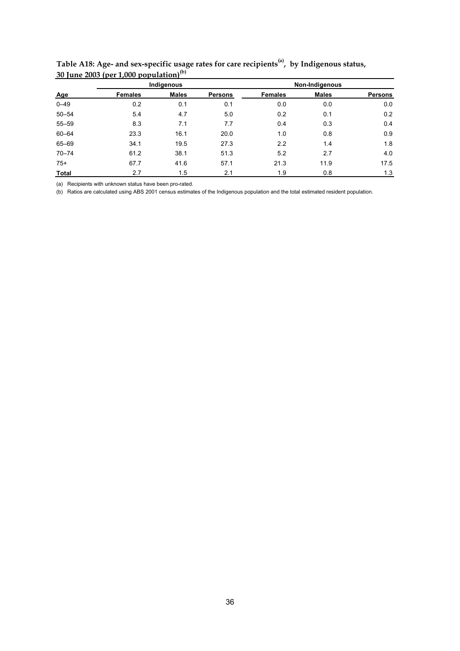|              |                | Indigenous   |                | Non-Indigenous |              |         |  |  |
|--------------|----------------|--------------|----------------|----------------|--------------|---------|--|--|
| Age          | <b>Females</b> | <b>Males</b> | <b>Persons</b> | <b>Females</b> | <b>Males</b> | Persons |  |  |
| $0 - 49$     | 0.2            | 0.1          | 0.1            | 0.0            | 0.0          | 0.0     |  |  |
| $50 - 54$    | 5.4            | 4.7          | 5.0            | 0.2            | 0.1          | 0.2     |  |  |
| $55 - 59$    | 8.3            | 7.1          | 7.7            | 0.4            | 0.3          | 0.4     |  |  |
| 60-64        | 23.3           | 16.1         | 20.0           | 1.0            | 0.8          | 0.9     |  |  |
| 65-69        | 34.1           | 19.5         | 27.3           | 2.2            | 1.4          | 1.8     |  |  |
| $70 - 74$    | 61.2           | 38.1         | 51.3           | 5.2            | 2.7          | 4.0     |  |  |
| $75+$        | 67.7           | 41.6         | 57.1           | 21.3           | 11.9         | 17.5    |  |  |
| <b>Total</b> | 2.7            | 1.5          | 2.1            | 1.9            | 0.8          | 1.3     |  |  |

**Table A18: Age- and sex-specific usage rates for care recipients(a), by Indigenous status, 30 June 2003 (per 1,000 population) (b)**

(a) Recipients with unknown status have been pro-rated.

(b) Ratios are calculated using ABS 2001 census estimates of the Indigenous population and the total estimated resident population.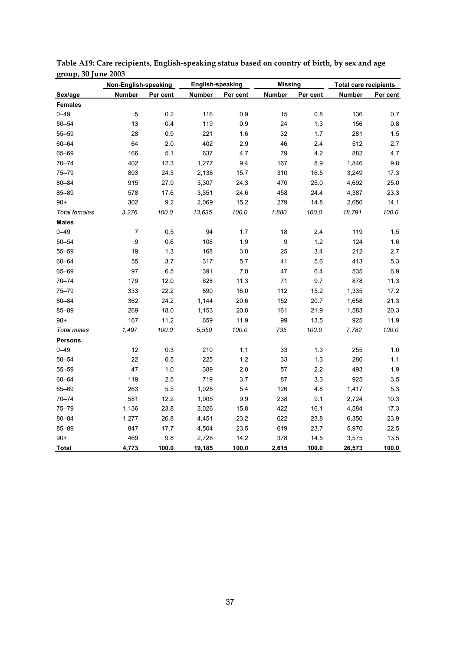|                      |               | Non-English-speaking |               | <b>English-speaking</b> |               | <b>Missing</b> | <b>Total care recipients</b> |          |  |
|----------------------|---------------|----------------------|---------------|-------------------------|---------------|----------------|------------------------------|----------|--|
| Sex/age              | <b>Number</b> | Per cent             | <b>Number</b> | Per cent                | <b>Number</b> | Per cent       | <b>Number</b>                | Per cent |  |
| <b>Females</b>       |               |                      |               |                         |               |                |                              |          |  |
| $0 - 49$             | $\mathbf 5$   | 0.2                  | 116           | 0.9                     | 15            | 0.8            | 136                          | 0.7      |  |
| $50 - 54$            | 13            | 0.4                  | 119           | 0.9                     | 24            | 1.3            | 156                          | 0.8      |  |
| $55 - 59$            | 28            | 0.9                  | 221           | 1.6                     | 32            | 1.7            | 281                          | 1.5      |  |
| $60 - 64$            | 64            | 2.0                  | 402           | 2.9                     | 46            | 2.4            | 512                          | 2.7      |  |
| 65-69                | 166           | 5.1                  | 637           | 4.7                     | 79            | 4.2            | 882                          | 4.7      |  |
| $70 - 74$            | 402           | 12.3                 | 1,277         | 9.4                     | 167           | 8.9            | 1,846                        | 9.8      |  |
| $75 - 79$            | 803           | 24.5                 | 2,136         | 15.7                    | 310           | 16.5           | 3,249                        | 17.3     |  |
| $80 - 84$            | 915           | 27.9                 | 3,307         | 24.3                    | 470           | 25.0           | 4,692                        | 25.0     |  |
| 85-89                | 578           | 17.6                 | 3,351         | 24.6                    | 458           | 24.4           | 4,387                        | 23.3     |  |
| $90+$                | 302           | 9.2                  | 2,069         | 15.2                    | 279           | 14.8           | 2,650                        | 14.1     |  |
| <b>Total females</b> | 3,276         | 100.0                | 13,635        | 100.0                   | 1,880         | 100.0          | 18,791                       | 100.0    |  |
| <b>Males</b>         |               |                      |               |                         |               |                |                              |          |  |
| $0 - 49$             | 7             | 0.5                  | 94            | 1.7                     | 18            | 2.4            | 119                          | 1.5      |  |
| $50 - 54$            | 9             | 0.6                  | 106           | 1.9                     | 9             | 1.2            | 124                          | $1.6$    |  |
| $55 - 59$            | 19            | 1.3                  | 168           | 3.0                     | 25            | 3.4            | 212                          | 2.7      |  |
| $60 - 64$            | 55            | 3.7                  | 317           | 5.7                     | 41            | 5.6            | 413                          | 5.3      |  |
| 65-69                | 97            | 6.5                  | 391           | 7.0                     | 47            | 6.4            | 535                          | $6.9\,$  |  |
| $70 - 74$            | 179           | 12.0                 | 628           | 11.3                    | 71            | 9.7            | 878                          | 11.3     |  |
| $75 - 79$            | 333           | 22.2                 | 890           | 16.0                    | 112           | 15.2           | 1,335                        | 17.2     |  |
| $80 - 84$            | 362           | 24.2                 | 1,144         | 20.6                    | 152           | 20.7           | 1,658                        | 21.3     |  |
| $85 - 89$            | 269           | 18.0                 | 1,153         | 20.8                    | 161           | 21.9           | 1,583                        | 20.3     |  |
| $90+$                | 167           | 11.2                 | 659           | 11.9                    | 99            | 13.5           | 925                          | 11.9     |  |
| <b>Total males</b>   | 1,497         | 100.0                | 5,550         | 100.0                   | 735           | 100.0          | 7,782                        | 100.0    |  |
| <b>Persons</b>       |               |                      |               |                         |               |                |                              |          |  |
| $0 - 49$             | 12            | 0.3                  | 210           | 1.1                     | 33            | 1.3            | 255                          | 1.0      |  |
| $50 - 54$            | 22            | 0.5                  | 225           | 1.2                     | 33            | 1.3            | 280                          | 1.1      |  |
| $55 - 59$            | 47            | 1.0                  | 389           | 2.0                     | 57            | 2.2            | 493                          | 1.9      |  |
| $60 - 64$            | 119           | 2.5                  | 719           | 3.7                     | 87            | 3.3            | 925                          | 3.5      |  |
| 65-69                | 263           | 5.5                  | 1,028         | 5.4                     | 126           | 4.8            | 1,417                        | 5.3      |  |
| $70 - 74$            | 581           | 12.2                 | 1,905         | 9.9                     | 238           | 9.1            | 2,724                        | 10.3     |  |
| $75 - 79$            | 1,136         | 23.8                 | 3,026         | 15.8                    | 422           | 16.1           | 4,584                        | 17.3     |  |
| $80 - 84$            | 1,277         | 26.8                 | 4,451         | 23.2                    | 622           | 23.8           | 6,350                        | 23.9     |  |
| $85 - 89$            | 847           | 17.7                 | 4,504         | 23.5                    | 619           | 23.7           | 5,970                        | 22.5     |  |
| $90+$                | 469           | 9.8                  | 2,728         | 14.2                    | 378           | 14.5           | 3,575                        | 13.5     |  |
| <b>Total</b>         | 4,773         | 100.0                | 19,185        | 100.0                   | 2,615         | 100.0          | 26,573                       | 100.0    |  |

**Table A19: Care recipients, English-speaking status based on country of birth, by sex and age group, 30 June 2003**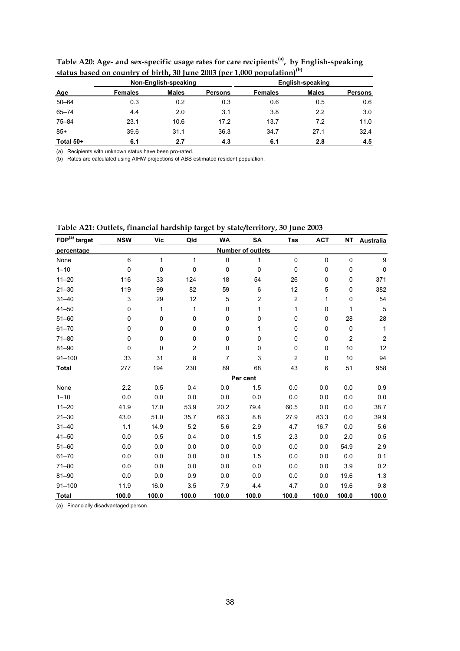|            |                | Non-English-speaking |                | English-speaking |              |         |  |  |
|------------|----------------|----------------------|----------------|------------------|--------------|---------|--|--|
| <b>Age</b> | <b>Females</b> | <b>Males</b>         | <b>Persons</b> | <b>Females</b>   | <b>Males</b> | Persons |  |  |
| $50 - 64$  | 0.3            | 0.2                  | 0.3            | 0.6              | 0.5          | 0.6     |  |  |
| $65 - 74$  | 4.4            | 2.0                  | 3.1            | 3.8              | 2.2          | 3.0     |  |  |
| $75 - 84$  | 23.1           | 10.6                 | 17.2           | 13.7             | 7.2          | 11.0    |  |  |
| $85+$      | 39.6           | 31.1                 | 36.3           | 34.7             | 27.1         | 32.4    |  |  |
| Total 50+  | 6.1            | 2.7                  | 4.3            | 6.1              | 2.8          | 4.5     |  |  |

**Table A20: Age- and sex-specific usage rates for care recipients(a), by English-speaking status based on country of birth, 30 June 2003 (per 1,000 population) (b)**

(a) Recipients with unknown status have been pro-rated.

(b) Rates are calculated using AIHW projections of ABS estimated resident population.

| FDP(a) target | <b>NSW</b>  | <b>Vic</b>   | Qld            | <b>WA</b>   | <b>SA</b>                | Tas              | <b>ACT</b> | <b>NT</b>      |                  |
|---------------|-------------|--------------|----------------|-------------|--------------------------|------------------|------------|----------------|------------------|
|               |             |              |                |             |                          |                  |            |                | Australia        |
| percentage    |             |              |                |             | <b>Number of outlets</b> |                  |            |                |                  |
| None          | 6           | $\mathbf{1}$ | $\mathbf{1}$   | 0           | 1                        | $\mathbf 0$      | 0          | 0              | 9                |
| $1 - 10$      | $\pmb{0}$   | 0            | 0              | $\mathbf 0$ | 0                        | $\mathbf 0$      | 0          | 0              | 0                |
| $11 - 20$     | 116         | 33           | 124            | 18          | 54                       | 26               | 0          | 0              | 371              |
| $21 - 30$     | 119         | 99           | 82             | 59          | 6                        | 12               | 5          | 0              | 382              |
| $31 - 40$     | $\mathsf 3$ | 29           | 12             | 5           | $\overline{\mathbf{c}}$  | $\boldsymbol{2}$ | 1          | 0              | 54               |
| $41 - 50$     | 0           | 1            | $\mathbf{1}$   | 0           | $\mathbf{1}$             | 1                | 0          | 1              | 5                |
| $51 - 60$     | $\mathbf 0$ | 0            | 0              | $\mathbf 0$ | 0                        | 0                | 0          | 28             | 28               |
| $61 - 70$     | 0           | 0            | 0              | 0           | 1                        | 0                | 0          | 0              | $\mathbf{1}$     |
| $71 - 80$     | 0           | 0            | 0              | 0           | 0                        | 0                | 0          | $\overline{c}$ | $\boldsymbol{2}$ |
| $81 - 90$     | 0           | 0            | $\overline{c}$ | $\mathbf 0$ | 0                        | 0                | 0          | 10             | 12               |
| $91 - 100$    | 33          | 31           | 8              | 7           | 3                        | $\overline{c}$   | 0          | 10             | 94               |
| <b>Total</b>  | 277         | 194          | 230            | 89          | 68                       | 43               | 6          | 51             | 958              |
|               |             |              |                |             | Per cent                 |                  |            |                |                  |
| None          | 2.2         | 0.5          | 0.4            | 0.0         | 1.5                      | 0.0              | 0.0        | 0.0            | 0.9              |
| $1 - 10$      | 0.0         | 0.0          | 0.0            | 0.0         | 0.0                      | 0.0              | 0.0        | 0.0            | 0.0              |
| $11 - 20$     | 41.9        | 17.0         | 53.9           | 20.2        | 79.4                     | 60.5             | 0.0        | 0.0            | 38.7             |
| $21 - 30$     | 43.0        | 51.0         | 35.7           | 66.3        | 8.8                      | 27.9             | 83.3       | 0.0            | 39.9             |
| $31 - 40$     | 1.1         | 14.9         | 5.2            | 5.6         | 2.9                      | 4.7              | 16.7       | 0.0            | 5.6              |
| $41 - 50$     | 0.0         | 0.5          | 0.4            | 0.0         | 1.5                      | 2.3              | 0.0        | 2.0            | 0.5              |
| $51 - 60$     | 0.0         | 0.0          | 0.0            | 0.0         | 0.0                      | 0.0              | 0.0        | 54.9           | 2.9              |
| $61 - 70$     | 0.0         | 0.0          | 0.0            | 0.0         | 1.5                      | 0.0              | 0.0        | 0.0            | 0.1              |
| $71 - 80$     | 0.0         | 0.0          | 0.0            | 0.0         | 0.0                      | 0.0              | 0.0        | 3.9            | 0.2              |
| $81 - 90$     | 0.0         | 0.0          | 0.9            | 0.0         | 0.0                      | 0.0              | 0.0        | 19.6           | 1.3              |
| $91 - 100$    | 11.9        | 16.0         | 3.5            | 7.9         | 4.4                      | 4.7              | 0.0        | 19.6           | 9.8              |
| <b>Total</b>  | 100.0       | 100.0        | 100.0          | 100.0       | 100.0                    | 100.0            | 100.0      | 100.0          | 100.0            |

**Table A21: Outlets, financial hardship target by state/territory, 30 June 2003**

(a) Financially disadvantaged person.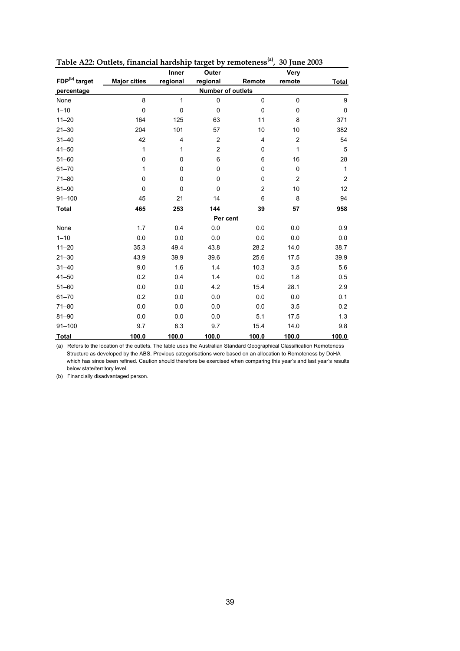|                           |                     | Inner                   | Outer          |                          | Very             |                  |
|---------------------------|---------------------|-------------------------|----------------|--------------------------|------------------|------------------|
| FDP <sup>(b)</sup> target | <b>Major cities</b> | regional                | regional       | Remote                   | remote           | <b>Total</b>     |
| percentage                |                     |                         |                | <b>Number of outlets</b> |                  |                  |
| None                      | 8                   | $\mathbf{1}$            | $\pmb{0}$      | $\mathbf{0}$             | 0                | $\boldsymbol{9}$ |
| $1 - 10$                  | 0                   | $\pmb{0}$               | $\mathbf 0$    | $\mathbf 0$              | 0                | $\pmb{0}$        |
| $11 - 20$                 | 164                 | 125                     | 63             | 11                       | 8                | 371              |
| $21 - 30$                 | 204                 | 101                     | 57             | 10                       | 10               | 382              |
| $31 - 40$                 | 42                  | $\overline{\mathbf{4}}$ | $\overline{c}$ | $\overline{4}$           | $\boldsymbol{2}$ | 54               |
| $41 - 50$                 | 1                   | 1                       | $\overline{c}$ | 0                        | 1                | 5                |
| $51 - 60$                 | 0                   | $\pmb{0}$               | 6              | 6                        | 16               | 28               |
| $61 - 70$                 | 1                   | $\pmb{0}$               | $\mathbf 0$    | 0                        | 0                | $\mathbf{1}$     |
| $71 - 80$                 | 0                   | $\pmb{0}$               | $\mathbf 0$    | 0                        | $\overline{c}$   | $\boldsymbol{2}$ |
| $81 - 90$                 | 0                   | 0                       | $\Omega$       | $\overline{c}$           | 10               | 12               |
| $91 - 100$                | 45                  | 21                      | 14             | 6                        | 8                | 94               |
| <b>Total</b>              | 465                 | 253                     | 144            | 39                       | 57               | 958              |
|                           |                     |                         |                | Per cent                 |                  |                  |
| None                      | 1.7                 | 0.4                     | 0.0            | 0.0                      | 0.0              | 0.9              |
| $1 - 10$                  | 0.0                 | 0.0                     | 0.0            | 0.0                      | 0.0              | 0.0              |
| $11 - 20$                 | 35.3                | 49.4                    | 43.8           | 28.2                     | 14.0             | 38.7             |
| $21 - 30$                 | 43.9                | 39.9                    | 39.6           | 25.6                     | 17.5             | 39.9             |
| $31 - 40$                 | 9.0                 | 1.6                     | 1.4            | 10.3                     | 3.5              | 5.6              |
| $41 - 50$                 | 0.2                 | 0.4                     | 1.4            | 0.0                      | 1.8              | 0.5              |
| $51 - 60$                 | 0.0                 | 0.0                     | 4.2            | 15.4                     | 28.1             | 2.9              |
| $61 - 70$                 | 0.2                 | 0.0                     | 0.0            | 0.0                      | 0.0              | 0.1              |
| $71 - 80$                 | 0.0                 | 0.0                     | 0.0            | 0.0                      | 3.5              | 0.2              |
| $81 - 90$                 | 0.0                 | 0.0                     | 0.0            | 5.1                      | 17.5             | 1.3              |
| $91 - 100$                | 9.7                 | 8.3                     | 9.7            | 15.4                     | 14.0             | 9.8              |
| <b>Total</b>              | 100.0               | 100.0                   | 100.0          | 100.0                    | 100.0            | 100.0            |

**Table A22: Outlets, financial hardship target by remoteness(a), 30 June 2003**

(a) Refers to the location of the outlets. The table uses the Australian Standard Geographical Classification Remoteness Structure as developed by the ABS. Previous categorisations were based on an allocation to Remoteness by DoHA which has since been refined. Caution should therefore be exercised when comparing this year's and last year's results below state/territory level.

(b) Financially disadvantaged person.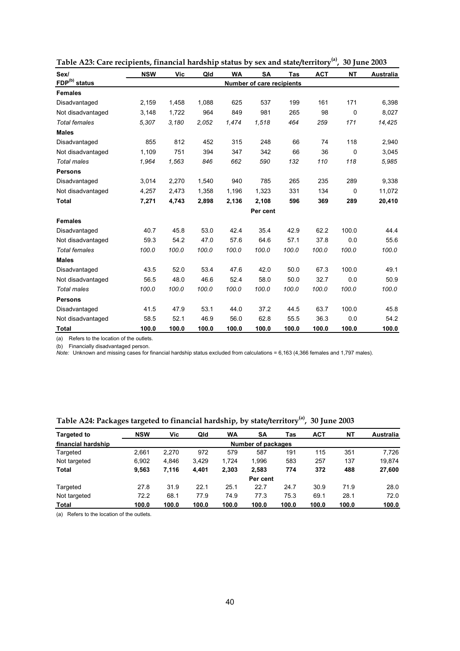| Sex/                      | <b>NSW</b> | Vic   | Qld   | <b>WA</b> | <b>SA</b>                        | Tas   | <b>ACT</b> | <b>NT</b> | <b>Australia</b> |
|---------------------------|------------|-------|-------|-----------|----------------------------------|-------|------------|-----------|------------------|
| FDP <sup>(b)</sup> status |            |       |       |           | <b>Number of care recipients</b> |       |            |           |                  |
| <b>Females</b>            |            |       |       |           |                                  |       |            |           |                  |
| Disadvantaged             | 2,159      | 1,458 | 1,088 | 625       | 537                              | 199   | 161        | 171       | 6,398            |
| Not disadvantaged         | 3,148      | 1,722 | 964   | 849       | 981                              | 265   | 98         | 0         | 8,027            |
| <b>Total females</b>      | 5,307      | 3,180 | 2.052 | 1,474     | 1,518                            | 464   | 259        | 171       | 14,425           |
| <b>Males</b>              |            |       |       |           |                                  |       |            |           |                  |
| Disadvantaged             | 855        | 812   | 452   | 315       | 248                              | 66    | 74         | 118       | 2,940            |
| Not disadvantaged         | 1,109      | 751   | 394   | 347       | 342                              | 66    | 36         | 0         | 3,045            |
| <b>Total males</b>        | 1,964      | 1,563 | 846   | 662       | 590                              | 132   | 110        | 118       | 5,985            |
| <b>Persons</b>            |            |       |       |           |                                  |       |            |           |                  |
| Disadvantaged             | 3,014      | 2,270 | 1,540 | 940       | 785                              | 265   | 235        | 289       | 9,338            |
| Not disadvantaged         | 4,257      | 2,473 | 1,358 | 1,196     | 1,323                            | 331   | 134        | 0         | 11,072           |
| <b>Total</b>              | 7,271      | 4,743 | 2,898 | 2,136     | 2,108                            | 596   | 369        | 289       | 20,410           |
|                           |            |       |       |           | Per cent                         |       |            |           |                  |
| <b>Females</b>            |            |       |       |           |                                  |       |            |           |                  |
| Disadvantaged             | 40.7       | 45.8  | 53.0  | 42.4      | 35.4                             | 42.9  | 62.2       | 100.0     | 44.4             |
| Not disadvantaged         | 59.3       | 54.2  | 47.0  | 57.6      | 64.6                             | 57.1  | 37.8       | 0.0       | 55.6             |
| <b>Total females</b>      | 100.0      | 100.0 | 100.0 | 100.0     | 100.0                            | 100.0 | 100.0      | 100.0     | 100.0            |
| <b>Males</b>              |            |       |       |           |                                  |       |            |           |                  |
| Disadvantaged             | 43.5       | 52.0  | 53.4  | 47.6      | 42.0                             | 50.0  | 67.3       | 100.0     | 49.1             |
| Not disadvantaged         | 56.5       | 48.0  | 46.6  | 52.4      | 58.0                             | 50.0  | 32.7       | 0.0       | 50.9             |
| <b>Total males</b>        | 100.0      | 100.0 | 100.0 | 100.0     | 100.0                            | 100.0 | 100.0      | 100.0     | 100.0            |
| <b>Persons</b>            |            |       |       |           |                                  |       |            |           |                  |
| Disadvantaged             | 41.5       | 47.9  | 53.1  | 44.0      | 37.2                             | 44.5  | 63.7       | 100.0     | 45.8             |
| Not disadvantaged         | 58.5       | 52.1  | 46.9  | 56.0      | 62.8                             | 55.5  | 36.3       | 0.0       | 54.2             |
| <b>Total</b>              | 100.0      | 100.0 | 100.0 | 100.0     | 100.0                            | 100.0 | 100.0      | 100.0     | 100.0            |

**Table A23: Care recipients, financial hardship status by sex and state/territory(a), 30 June 2003**

(a) Refers to the location of the outlets.

(b) Financially disadvantaged person.

*Note:* Unknown and missing cases for financial hardship status excluded from calculations = 6,163 (4,366 females and 1,797 males).

**Table A24: Packages targeted to financial hardship, by state/territory(a) , 30 June 2003**

| <b>Targeted to</b> | <b>NSW</b> | Vic   | Qld   | <b>WA</b> | SA                 | Tas   | <b>ACT</b> | <b>NT</b> | Australia |
|--------------------|------------|-------|-------|-----------|--------------------|-------|------------|-----------|-----------|
| financial hardship |            |       |       |           | Number of packages |       |            |           |           |
| Targeted           | 2.661      | 2,270 | 972   | 579       | 587                | 191   | 115        | 351       | 7,726     |
| Not targeted       | 6.902      | 4.846 | 3.429 | 1.724     | 1.996              | 583   | 257        | 137       | 19,874    |
| Total              | 9.563      | 7,116 | 4.401 | 2,303     | 2,583              | 774   | 372        | 488       | 27,600    |
|                    |            |       |       |           | Per cent           |       |            |           |           |
| Targeted           | 27.8       | 31.9  | 22.1  | 25.1      | 22.7               | 24.7  | 30.9       | 71.9      | 28.0      |
| Not targeted       | 72.2       | 68.1  | 77.9  | 74.9      | 77.3               | 75.3  | 69.1       | 28.1      | 72.0      |
| Total              | 100.0      | 100.0 | 100.0 | 100.0     | 100.0              | 100.0 | 100.0      | 100.0     | 100.0     |

(a) Refers to the location of the outlets.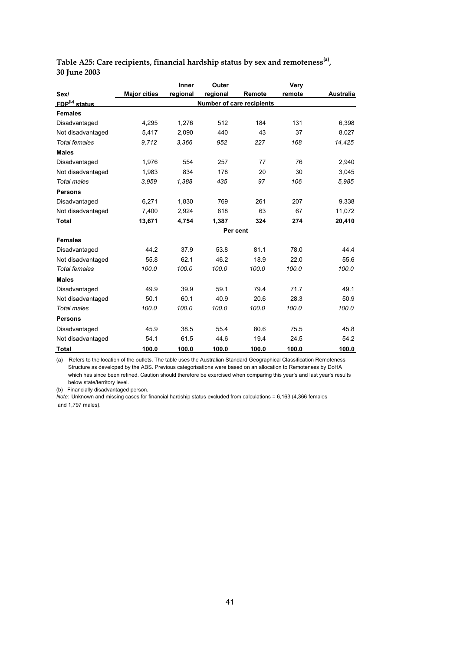|                           |                     | Inner    | Outer    |                                  | Very   |                  |
|---------------------------|---------------------|----------|----------|----------------------------------|--------|------------------|
| Sex/                      | <b>Major cities</b> | regional | regional | Remote                           | remote | <b>Australia</b> |
| FDP <sup>(b)</sup> status |                     |          |          | <b>Number of care recipients</b> |        |                  |
| <b>Females</b>            |                     |          |          |                                  |        |                  |
| Disadvantaged             | 4,295               | 1.276    | 512      | 184                              | 131    | 6,398            |
| Not disadvantaged         | 5,417               | 2,090    | 440      | 43                               | 37     | 8,027            |
| <b>Total females</b>      | 9,712               | 3.366    | 952      | 227                              | 168    | 14,425           |
| <b>Males</b>              |                     |          |          |                                  |        |                  |
| Disadvantaged             | 1,976               | 554      | 257      | 77                               | 76     | 2,940            |
| Not disadvantaged         | 1,983               | 834      | 178      | 20                               | 30     | 3,045            |
| <b>Total males</b>        | 3.959               | 1,388    | 435      | 97                               | 106    | 5.985            |
| <b>Persons</b>            |                     |          |          |                                  |        |                  |
| Disadvantaged             | 6,271               | 1.830    | 769      | 261                              | 207    | 9,338            |
| Not disadvantaged         | 7,400               | 2,924    | 618      | 63                               | 67     | 11,072           |
| <b>Total</b>              | 13,671              | 4,754    | 1,387    | 324                              | 274    | 20,410           |
|                           |                     |          |          | Per cent                         |        |                  |
| <b>Females</b>            |                     |          |          |                                  |        |                  |
| Disadvantaged             | 44.2                | 37.9     | 53.8     | 81.1                             | 78.0   | 44.4             |
| Not disadvantaged         | 55.8                | 62.1     | 46.2     | 18.9                             | 22.0   | 55.6             |
| <b>Total females</b>      | 100.0               | 100.0    | 100.0    | 100.0                            | 100.0  | 100.0            |
| <b>Males</b>              |                     |          |          |                                  |        |                  |
| Disadvantaged             | 49.9                | 39.9     | 59.1     | 79.4                             | 71.7   | 49.1             |
| Not disadvantaged         | 50.1                | 60.1     | 40.9     | 20.6                             | 28.3   | 50.9             |
| <b>Total males</b>        | 100.0               | 100.0    | 100.0    | 100.0                            | 100.0  | 100.0            |
| <b>Persons</b>            |                     |          |          |                                  |        |                  |
| Disadvantaged             | 45.9                | 38.5     | 55.4     | 80.6                             | 75.5   | 45.8             |
| Not disadvantaged         | 54.1                | 61.5     | 44.6     | 19.4                             | 24.5   | 54.2             |
| <b>Total</b>              | 100.0               | 100.0    | 100.0    | 100.0                            | 100.0  | 100.0            |

**Table A25: Care recipients, financial hardship status by sex and remoteness(a), 30 June 2003**

(a) Refers to the location of the outlets. The table uses the Australian Standard Geographical Classification Remoteness Structure as developed by the ABS. Previous categorisations were based on an allocation to Remoteness by DoHA which has since been refined. Caution should therefore be exercised when comparing this year's and last year's results below state/territory level.

(b) Financially disadvantaged person.

*Note:* Unknown and missing cases for financial hardship status excluded from calculations = 6,163 (4,366 females and 1,797 males).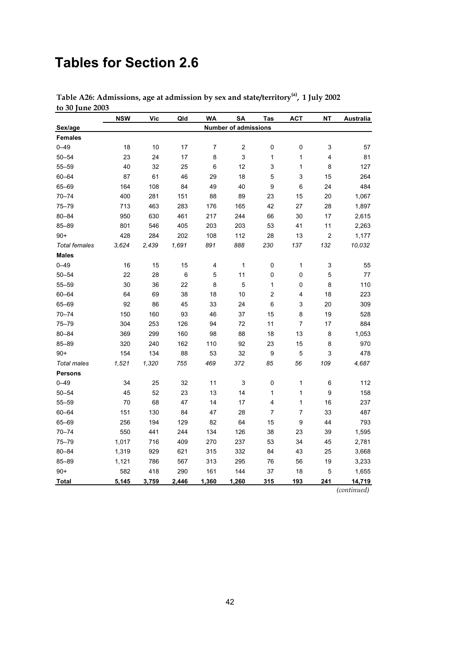## **Tables for Section 2.6**

|                      | <b>NSW</b> | <b>Vic</b> | Qld   | <b>WA</b>      | <b>SA</b>                   | Tas                     | <b>ACT</b>                | NΤ                        | Australia |
|----------------------|------------|------------|-------|----------------|-----------------------------|-------------------------|---------------------------|---------------------------|-----------|
| Sex/age              |            |            |       |                | <b>Number of admissions</b> |                         |                           |                           |           |
| <b>Females</b>       |            |            |       |                |                             |                         |                           |                           |           |
| $0 - 49$             | 18         | 10         | 17    | $\overline{7}$ | $\overline{\mathbf{c}}$     | 0                       | 0                         | 3                         | 57        |
| $50 - 54$            | 23         | 24         | 17    | 8              | 3                           | 1                       | 1                         | $\overline{\mathbf{4}}$   | 81        |
| $55 - 59$            | 40         | 32         | 25    | 6              | 12                          | 3                       | 1                         | 8                         | 127       |
| $60 - 64$            | 87         | 61         | 46    | 29             | 18                          | 5                       | $\ensuremath{\mathsf{3}}$ | 15                        | 264       |
| 65-69                | 164        | 108        | 84    | 49             | 40                          | 9                       | $\,6$                     | 24                        | 484       |
| $70 - 74$            | 400        | 281        | 151   | 88             | 89                          | 23                      | 15                        | 20                        | 1,067     |
| $75 - 79$            | 713        | 463        | 283   | 176            | 165                         | 42                      | 27                        | 28                        | 1,897     |
| $80 - 84$            | 950        | 630        | 461   | 217            | 244                         | 66                      | 30                        | 17                        | 2,615     |
| 85-89                | 801        | 546        | 405   | 203            | 203                         | 53                      | 41                        | 11                        | 2,263     |
| $90+$                | 428        | 284        | 202   | 108            | 112                         | 28                      | 13                        | $\overline{c}$            | 1,177     |
| <b>Total females</b> | 3,624      | 2,439      | 1,691 | 891            | 888                         | 230                     | 137                       | 132                       | 10,032    |
| <b>Males</b>         |            |            |       |                |                             |                         |                           |                           |           |
| $0 - 49$             | 16         | 15         | 15    | 4              | 1                           | 0                       | $\mathbf{1}$              | $\ensuremath{\mathsf{3}}$ | 55        |
| $50 - 54$            | 22         | 28         | 6     | 5              | 11                          | 0                       | $\pmb{0}$                 | 5                         | 77        |
| $55 - 59$            | 30         | 36         | 22    | 8              | 5                           | 1                       | $\pmb{0}$                 | 8                         | 110       |
| $60 - 64$            | 64         | 69         | 38    | 18             | 10                          | $\overline{\mathbf{c}}$ | 4                         | 18                        | 223       |
| 65-69                | 92         | 86         | 45    | 33             | 24                          | 6                       | $\ensuremath{\mathsf{3}}$ | 20                        | 309       |
| $70 - 74$            | 150        | 160        | 93    | 46             | 37                          | 15                      | 8                         | 19                        | 528       |
| 75-79                | 304        | 253        | 126   | 94             | 72                          | 11                      | $\boldsymbol{7}$          | $17$                      | 884       |
| $80 - 84$            | 369        | 299        | 160   | 98             | 88                          | 18                      | 13                        | 8                         | 1,053     |
| 85-89                | 320        | 240        | 162   | 110            | 92                          | 23                      | 15                        | 8                         | 970       |
| $90+$                | 154        | 134        | 88    | 53             | 32                          | 9                       | $\mathbf 5$               | $\mathsf 3$               | 478       |
| <b>Total males</b>   | 1,521      | 1,320      | 755   | 469            | 372                         | 85                      | 56                        | 109                       | 4,687     |
| <b>Persons</b>       |            |            |       |                |                             |                         |                           |                           |           |
| $0 - 49$             | 34         | 25         | 32    | 11             | 3                           | $\pmb{0}$               | 1                         | 6                         | 112       |
| $50 - 54$            | 45         | 52         | 23    | 13             | 14                          | 1                       | 1                         | 9                         | 158       |
| $55 - 59$            | 70         | 68         | 47    | 14             | 17                          | 4                       | 1                         | 16                        | 237       |
| $60 - 64$            | 151        | 130        | 84    | 47             | 28                          | 7                       | $\boldsymbol{7}$          | 33                        | 487       |
| 65-69                | 256        | 194        | 129   | 82             | 64                          | 15                      | $\boldsymbol{9}$          | 44                        | 793       |
| $70 - 74$            | 550        | 441        | 244   | 134            | 126                         | 38                      | 23                        | 39                        | 1,595     |
| $75 - 79$            | 1,017      | 716        | 409   | 270            | 237                         | 53                      | 34                        | 45                        | 2,781     |
| $80 - 84$            | 1,319      | 929        | 621   | 315            | 332                         | 84                      | 43                        | 25                        | 3,668     |
| 85-89                | 1,121      | 786        | 567   | 313            | 295                         | 76                      | 56                        | 19                        | 3,233     |
| $90+$                | 582        | 418        | 290   | 161            | 144                         | 37                      | 18                        | 5                         | 1,655     |
| Total                | 5,145      | 3,759      | 2,446 | 1,360          | 1,260                       | 315                     | 193                       | 241                       | 14,719    |

**Table A26: Admissions, age at admission by sex and state/territory(a), 1 July 2002 to 30 June 2003**

*(continued)*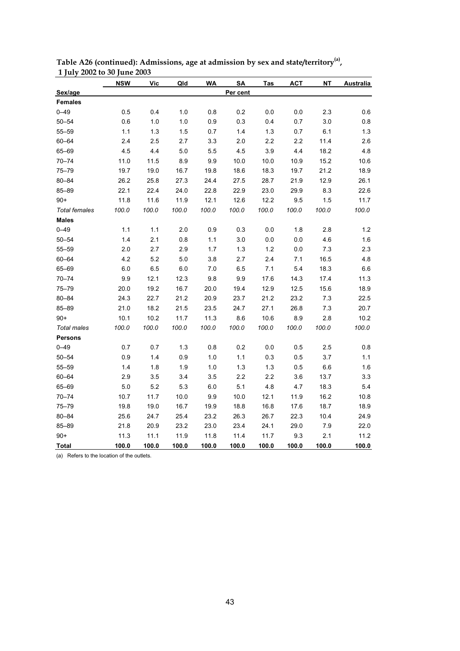|                      | <b>NSW</b> | Vic   | Qld   | WA    | SA       | Tas   | ACT   | <b>NT</b> | <b>Australia</b> |
|----------------------|------------|-------|-------|-------|----------|-------|-------|-----------|------------------|
| Sex/age              |            |       |       |       | Per cent |       |       |           |                  |
| <b>Females</b>       |            |       |       |       |          |       |       |           |                  |
| $0 - 49$             | 0.5        | 0.4   | 1.0   | 0.8   | 0.2      | 0.0   | 0.0   | 2.3       | 0.6              |
| $50 - 54$            | 0.6        | 1.0   | 1.0   | 0.9   | 0.3      | 0.4   | 0.7   | 3.0       | $0.8\,$          |
| $55 - 59$            | 1.1        | $1.3$ | 1.5   | 0.7   | 1.4      | 1.3   | 0.7   | 6.1       | 1.3              |
| $60 - 64$            | 2.4        | 2.5   | 2.7   | 3.3   | 2.0      | 2.2   | 2.2   | 11.4      | 2.6              |
| 65-69                | 4.5        | 4.4   | 5.0   | 5.5   | 4.5      | 3.9   | 4.4   | 18.2      | 4.8              |
| $70 - 74$            | 11.0       | 11.5  | 8.9   | 9.9   | 10.0     | 10.0  | 10.9  | 15.2      | 10.6             |
| $75 - 79$            | 19.7       | 19.0  | 16.7  | 19.8  | 18.6     | 18.3  | 19.7  | 21.2      | 18.9             |
| $80 - 84$            | 26.2       | 25.8  | 27.3  | 24.4  | 27.5     | 28.7  | 21.9  | 12.9      | 26.1             |
| $85 - 89$            | 22.1       | 22.4  | 24.0  | 22.8  | 22.9     | 23.0  | 29.9  | 8.3       | 22.6             |
| $90+$                | 11.8       | 11.6  | 11.9  | 12.1  | 12.6     | 12.2  | 9.5   | 1.5       | 11.7             |
| <b>Total females</b> | 100.0      | 100.0 | 100.0 | 100.0 | 100.0    | 100.0 | 100.0 | 100.0     | 100.0            |
| <b>Males</b>         |            |       |       |       |          |       |       |           |                  |
| $0 - 49$             | 1.1        | 1.1   | 2.0   | 0.9   | 0.3      | 0.0   | 1.8   | 2.8       | 1.2              |
| $50 - 54$            | 1.4        | 2.1   | 0.8   | 1.1   | 3.0      | 0.0   | 0.0   | 4.6       | 1.6              |
| $55 - 59$            | 2.0        | 2.7   | 2.9   | 1.7   | 1.3      | 1.2   | 0.0   | 7.3       | 2.3              |
| $60 - 64$            | 4.2        | 5.2   | 5.0   | 3.8   | 2.7      | 2.4   | 7.1   | 16.5      | 4.8              |
| 65-69                | 6.0        | 6.5   | 6.0   | 7.0   | 6.5      | 7.1   | 5.4   | 18.3      | $6.6\,$          |
| $70 - 74$            | 9.9        | 12.1  | 12.3  | 9.8   | 9.9      | 17.6  | 14.3  | 17.4      | 11.3             |
| $75 - 79$            | 20.0       | 19.2  | 16.7  | 20.0  | 19.4     | 12.9  | 12.5  | 15.6      | 18.9             |
| $80 - 84$            | 24.3       | 22.7  | 21.2  | 20.9  | 23.7     | 21.2  | 23.2  | 7.3       | 22.5             |
| 85-89                | 21.0       | 18.2  | 21.5  | 23.5  | 24.7     | 27.1  | 26.8  | 7.3       | 20.7             |
| $90+$                | 10.1       | 10.2  | 11.7  | 11.3  | 8.6      | 10.6  | 8.9   | 2.8       | 10.2             |
| <b>Total males</b>   | 100.0      | 100.0 | 100.0 | 100.0 | 100.0    | 100.0 | 100.0 | 100.0     | 100.0            |
| <b>Persons</b>       |            |       |       |       |          |       |       |           |                  |
| $0 - 49$             | 0.7        | 0.7   | 1.3   | 0.8   | 0.2      | 0.0   | 0.5   | 2.5       | $0.8\,$          |
| $50 - 54$            | 0.9        | 1.4   | 0.9   | 1.0   | 1.1      | 0.3   | 0.5   | 3.7       | 1.1              |
| $55 - 59$            | 1.4        | 1.8   | 1.9   | 1.0   | 1.3      | 1.3   | 0.5   | 6.6       | 1.6              |
| $60 - 64$            | 2.9        | 3.5   | 3.4   | 3.5   | 2.2      | 2.2   | 3.6   | 13.7      | 3.3              |
| 65-69                | 5.0        | 5.2   | 5.3   | 6.0   | 5.1      | 4.8   | 4.7   | 18.3      | 5.4              |
| $70 - 74$            | 10.7       | 11.7  | 10.0  | 9.9   | 10.0     | 12.1  | 11.9  | 16.2      | 10.8             |
| $75 - 79$            | 19.8       | 19.0  | 16.7  | 19.9  | 18.8     | 16.8  | 17.6  | 18.7      | 18.9             |
| $80 - 84$            | 25.6       | 24.7  | 25.4  | 23.2  | 26.3     | 26.7  | 22.3  | 10.4      | 24.9             |
| 85-89                | 21.8       | 20.9  | 23.2  | 23.0  | 23.4     | 24.1  | 29.0  | 7.9       | 22.0             |
| $90+$                | 11.3       | 11.1  | 11.9  | 11.8  | 11.4     | 11.7  | 9.3   | 2.1       | 11.2             |
| <b>Total</b>         | 100.0      | 100.0 | 100.0 | 100.0 | 100.0    | 100.0 | 100.0 | 100.0     | 100.0            |

Table A26 (continued): Admissions, age at admission by sex and state/territory<sup>(a)</sup>,  **1 July 2002 to 30 June 2003**

(a) Refers to the location of the outlets.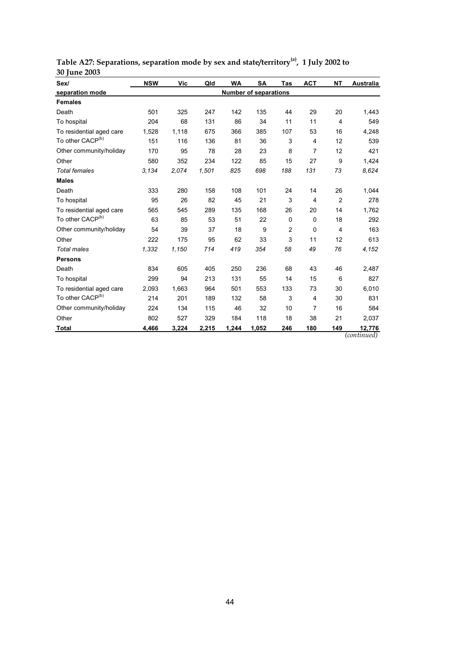| Sex/                         | <b>NSW</b>                   | Vic   | Qld   | WA    | SA    | Tas            | <b>ACT</b>     | ΝT             | Australia             |
|------------------------------|------------------------------|-------|-------|-------|-------|----------------|----------------|----------------|-----------------------|
| separation mode              | <b>Number of separations</b> |       |       |       |       |                |                |                |                       |
| <b>Females</b>               |                              |       |       |       |       |                |                |                |                       |
| Death                        | 501                          | 325   | 247   | 142   | 135   | 44             | 29             | 20             | 1,443                 |
| To hospital                  | 204                          | 68    | 131   | 86    | 34    | 11             | 11             | $\overline{4}$ | 549                   |
| To residential aged care     | 1,528                        | 1,118 | 675   | 366   | 385   | 107            | 53             | 16             | 4,248                 |
| To other CACP <sup>(b)</sup> | 151                          | 116   | 136   | 81    | 36    | 3              | $\overline{4}$ | 12             | 539                   |
| Other community/holiday      | 170                          | 95    | 78    | 28    | 23    | 8              | 7              | 12             | 421                   |
| Other                        | 580                          | 352   | 234   | 122   | 85    | 15             | 27             | 9              | 1,424                 |
| <b>Total females</b>         | 3.134                        | 2,074 | 1,501 | 825   | 698   | 188            | 131            | 73             | 8,624                 |
| <b>Males</b>                 |                              |       |       |       |       |                |                |                |                       |
| Death                        | 333                          | 280   | 158   | 108   | 101   | 24             | 14             | 26             | 1,044                 |
| To hospital                  | 95                           | 26    | 82    | 45    | 21    | 3              | 4              | $\overline{2}$ | 278                   |
| To residential aged care     | 565                          | 545   | 289   | 135   | 168   | 26             | 20             | 14             | 1,762                 |
| To other CACP <sup>(b)</sup> | 63                           | 85    | 53    | 51    | 22    | 0              | $\Omega$       | 18             | 292                   |
| Other community/holiday      | 54                           | 39    | 37    | 18    | 9     | $\overline{c}$ | 0              | $\overline{4}$ | 163                   |
| Other                        | 222                          | 175   | 95    | 62    | 33    | 3              | 11             | 12             | 613                   |
| <b>Total males</b>           | 1,332                        | 1,150 | 714   | 419   | 354   | 58             | 49             | 76             | 4,152                 |
| <b>Persons</b>               |                              |       |       |       |       |                |                |                |                       |
| Death                        | 834                          | 605   | 405   | 250   | 236   | 68             | 43             | 46             | 2,487                 |
| To hospital                  | 299                          | 94    | 213   | 131   | 55    | 14             | 15             | 6              | 827                   |
| To residential aged care     | 2,093                        | 1,663 | 964   | 501   | 553   | 133            | 73             | 30             | 6,010                 |
| To other CACP <sup>(b)</sup> | 214                          | 201   | 189   | 132   | 58    | 3              | 4              | 30             | 831                   |
| Other community/holiday      | 224                          | 134   | 115   | 46    | 32    | 10             | 7              | 16             | 584                   |
| Other                        | 802                          | 527   | 329   | 184   | 118   | 18             | 38             | 21             | 2,037                 |
| <b>Total</b>                 | 4,466                        | 3,224 | 2,215 | 1,244 | 1,052 | 246            | 180            | 149            | 12,776<br>(continued) |

**Table A27: Separations, separation mode by sex and state/territory(a), 1 July 2002 to 30 June 2003**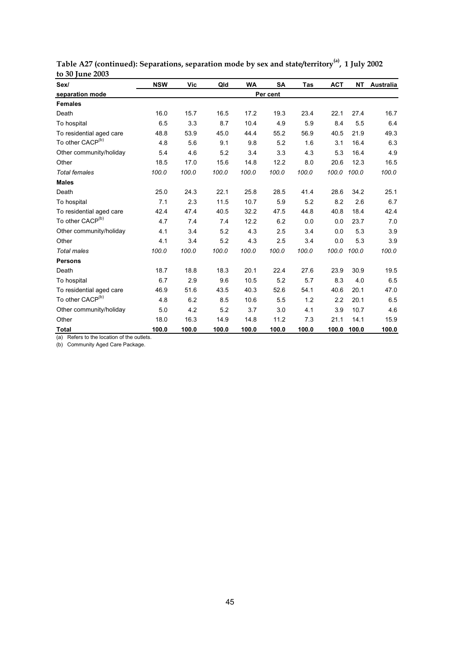| Sex/                         | <b>NSW</b> | Vic   | Qld   | <b>WA</b> | <b>SA</b> | Tas   | <b>ACT</b> | NT    | Australia |
|------------------------------|------------|-------|-------|-----------|-----------|-------|------------|-------|-----------|
| separation mode              | Per cent   |       |       |           |           |       |            |       |           |
| <b>Females</b>               |            |       |       |           |           |       |            |       |           |
| Death                        | 16.0       | 15.7  | 16.5  | 17.2      | 19.3      | 23.4  | 22.1       | 27.4  | 16.7      |
| To hospital                  | 6.5        | 3.3   | 8.7   | 10.4      | 4.9       | 5.9   | 8.4        | 5.5   | 6.4       |
| To residential aged care     | 48.8       | 53.9  | 45.0  | 44.4      | 55.2      | 56.9  | 40.5       | 21.9  | 49.3      |
| To other CACP <sup>(b)</sup> | 4.8        | 5.6   | 9.1   | 9.8       | 5.2       | 1.6   | 3.1        | 16.4  | 6.3       |
| Other community/holiday      | 5.4        | 4.6   | 5.2   | 3.4       | 3.3       | 4.3   | 5.3        | 16.4  | 4.9       |
| Other                        | 18.5       | 17.0  | 15.6  | 14.8      | 12.2      | 8.0   | 20.6       | 12.3  | 16.5      |
| <b>Total females</b>         | 100.0      | 100.0 | 100.0 | 100.0     | 100.0     | 100.0 | 100.0      | 100.0 | 100.0     |
| <b>Males</b>                 |            |       |       |           |           |       |            |       |           |
| Death                        | 25.0       | 24.3  | 22.1  | 25.8      | 28.5      | 41.4  | 28.6       | 34.2  | 25.1      |
| To hospital                  | 7.1        | 2.3   | 11.5  | 10.7      | 5.9       | 5.2   | 8.2        | 2.6   | 6.7       |
| To residential aged care     | 42.4       | 47.4  | 40.5  | 32.2      | 47.5      | 44.8  | 40.8       | 18.4  | 42.4      |
| To other CACP <sup>(b)</sup> | 4.7        | 7.4   | 7.4   | 12.2      | 6.2       | 0.0   | 0.0        | 23.7  | 7.0       |
| Other community/holiday      | 4.1        | 3.4   | 5.2   | 4.3       | 2.5       | 3.4   | 0.0        | 5.3   | 3.9       |
| Other                        | 4.1        | 3.4   | 5.2   | 4.3       | 2.5       | 3.4   | 0.0        | 5.3   | 3.9       |
| <b>Total males</b>           | 100.0      | 100.0 | 100.0 | 100.0     | 100.0     | 100.0 | 100.0      | 100.0 | 100.0     |
| <b>Persons</b>               |            |       |       |           |           |       |            |       |           |
| Death                        | 18.7       | 18.8  | 18.3  | 20.1      | 22.4      | 27.6  | 23.9       | 30.9  | 19.5      |
| To hospital                  | 6.7        | 2.9   | 9.6   | 10.5      | 5.2       | 5.7   | 8.3        | 4.0   | 6.5       |
| To residential aged care     | 46.9       | 51.6  | 43.5  | 40.3      | 52.6      | 54.1  | 40.6       | 20.1  | 47.0      |
| To other CACP <sup>(b)</sup> | 4.8        | 6.2   | 8.5   | 10.6      | 5.5       | 1.2   | 2.2        | 20.1  | 6.5       |
| Other community/holiday      | 5.0        | 4.2   | 5.2   | 3.7       | 3.0       | 4.1   | 3.9        | 10.7  | 4.6       |
| Other                        | 18.0       | 16.3  | 14.9  | 14.8      | 11.2      | 7.3   | 21.1       | 14.1  | 15.9      |
| <b>Total</b>                 | 100.0      | 100.0 | 100.0 | 100.0     | 100.0     | 100.0 | 100.0      | 100.0 | 100.0     |

**Table A27 (continued): Separations, separation mode by sex and state/territory(a), 1 July 2002 to 30 June 2003**

(a) Refers to the location of the outlets.

(b) Community Aged Care Package.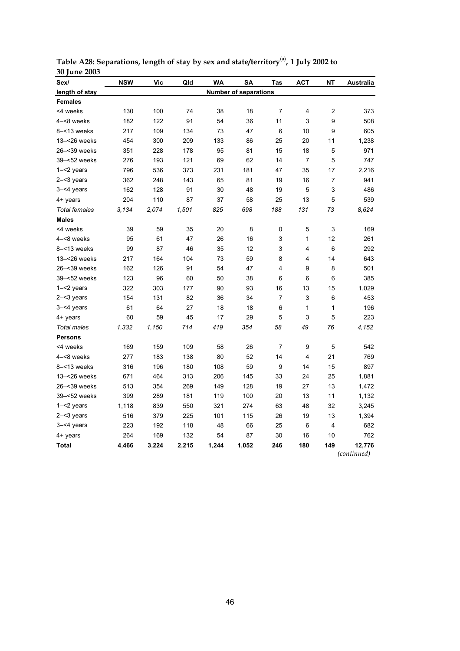| Sex/                 | <b>NSW</b> | Vic   | Qld   | WA    | <b>SA</b>                    | <b>Tas</b>     | <b>ACT</b>     | NΤ             | Australia |
|----------------------|------------|-------|-------|-------|------------------------------|----------------|----------------|----------------|-----------|
| length of stay       |            |       |       |       | <b>Number of separations</b> |                |                |                |           |
| <b>Females</b>       |            |       |       |       |                              |                |                |                |           |
| <4 weeks             | 130        | 100   | 74    | 38    | 18                           | $\overline{7}$ | 4              | $\overline{c}$ | 373       |
| 4-<8 weeks           | 182        | 122   | 91    | 54    | 36                           | 11             | 3              | 9              | 508       |
| $8 - 13$ weeks       | 217        | 109   | 134   | 73    | 47                           | 6              | 10             | 9              | 605       |
| 13-<26 weeks         | 454        | 300   | 209   | 133   | 86                           | 25             | 20             | 11             | 1,238     |
| 26-<39 weeks         | 351        | 228   | 178   | 95    | 81                           | 15             | 18             | 5              | 971       |
| 39-<52 weeks         | 276        | 193   | 121   | 69    | 62                           | 14             | $\overline{7}$ | 5              | 747       |
| 1-<2 years           | 796        | 536   | 373   | 231   | 181                          | 47             | 35             | 17             | 2,216     |
| $2 - 3$ years        | 362        | 248   | 143   | 65    | 81                           | 19             | 16             | 7              | 941       |
| $3 - 4$ years        | 162        | 128   | 91    | 30    | 48                           | 19             | 5              | 3              | 486       |
| 4+ years             | 204        | 110   | 87    | 37    | 58                           | 25             | 13             | 5              | 539       |
| <b>Total females</b> | 3.134      | 2,074 | 1,501 | 825   | 698                          | 188            | 131            | 73             | 8.624     |
| <b>Males</b>         |            |       |       |       |                              |                |                |                |           |
| <4 weeks             | 39         | 59    | 35    | 20    | 8                            | 0              | 5              | 3              | 169       |
| 4-<8 weeks           | 95         | 61    | 47    | 26    | 16                           | 3              | 1              | 12             | 261       |
| $8 - 13$ weeks       | 99         | 87    | 46    | 35    | 12                           | 3              | 4              | 6              | 292       |
| 13-<26 weeks         | 217        | 164   | 104   | 73    | 59                           | 8              | 4              | 14             | 643       |
| 26-<39 weeks         | 162        | 126   | 91    | 54    | 47                           | 4              | 9              | 8              | 501       |
| 39-<52 weeks         | 123        | 96    | 60    | 50    | 38                           | 6              | 6              | 6              | 385       |
| $1 - 2$ years        | 322        | 303   | 177   | 90    | 93                           | 16             | 13             | 15             | 1,029     |
| $2 - 3$ years        | 154        | 131   | 82    | 36    | 34                           | 7              | 3              | 6              | 453       |
| $3 - 4$ years        | 61         | 64    | 27    | 18    | 18                           | 6              | 1              | 1              | 196       |
| 4+ years             | 60         | 59    | 45    | 17    | 29                           | 5              | 3              | 5              | 223       |
| <b>Total males</b>   | 1,332      | 1,150 | 714   | 419   | 354                          | 58             | 49             | 76             | 4,152     |
| <b>Persons</b>       |            |       |       |       |                              |                |                |                |           |
| <4 weeks             | 169        | 159   | 109   | 58    | 26                           | 7              | 9              | 5              | 542       |
| 4-<8 weeks           | 277        | 183   | 138   | 80    | 52                           | 14             | 4              | 21             | 769       |
| 8-<13 weeks          | 316        | 196   | 180   | 108   | 59                           | 9              | 14             | 15             | 897       |
| 13-<26 weeks         | 671        | 464   | 313   | 206   | 145                          | 33             | 24             | 25             | 1,881     |
| 26-<39 weeks         | 513        | 354   | 269   | 149   | 128                          | 19             | 27             | 13             | 1,472     |
| 39-<52 weeks         | 399        | 289   | 181   | 119   | 100                          | 20             | 13             | 11             | 1,132     |
| 1-<2 years           | 1,118      | 839   | 550   | 321   | 274                          | 63             | 48             | 32             | 3,245     |
| 2-<3 years           | 516        | 379   | 225   | 101   | 115                          | 26             | 19             | 13             | 1,394     |
| 3-<4 years           | 223        | 192   | 118   | 48    | 66                           | 25             | 6              | 4              | 682       |
| 4+ years             | 264        | 169   | 132   | 54    | 87                           | 30             | 16             | 10             | 762       |
| <b>Total</b>         | 4,466      | 3,224 | 2,215 | 1,244 | 1,052                        | 246            | 180            | 149            | 12,776    |

**Table A28: Separations, length of stay by sex and state/territory(a), 1 July 2002 to 30 June 2003**

*(continued)*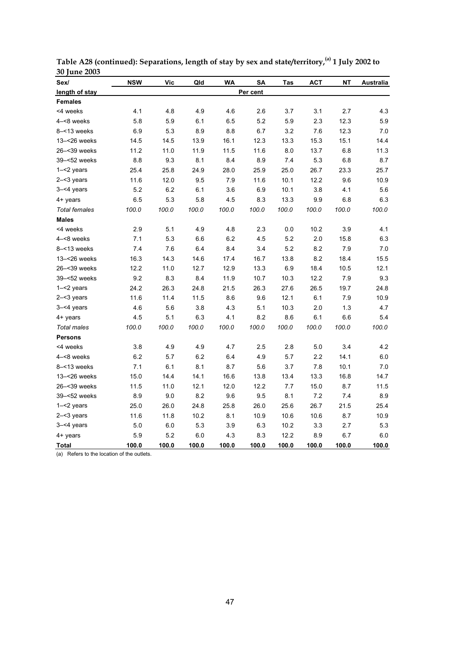| Sex/                 | <b>NSW</b> | <b>Vic</b> | Qld   | WA    | SA       | <b>Tas</b> | <b>ACT</b> | NΤ      | Australia |
|----------------------|------------|------------|-------|-------|----------|------------|------------|---------|-----------|
| length of stay       |            |            |       |       | Per cent |            |            |         |           |
| <b>Females</b>       |            |            |       |       |          |            |            |         |           |
| <4 weeks             | 4.1        | 4.8        | 4.9   | 4.6   | 2.6      | 3.7        | 3.1        | 2.7     | 4.3       |
| 4-<8 weeks           | 5.8        | 5.9        | 6.1   | 6.5   | 5.2      | 5.9        | 2.3        | 12.3    | 5.9       |
| 8-<13 weeks          | 6.9        | 5.3        | 8.9   | 8.8   | 6.7      | 3.2        | 7.6        | 12.3    | 7.0       |
| 13-<26 weeks         | 14.5       | 14.5       | 13.9  | 16.1  | 12.3     | 13.3       | 15.3       | 15.1    | 14.4      |
| 26-<39 weeks         | 11.2       | 11.0       | 11.9  | 11.5  | 11.6     | 8.0        | 13.7       | $6.8\,$ | 11.3      |
| 39-<52 weeks         | 8.8        | 9.3        | 8.1   | 8.4   | 8.9      | 7.4        | 5.3        | 6.8     | 8.7       |
| 1-<2 years           | 25.4       | 25.8       | 24.9  | 28.0  | 25.9     | 25.0       | 26.7       | 23.3    | 25.7      |
| $2 - 3$ years        | 11.6       | 12.0       | 9.5   | 7.9   | 11.6     | 10.1       | 12.2       | 9.6     | 10.9      |
| 3-<4 years           | 5.2        | 6.2        | 6.1   | 3.6   | 6.9      | 10.1       | 3.8        | 4.1     | 5.6       |
| 4+ years             | 6.5        | 5.3        | 5.8   | 4.5   | 8.3      | 13.3       | 9.9        | 6.8     | 6.3       |
| <b>Total females</b> | 100.0      | 100.0      | 100.0 | 100.0 | 100.0    | 100.0      | 100.0      | 100.0   | 100.0     |
| <b>Males</b>         |            |            |       |       |          |            |            |         |           |
| <4 weeks             | 2.9        | 5.1        | 4.9   | 4.8   | 2.3      | 0.0        | 10.2       | 3.9     | 4.1       |
| 4-<8 weeks           | 7.1        | 5.3        | 6.6   | 6.2   | 4.5      | 5.2        | 2.0        | 15.8    | 6.3       |
| $8 - 13$ weeks       | 7.4        | 7.6        | 6.4   | 8.4   | 3.4      | 5.2        | 8.2        | 7.9     | $7.0\,$   |
| 13-<26 weeks         | 16.3       | 14.3       | 14.6  | 17.4  | 16.7     | 13.8       | 8.2        | 18.4    | 15.5      |
| 26-<39 weeks         | 12.2       | 11.0       | 12.7  | 12.9  | 13.3     | 6.9        | 18.4       | 10.5    | 12.1      |
| 39-<52 weeks         | 9.2        | 8.3        | 8.4   | 11.9  | 10.7     | 10.3       | 12.2       | 7.9     | 9.3       |
| $1 - 2$ years        | 24.2       | 26.3       | 24.8  | 21.5  | 26.3     | 27.6       | 26.5       | 19.7    | 24.8      |
| $2 - 3$ years        | 11.6       | 11.4       | 11.5  | 8.6   | 9.6      | 12.1       | 6.1        | 7.9     | 10.9      |
| 3-<4 years           | 4.6        | 5.6        | 3.8   | 4.3   | 5.1      | 10.3       | 2.0        | 1.3     | 4.7       |
| 4+ years             | 4.5        | 5.1        | 6.3   | 4.1   | 8.2      | 8.6        | 6.1        | 6.6     | 5.4       |
| <b>Total males</b>   | 100.0      | 100.0      | 100.0 | 100.0 | 100.0    | 100.0      | 100.0      | 100.0   | 100.0     |
| <b>Persons</b>       |            |            |       |       |          |            |            |         |           |
| <4 weeks             | 3.8        | 4.9        | 4.9   | 4.7   | 2.5      | 2.8        | 5.0        | 3.4     | 4.2       |
| 4-<8 weeks           | 6.2        | 5.7        | 6.2   | 6.4   | 4.9      | 5.7        | 2.2        | 14.1    | 6.0       |
| 8-<13 weeks          | 7.1        | 6.1        | 8.1   | 8.7   | 5.6      | 3.7        | 7.8        | 10.1    | 7.0       |
| 13-<26 weeks         | 15.0       | 14.4       | 14.1  | 16.6  | 13.8     | 13.4       | 13.3       | 16.8    | 14.7      |
| 26-<39 weeks         | 11.5       | 11.0       | 12.1  | 12.0  | 12.2     | $7.7\,$    | 15.0       | 8.7     | 11.5      |
| 39-<52 weeks         | 8.9        | 9.0        | 8.2   | 9.6   | 9.5      | 8.1        | 7.2        | 7.4     | 8.9       |
| $1 - 2$ years        | 25.0       | 26.0       | 24.8  | 25.8  | 26.0     | 25.6       | 26.7       | 21.5    | 25.4      |
| $2 - 3$ years        | 11.6       | 11.8       | 10.2  | 8.1   | 10.9     | 10.6       | 10.6       | 8.7     | 10.9      |
| 3-<4 years           | 5.0        | 6.0        | 5.3   | 3.9   | 6.3      | 10.2       | 3.3        | 2.7     | 5.3       |
| 4+ years             | 5.9        | 5.2        | 6.0   | 4.3   | 8.3      | 12.2       | 8.9        | 6.7     | 6.0       |
| <b>Total</b>         | 100.0      | 100.0      | 100.0 | 100.0 | 100.0    | 100.0      | 100.0      | 100.0   | 100.0     |

**Table A28 (continued): Separations, length of stay by sex and state/territory,(a) 1 July 2002 to 30 June 2003**

(a) Refers to the location of the outlets.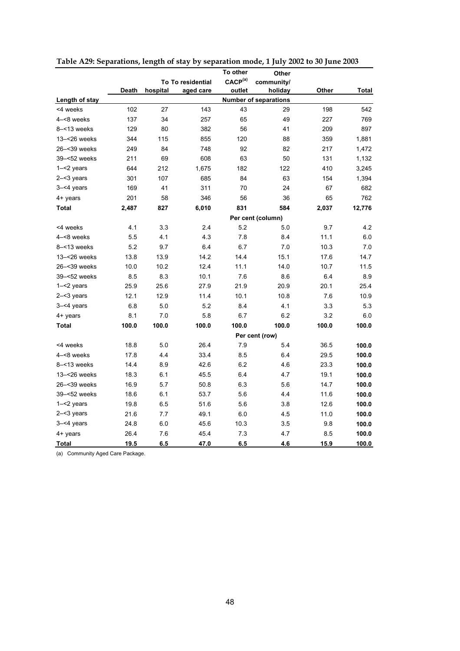|                |       |          |                   | To other            | Other                        |       |        |
|----------------|-------|----------|-------------------|---------------------|------------------------------|-------|--------|
|                |       |          | To To residential | CACP <sup>(a)</sup> | community/                   |       |        |
|                | Death | hospital | aged care         | outlet              | holiday                      | Other | Total  |
| Length of stay |       |          |                   |                     | <b>Number of separations</b> |       |        |
| <4 weeks       | 102   | 27       | 143               | 43                  | 29                           | 198   | 542    |
| 4-<8 weeks     | 137   | 34       | 257               | 65                  | 49                           | 227   | 769    |
| $8 - 13$ weeks | 129   | 80       | 382               | 56                  | 41                           | 209   | 897    |
| 13-<26 weeks   | 344   | 115      | 855               | 120                 | 88                           | 359   | 1,881  |
| 26-<39 weeks   | 249   | 84       | 748               | 92                  | 82                           | 217   | 1,472  |
| 39-<52 weeks   | 211   | 69       | 608               | 63                  | 50                           | 131   | 1,132  |
| $1 - 2$ years  | 644   | 212      | 1,675             | 182                 | 122                          | 410   | 3,245  |
| $2 - 3$ years  | 301   | 107      | 685               | 84                  | 63                           | 154   | 1,394  |
| $3 - 4$ years  | 169   | 41       | 311               | 70                  | 24                           | 67    | 682    |
| 4+ years       | 201   | 58       | 346               | 56                  | 36                           | 65    | 762    |
| <b>Total</b>   | 2,487 | 827      | 6,010             | 831                 | 584                          | 2,037 | 12,776 |
|                |       |          |                   |                     | Per cent (column)            |       |        |
| <4 weeks       | 4.1   | 3.3      | 2.4               | 5.2                 | 5.0                          | 9.7   | 4.2    |
| 4-<8 weeks     | 5.5   | 4.1      | 4.3               | 7.8                 | 8.4                          | 11.1  | 6.0    |
| $8 - 13$ weeks | 5.2   | 9.7      | 6.4               | 6.7                 | 7.0                          | 10.3  | 7.0    |
| 13-<26 weeks   | 13.8  | 13.9     | 14.2              | 14.4                | 15.1                         | 17.6  | 14.7   |
| 26-<39 weeks   | 10.0  | 10.2     | 12.4              | 11.1                | 14.0                         | 10.7  | 11.5   |
| 39-<52 weeks   | 8.5   | 8.3      | 10.1              | 7.6                 | 8.6                          | 6.4   | 8.9    |
| $1 - 2$ years  | 25.9  | 25.6     | 27.9              | 21.9                | 20.9                         | 20.1  | 25.4   |
| $2 - 3$ years  | 12.1  | 12.9     | 11.4              | 10.1                | 10.8                         | 7.6   | 10.9   |
| $3 - 4$ years  | 6.8   | 5.0      | 5.2               | 8.4                 | 4.1                          | 3.3   | 5.3    |
| 4+ years       | 8.1   | 7.0      | 5.8               | 6.7                 | 6.2                          | 3.2   | 6.0    |
| <b>Total</b>   | 100.0 | 100.0    | 100.0             | 100.0               | 100.0                        | 100.0 | 100.0  |
|                |       |          |                   |                     | Per cent (row)               |       |        |
| <4 weeks       | 18.8  | 5.0      | 26.4              | 7.9                 | 5.4                          | 36.5  | 100.0  |
| 4-<8 weeks     | 17.8  | 4.4      | 33.4              | 8.5                 | 6.4                          | 29.5  | 100.0  |
| $8 - 13$ weeks | 14.4  | 8.9      | 42.6              | 6.2                 | 4.6                          | 23.3  | 100.0  |
| 13-<26 weeks   | 18.3  | 6.1      | 45.5              | 6.4                 | 4.7                          | 19.1  | 100.0  |
| 26-<39 weeks   | 16.9  | 5.7      | 50.8              | 6.3                 | 5.6                          | 14.7  | 100.0  |
| 39-<52 weeks   | 18.6  | 6.1      | 53.7              | 5.6                 | 4.4                          | 11.6  | 100.0  |
| $1 - 2$ years  | 19.8  | 6.5      | 51.6              | 5.6                 | 3.8                          | 12.6  | 100.0  |
| $2 - 3$ years  | 21.6  | 7.7      | 49.1              | 6.0                 | 4.5                          | 11.0  | 100.0  |
| 3-<4 years     | 24.8  | 6.0      | 45.6              | 10.3                | 3.5                          | 9.8   | 100.0  |
| 4+ years       | 26.4  | 7.6      | 45.4              | 7.3                 | 4.7                          | 8.5   | 100.0  |
| <b>Total</b>   | 19.5  | 6.5      | 47.0              | 6.5                 | 4.6                          | 15.9  | 100.0  |

**Table A29: Separations, length of stay by separation mode, 1 July 2002 to 30 June 2003**

(a) Community Aged Care Package.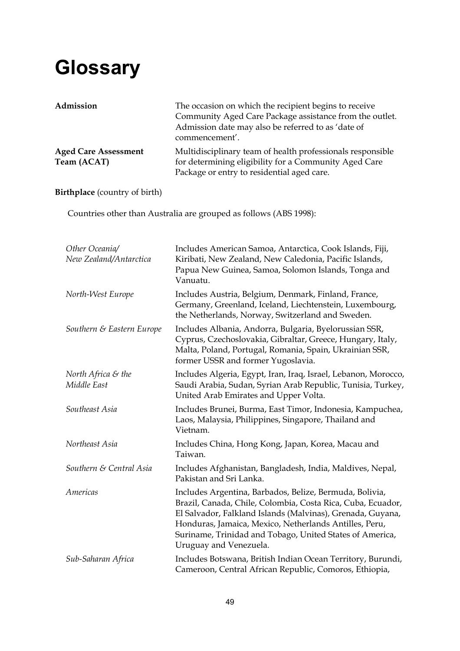## **Glossary**

| Admission                                  | The occasion on which the recipient begins to receive<br>Community Aged Care Package assistance from the outlet.<br>Admission date may also be referred to as 'date of<br>commencement'. |
|--------------------------------------------|------------------------------------------------------------------------------------------------------------------------------------------------------------------------------------------|
| <b>Aged Care Assessment</b><br>Team (ACAT) | Multidisciplinary team of health professionals responsible<br>for determining eligibility for a Community Aged Care<br>Package or entry to residential aged care.                        |

**Birthplace** (country of birth)

Countries other than Australia are grouped as follows (ABS 1998):

| Other Oceania/<br>New Zealand/Antarctica      | Includes American Samoa, Antarctica, Cook Islands, Fiji,<br>Kiribati, New Zealand, New Caledonia, Pacific Islands,<br>Papua New Guinea, Samoa, Solomon Islands, Tonga and<br>Vanuatu.                                                                                                                                                |
|-----------------------------------------------|--------------------------------------------------------------------------------------------------------------------------------------------------------------------------------------------------------------------------------------------------------------------------------------------------------------------------------------|
| North-West Europe                             | Includes Austria, Belgium, Denmark, Finland, France,<br>Germany, Greenland, Iceland, Liechtenstein, Luxembourg,<br>the Netherlands, Norway, Switzerland and Sweden.                                                                                                                                                                  |
| Southern & Eastern Europe                     | Includes Albania, Andorra, Bulgaria, Byelorussian SSR,<br>Cyprus, Czechoslovakia, Gibraltar, Greece, Hungary, Italy,<br>Malta, Poland, Portugal, Romania, Spain, Ukrainian SSR,<br>former USSR and former Yugoslavia.                                                                                                                |
| North Africa $\varepsilon$ the<br>Middle East | Includes Algeria, Egypt, Iran, Iraq, Israel, Lebanon, Morocco,<br>Saudi Arabia, Sudan, Syrian Arab Republic, Tunisia, Turkey,<br>United Arab Emirates and Upper Volta.                                                                                                                                                               |
| Southeast Asia                                | Includes Brunei, Burma, East Timor, Indonesia, Kampuchea,<br>Laos, Malaysia, Philippines, Singapore, Thailand and<br>Vietnam.                                                                                                                                                                                                        |
| Northeast Asia                                | Includes China, Hong Kong, Japan, Korea, Macau and<br>Taiwan.                                                                                                                                                                                                                                                                        |
| Southern & Central Asia                       | Includes Afghanistan, Bangladesh, India, Maldives, Nepal,<br>Pakistan and Sri Lanka.                                                                                                                                                                                                                                                 |
| Americas                                      | Includes Argentina, Barbados, Belize, Bermuda, Bolivia,<br>Brazil, Canada, Chile, Colombia, Costa Rica, Cuba, Ecuador,<br>El Salvador, Falkland Islands (Malvinas), Grenada, Guyana,<br>Honduras, Jamaica, Mexico, Netherlands Antilles, Peru,<br>Suriname, Trinidad and Tobago, United States of America,<br>Uruguay and Venezuela. |
| Sub-Saharan Africa                            | Includes Botswana, British Indian Ocean Territory, Burundi,<br>Cameroon, Central African Republic, Comoros, Ethiopia,                                                                                                                                                                                                                |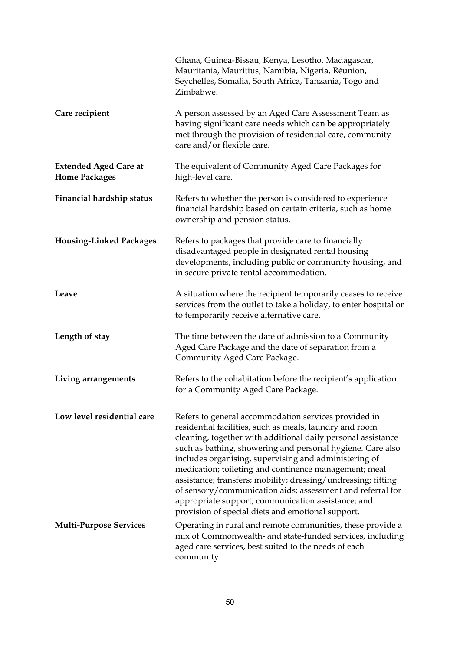|                                                      | Ghana, Guinea-Bissau, Kenya, Lesotho, Madagascar,<br>Mauritania, Mauritius, Namibia, Nigeria, Réunion,<br>Seychelles, Somalia, South Africa, Tanzania, Togo and<br>Zimbabwe.                                                                                                                                                                                                                                                                                                                                                                                                                              |
|------------------------------------------------------|-----------------------------------------------------------------------------------------------------------------------------------------------------------------------------------------------------------------------------------------------------------------------------------------------------------------------------------------------------------------------------------------------------------------------------------------------------------------------------------------------------------------------------------------------------------------------------------------------------------|
| Care recipient                                       | A person assessed by an Aged Care Assessment Team as<br>having significant care needs which can be appropriately<br>met through the provision of residential care, community<br>care and/or flexible care.                                                                                                                                                                                                                                                                                                                                                                                                |
| <b>Extended Aged Care at</b><br><b>Home Packages</b> | The equivalent of Community Aged Care Packages for<br>high-level care.                                                                                                                                                                                                                                                                                                                                                                                                                                                                                                                                    |
| Financial hardship status                            | Refers to whether the person is considered to experience<br>financial hardship based on certain criteria, such as home<br>ownership and pension status.                                                                                                                                                                                                                                                                                                                                                                                                                                                   |
| <b>Housing-Linked Packages</b>                       | Refers to packages that provide care to financially<br>disadvantaged people in designated rental housing<br>developments, including public or community housing, and<br>in secure private rental accommodation.                                                                                                                                                                                                                                                                                                                                                                                           |
| Leave                                                | A situation where the recipient temporarily ceases to receive<br>services from the outlet to take a holiday, to enter hospital or<br>to temporarily receive alternative care.                                                                                                                                                                                                                                                                                                                                                                                                                             |
| Length of stay                                       | The time between the date of admission to a Community<br>Aged Care Package and the date of separation from a<br>Community Aged Care Package.                                                                                                                                                                                                                                                                                                                                                                                                                                                              |
| Living arrangements                                  | Refers to the cohabitation before the recipient's application<br>for a Community Aged Care Package.                                                                                                                                                                                                                                                                                                                                                                                                                                                                                                       |
| Low level residential care                           | Refers to general accommodation services provided in<br>residential facilities, such as meals, laundry and room<br>cleaning, together with additional daily personal assistance<br>such as bathing, showering and personal hygiene. Care also<br>includes organising, supervising and administering of<br>medication; toileting and continence management; meal<br>assistance; transfers; mobility; dressing/undressing; fitting<br>of sensory/communication aids; assessment and referral for<br>appropriate support; communication assistance; and<br>provision of special diets and emotional support. |
| <b>Multi-Purpose Services</b>                        | Operating in rural and remote communities, these provide a<br>mix of Commonwealth- and state-funded services, including<br>aged care services, best suited to the needs of each<br>community.                                                                                                                                                                                                                                                                                                                                                                                                             |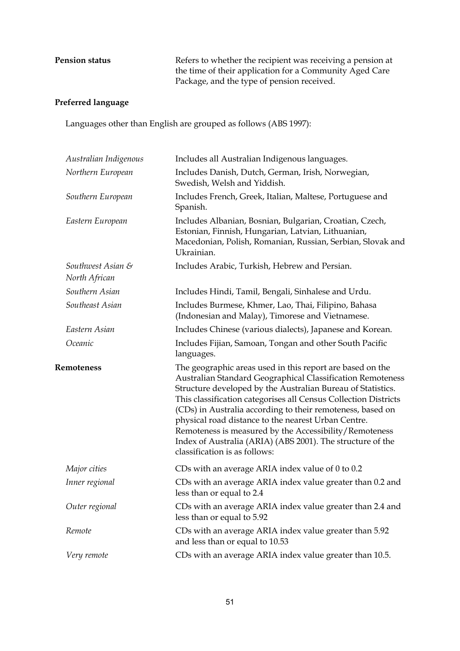**Pension status Refers** to whether the recipient was receiving a pension at the time of their application for a Community Aged Care Package, and the type of pension received.

#### **Preferred language**

Languages other than English are grouped as follows (ABS 1997):

| Australian Indigenous              | Includes all Australian Indigenous languages.                                                                                                                                                                                                                                                                           |
|------------------------------------|-------------------------------------------------------------------------------------------------------------------------------------------------------------------------------------------------------------------------------------------------------------------------------------------------------------------------|
| Northern European                  | Includes Danish, Dutch, German, Irish, Norwegian,<br>Swedish, Welsh and Yiddish.                                                                                                                                                                                                                                        |
| Southern European                  | Includes French, Greek, Italian, Maltese, Portuguese and<br>Spanish.                                                                                                                                                                                                                                                    |
| Eastern European                   | Includes Albanian, Bosnian, Bulgarian, Croatian, Czech,<br>Estonian, Finnish, Hungarian, Latvian, Lithuanian,<br>Macedonian, Polish, Romanian, Russian, Serbian, Slovak and<br>Ukrainian.                                                                                                                               |
| Southwest Asian &<br>North African | Includes Arabic, Turkish, Hebrew and Persian.                                                                                                                                                                                                                                                                           |
| Southern Asian                     | Includes Hindi, Tamil, Bengali, Sinhalese and Urdu.                                                                                                                                                                                                                                                                     |
| Southeast Asian                    | Includes Burmese, Khmer, Lao, Thai, Filipino, Bahasa<br>(Indonesian and Malay), Timorese and Vietnamese.                                                                                                                                                                                                                |
| Eastern Asian                      | Includes Chinese (various dialects), Japanese and Korean.                                                                                                                                                                                                                                                               |
| Oceanic                            | Includes Fijian, Samoan, Tongan and other South Pacific<br>languages.                                                                                                                                                                                                                                                   |
| <b>Remoteness</b>                  | The geographic areas used in this report are based on the<br>Australian Standard Geographical Classification Remoteness<br>Structure developed by the Australian Bureau of Statistics.<br>This classification categorises all Census Collection Districts<br>(CDs) in Australia according to their remoteness, based on |
|                                    | physical road distance to the nearest Urban Centre.<br>Remoteness is measured by the Accessibility/Remoteness<br>Index of Australia (ARIA) (ABS 2001). The structure of the<br>classification is as follows:                                                                                                            |
| Major cities                       | CDs with an average ARIA index value of 0 to 0.2                                                                                                                                                                                                                                                                        |
| Inner regional                     | CDs with an average ARIA index value greater than 0.2 and<br>less than or equal to 2.4                                                                                                                                                                                                                                  |
| Outer regional                     | CDs with an average ARIA index value greater than 2.4 and<br>less than or equal to 5.92                                                                                                                                                                                                                                 |
| Remote                             | CDs with an average ARIA index value greater than 5.92<br>and less than or equal to 10.53                                                                                                                                                                                                                               |
| Very remote                        | CDs with an average ARIA index value greater than 10.5.                                                                                                                                                                                                                                                                 |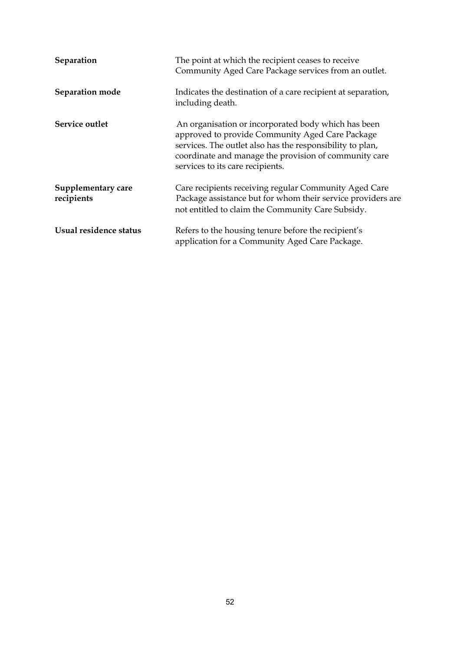| Separation                       | The point at which the recipient ceases to receive<br>Community Aged Care Package services from an outlet.                                                                                                                                                       |
|----------------------------------|------------------------------------------------------------------------------------------------------------------------------------------------------------------------------------------------------------------------------------------------------------------|
| Separation mode                  | Indicates the destination of a care recipient at separation,<br>including death.                                                                                                                                                                                 |
| Service outlet                   | An organisation or incorporated body which has been<br>approved to provide Community Aged Care Package<br>services. The outlet also has the responsibility to plan,<br>coordinate and manage the provision of community care<br>services to its care recipients. |
| Supplementary care<br>recipients | Care recipients receiving regular Community Aged Care<br>Package assistance but for whom their service providers are<br>not entitled to claim the Community Care Subsidy.                                                                                        |
| Usual residence status           | Refers to the housing tenure before the recipient's<br>application for a Community Aged Care Package.                                                                                                                                                            |